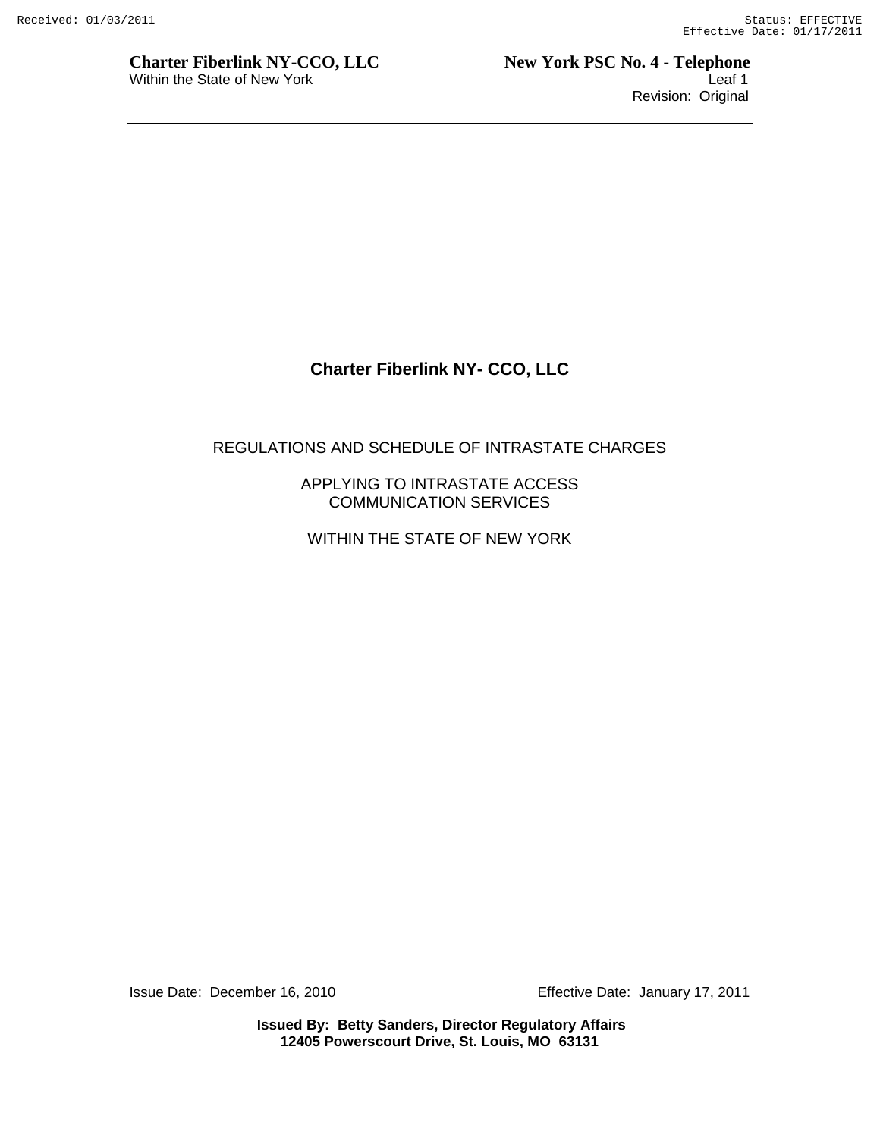**Charter Fiberlink NY-CCO, LLC** New York PSC No. 4 - Telephone Within the State of New York **Leaf 1** Revision: Original

# **Charter Fiberlink NY- CCO, LLC**

#### REGULATIONS AND SCHEDULE OF INTRASTATE CHARGES

APPLYING TO INTRASTATE ACCESS COMMUNICATION SERVICES

WITHIN THE STATE OF NEW YORK

Issue Date: December 16, 2010 Effective Date: January 17, 2011

**Issued By: Betty Sanders, Director Regulatory Affairs 12405 Powerscourt Drive, St. Louis, MO 63131**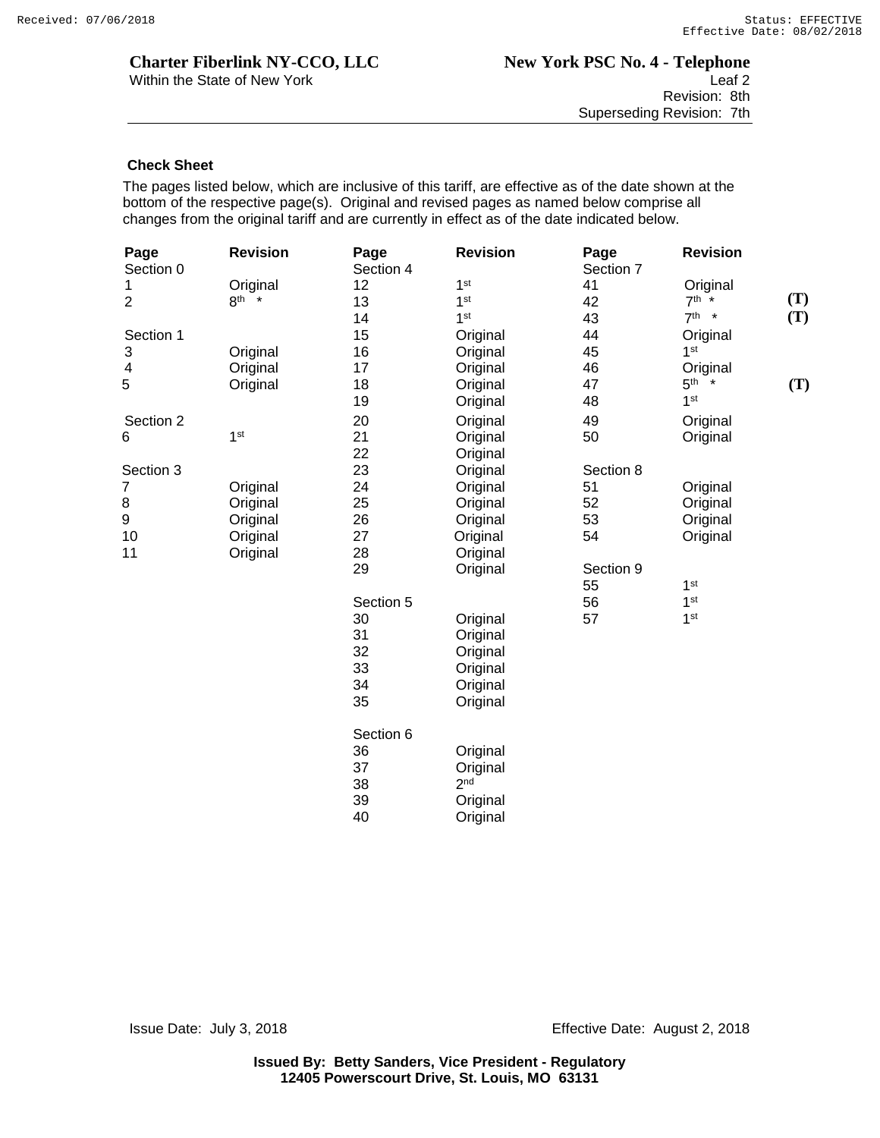#### **Check Sheet**

The pages listed below, which are inclusive of this tariff, are effective as of the date shown at the bottom of the respective page(s). Original and revised pages as named below comprise all changes from the original tariff and are currently in effect as of the date indicated below.

| Page<br>Section 0 | <b>Revision</b> | Page<br>Section 4 | <b>Revision</b> | Page<br>Section 7 | <b>Revision</b>   |
|-------------------|-----------------|-------------------|-----------------|-------------------|-------------------|
| 1                 | Original        | 12                | 1 <sup>st</sup> | 41                | Original          |
| $\overline{2}$    | $8th$ *         | 13                | 1 <sup>st</sup> | 42                | (T)<br>$7^{th}$ * |
|                   |                 | 14                | 1 <sup>st</sup> | 43                | (T)<br>$7th$ *    |
| Section 1         |                 | 15                | Original        | 44                | Original          |
| 3                 | Original        | 16                | Original        | 45                | 1 <sup>st</sup>   |
| $\overline{4}$    | Original        | 17                | Original        | 46                | Original          |
| 5                 | Original        | 18                | Original        | 47                | $5th$ *<br>(T)    |
|                   |                 | 19                | Original        | 48                | 1 <sup>st</sup>   |
| Section 2         |                 | 20                | Original        | 49                | Original          |
| 6                 | 1 <sup>st</sup> | 21                | Original        | 50                | Original          |
|                   |                 | 22                | Original        |                   |                   |
| Section 3         |                 | 23                | Original        | Section 8         |                   |
| 7                 | Original        | 24                | Original        | 51                | Original          |
| 8                 | Original        | 25                | Original        | 52                | Original          |
| 9                 | Original        | 26                | Original        | 53                | Original          |
| 10                | Original        | 27                | Original        | 54                | Original          |
| 11                | Original        | 28                | Original        |                   |                   |
|                   |                 | 29                | Original        | Section 9         |                   |
|                   |                 |                   |                 | 55                | 1 <sup>st</sup>   |
|                   |                 | Section 5         |                 | 56                | 1 <sup>st</sup>   |
|                   |                 | 30                | Original        | 57                | 1 <sup>st</sup>   |
|                   |                 | 31                | Original        |                   |                   |
|                   |                 | 32                | Original        |                   |                   |
|                   |                 | 33                | Original        |                   |                   |
|                   |                 | 34                | Original        |                   |                   |
|                   |                 | 35                | Original        |                   |                   |
|                   |                 | Section 6         |                 |                   |                   |
|                   |                 | 36                | Original        |                   |                   |
|                   |                 | 37                | Original        |                   |                   |
|                   |                 | 38                | 2 <sub>nd</sub> |                   |                   |
|                   |                 | 39                | Original        |                   |                   |
|                   |                 | 40                |                 |                   |                   |
|                   |                 |                   | Original        |                   |                   |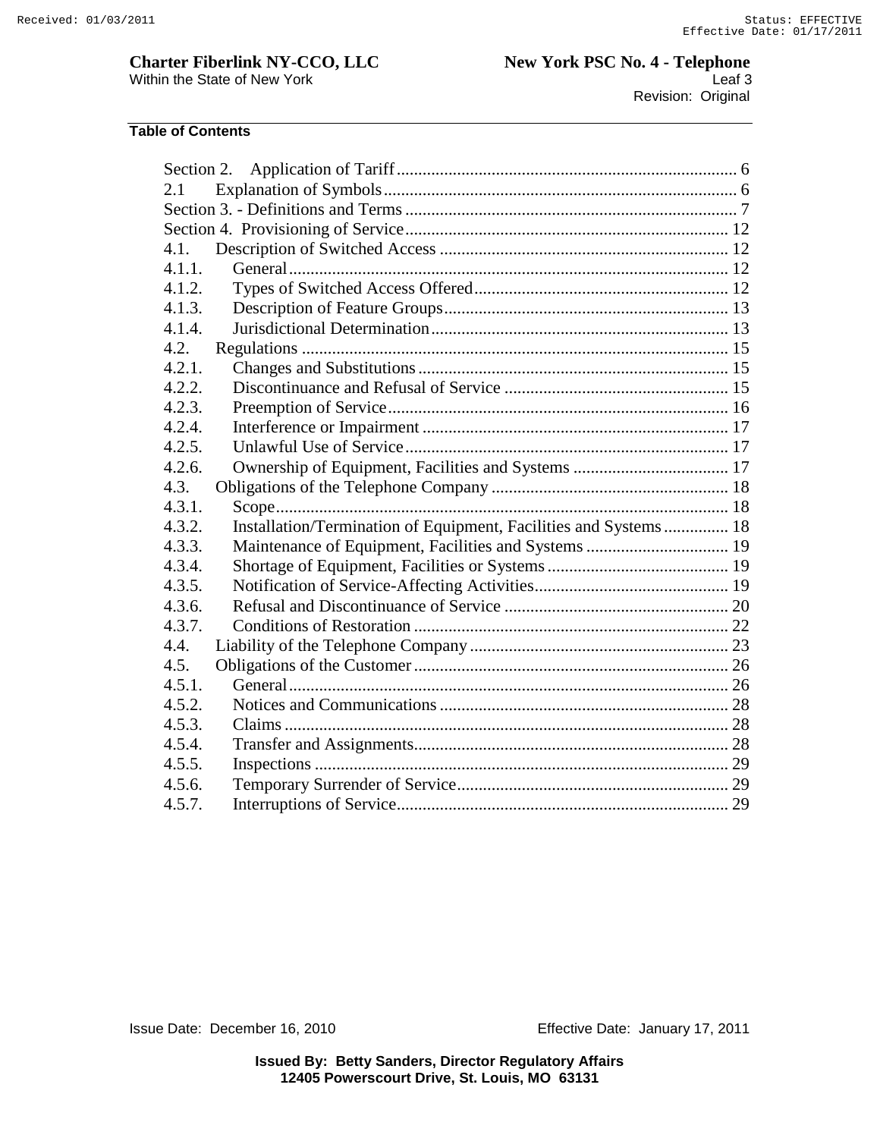**Charter Fiberlink NY-CCO, LLC New York PSC No. 4 - Telephone** Within the State of New York Leaf 3 Revision: Original

#### **Table of Contents**

| Section 2.                                                                 |  |
|----------------------------------------------------------------------------|--|
| 2.1                                                                        |  |
|                                                                            |  |
|                                                                            |  |
| 4.1.                                                                       |  |
| 4.1.1.                                                                     |  |
| 4.1.2.                                                                     |  |
| 4.1.3.                                                                     |  |
| 4.1.4.                                                                     |  |
| 4.2.                                                                       |  |
| 4.2.1.                                                                     |  |
| 4.2.2.                                                                     |  |
| 4.2.3.                                                                     |  |
| 4.2.4.                                                                     |  |
| 4.2.5.                                                                     |  |
| 4.2.6.                                                                     |  |
| 4.3.                                                                       |  |
| 4.3.1.                                                                     |  |
| Installation/Termination of Equipment, Facilities and Systems 18<br>4.3.2. |  |
| 4.3.3.                                                                     |  |
| 4.3.4.                                                                     |  |
| 4.3.5.                                                                     |  |
| 4.3.6.                                                                     |  |
| 4.3.7.                                                                     |  |
| 4.4.                                                                       |  |
| 4.5.                                                                       |  |
| 4.5.1.                                                                     |  |
| 4.5.2.                                                                     |  |
| 4.5.3.                                                                     |  |
| 4.5.4.                                                                     |  |
| 4.5.5.                                                                     |  |
| 4.5.6.                                                                     |  |
| 4.5.7.                                                                     |  |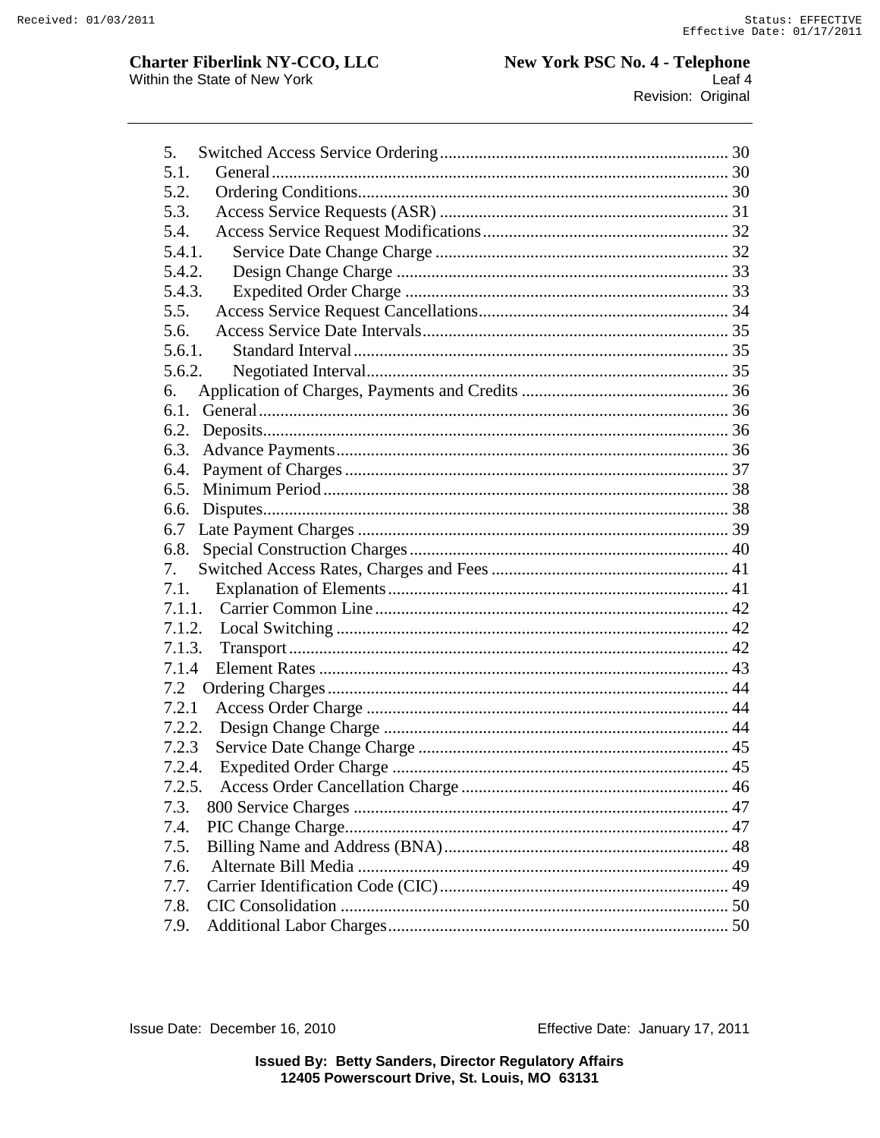# **Charter Fiberlink NY-CCO, LLC**<br>Within the State of New York

| 5.     |  |
|--------|--|
| 5.1.   |  |
| 5.2.   |  |
| 5.3.   |  |
| 5.4.   |  |
| 5.4.1. |  |
| 5.4.2. |  |
| 5.4.3. |  |
| 5.5.   |  |
| 5.6.   |  |
| 5.6.1. |  |
| 5.6.2. |  |
| 6.     |  |
|        |  |
|        |  |
| 6.3.   |  |
| 6.4.   |  |
| 6.5.   |  |
| 6.6.   |  |
| 6.7    |  |
| 6.8.   |  |
| 7.     |  |
| 7.1.   |  |
| 7.1.1. |  |
| 7.1.2. |  |
| 7.1.3. |  |
| 7.1.4  |  |
| 7.2    |  |
| 7.2.1  |  |
| 7.2.2. |  |
| 7.2.3  |  |
| 7.2.4. |  |
| 7.2.5. |  |
| 7.3.   |  |
| 7.4.   |  |
| 7.5.   |  |
| 7.6.   |  |
| 7.7.   |  |
| 7.8.   |  |
| 7.9.   |  |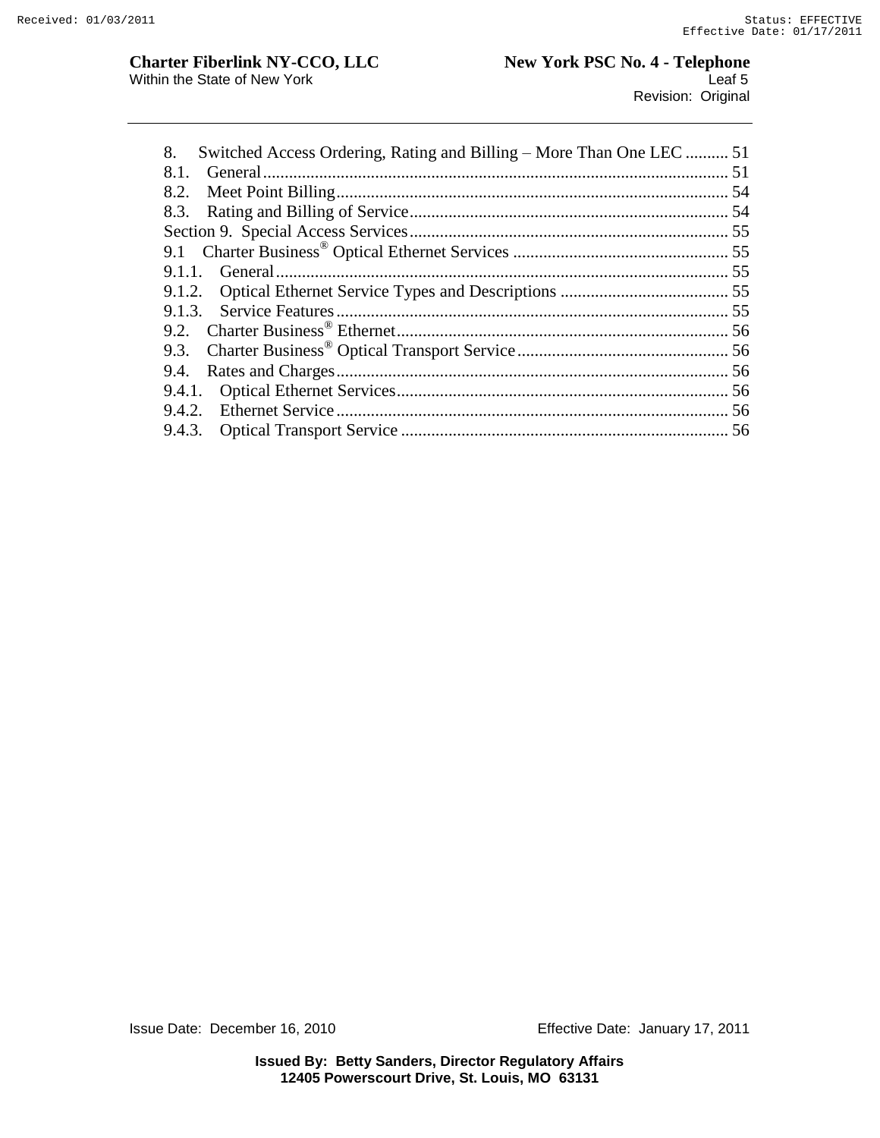| Switched Access Ordering, Rating and Billing – More Than One LEC  51<br>8. |  |
|----------------------------------------------------------------------------|--|
| 8.1.                                                                       |  |
| 8.2.                                                                       |  |
|                                                                            |  |
|                                                                            |  |
|                                                                            |  |
| 9.1.1.                                                                     |  |
|                                                                            |  |
|                                                                            |  |
|                                                                            |  |
| 9.3.                                                                       |  |
| 9.4.                                                                       |  |
|                                                                            |  |
|                                                                            |  |
|                                                                            |  |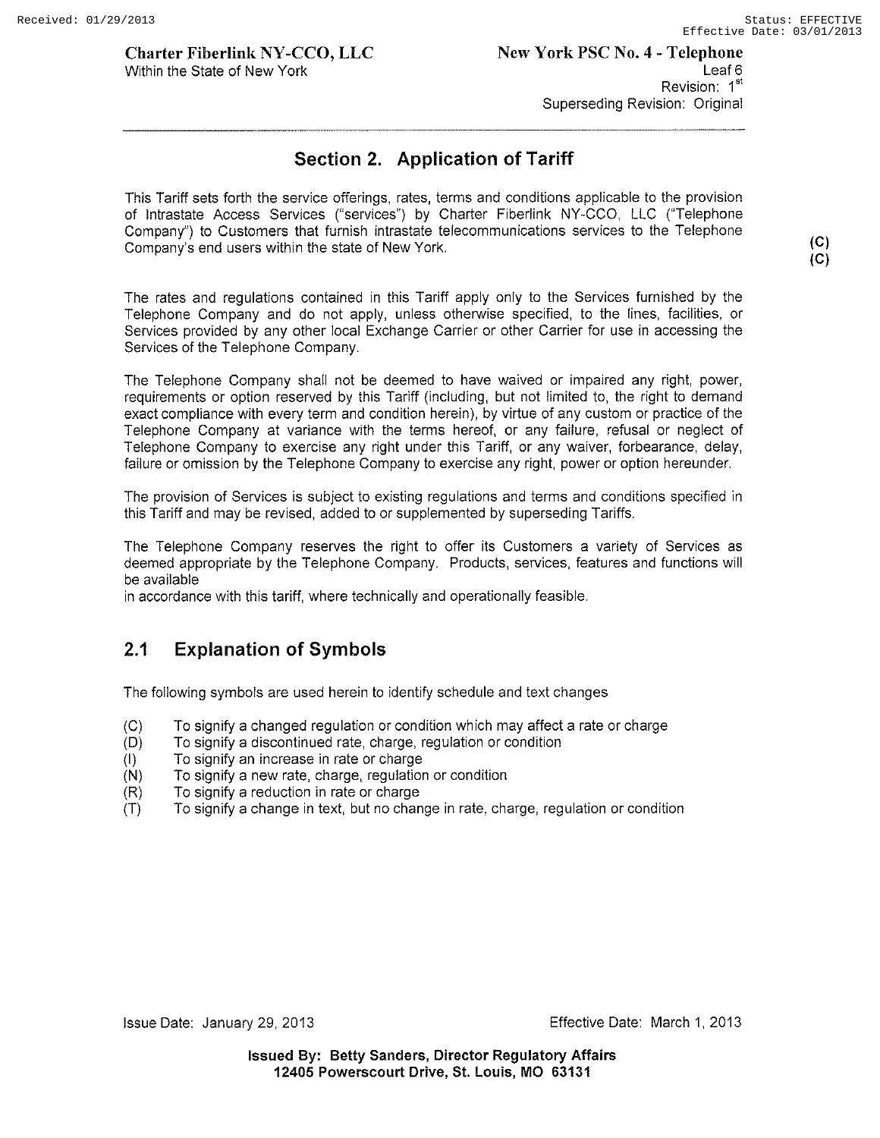**(C) (C)** 

#### **Charter Fiberlink NY-CCO, LLC**  Within the State of New York

# **Section 2. Application of Tariff**

This Tariff sets forth the service offerings, rates, terms and conditions applicable to the provision of Intrastate Access Services ("services") by Charter Fiberlink NY-CCO, LLC ("Telephone Company") to Customers that furnish intrastate telecommunications services to the Telephone Company's end users within the state of New York.

The rates and regulations contained in this Tariff apply only to the Services furnished by the Telephone Company and do not apply, unless otherwise specified, to the lines, facilities, or Services provided by any other local Exchange Carrier or other Carrier for use in accessing the Services of the Telephone Company.

The Telephone Company shall not be deemed to have waived or impaired any right, power, requirements or option reserved by this Tariff (including, but not limited to, the right to demand exact compliance with every term and condition herein), by virtue of any custom or practice of the Telephone Company at variance with the terms hereof, or any failure, refusal or neglect of Telephone Company to exercise any right under this Tariff, or any waiver, forbearance, delay, failure or omission by the Telephone Company to exercise any right, power or option hereunder.

The provision of Services is subject to existing regulations and terms and conditions specified in this Tariff and may be revised, added to or supplemented by superseding Tariffs.

The Telephone Company reserves the right to offer its Customers a variety of Services as deemed appropriate by the Telephone Company. Products, services, features and functions will be available

in accordance with this tariff, where technically and operationally feasible.

# **2.1 Explanation of Symbols**

The following symbols are used herein to identify schedule and text changes

- (C) To signify a changed regulation or condition which may affect a rate or charge
- (D) To signify a discontinued rate, charge, regulation or condition
- (I) To signify an increase in rate or charge
- (N) To signify a new rate, charge, regulation or condition
- (R) To signify a reduction in rate or charge
- (T) To signify a change in text, but no change in rate, charge, regulation or condition

Issue Date: January 29, 2013 Effective Date: March 1, 2013

**Issued By: Betty Sanders, Director Regulatory Affairs 12405 Powerscourt Drive, St. Louis, MO 63131**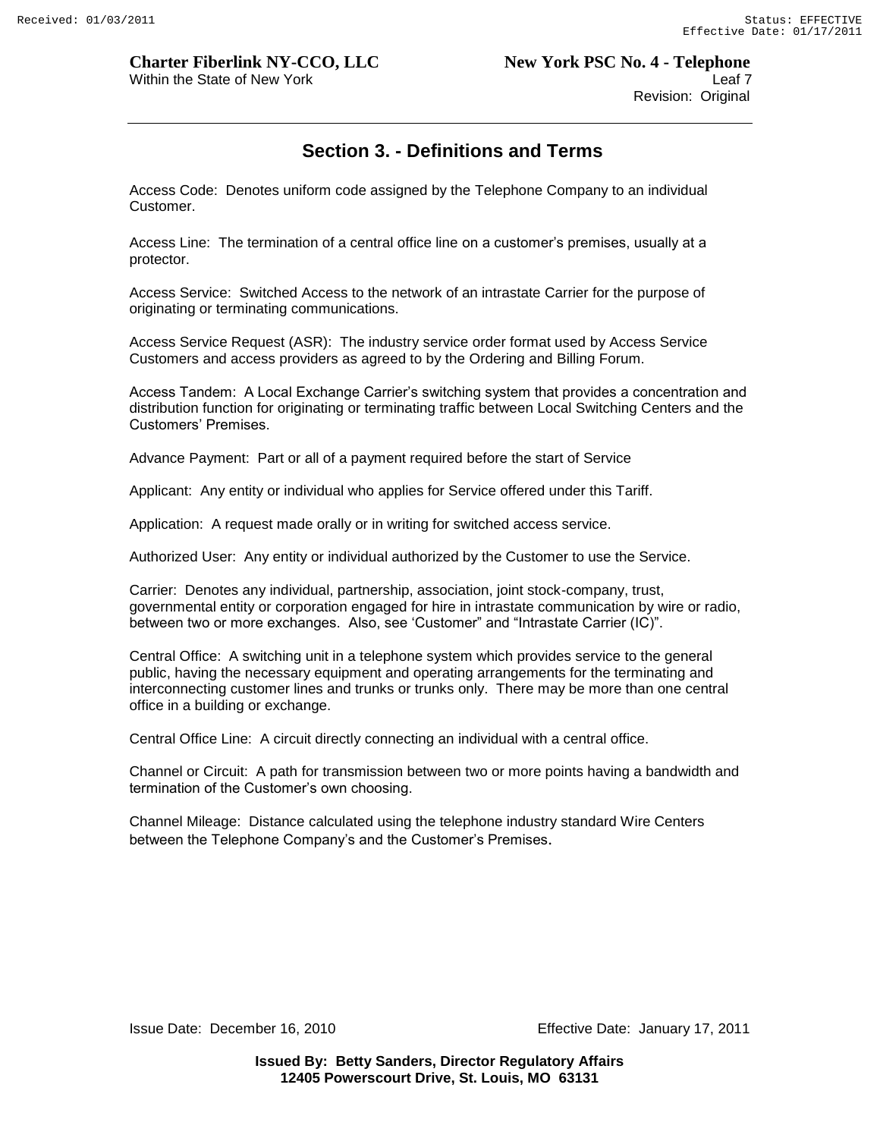# Within the State of New York **Leaf 7** and the State of New York Leaf 7

# **Section 3. - Definitions and Terms**

Access Code: Denotes uniform code assigned by the Telephone Company to an individual Customer.

Access Line: The termination of a central office line on a customer"s premises, usually at a protector.

Access Service: Switched Access to the network of an intrastate Carrier for the purpose of originating or terminating communications.

Access Service Request (ASR): The industry service order format used by Access Service Customers and access providers as agreed to by the Ordering and Billing Forum.

Access Tandem: A Local Exchange Carrier"s switching system that provides a concentration and distribution function for originating or terminating traffic between Local Switching Centers and the Customers" Premises.

Advance Payment: Part or all of a payment required before the start of Service

Applicant: Any entity or individual who applies for Service offered under this Tariff.

Application: A request made orally or in writing for switched access service.

Authorized User: Any entity or individual authorized by the Customer to use the Service.

Carrier: Denotes any individual, partnership, association, joint stock-company, trust, governmental entity or corporation engaged for hire in intrastate communication by wire or radio, between two or more exchanges. Also, see "Customer" and "Intrastate Carrier (IC)".

Central Office: A switching unit in a telephone system which provides service to the general public, having the necessary equipment and operating arrangements for the terminating and interconnecting customer lines and trunks or trunks only. There may be more than one central office in a building or exchange.

Central Office Line: A circuit directly connecting an individual with a central office.

Channel or Circuit: A path for transmission between two or more points having a bandwidth and termination of the Customer"s own choosing.

Channel Mileage: Distance calculated using the telephone industry standard Wire Centers between the Telephone Company's and the Customer's Premises.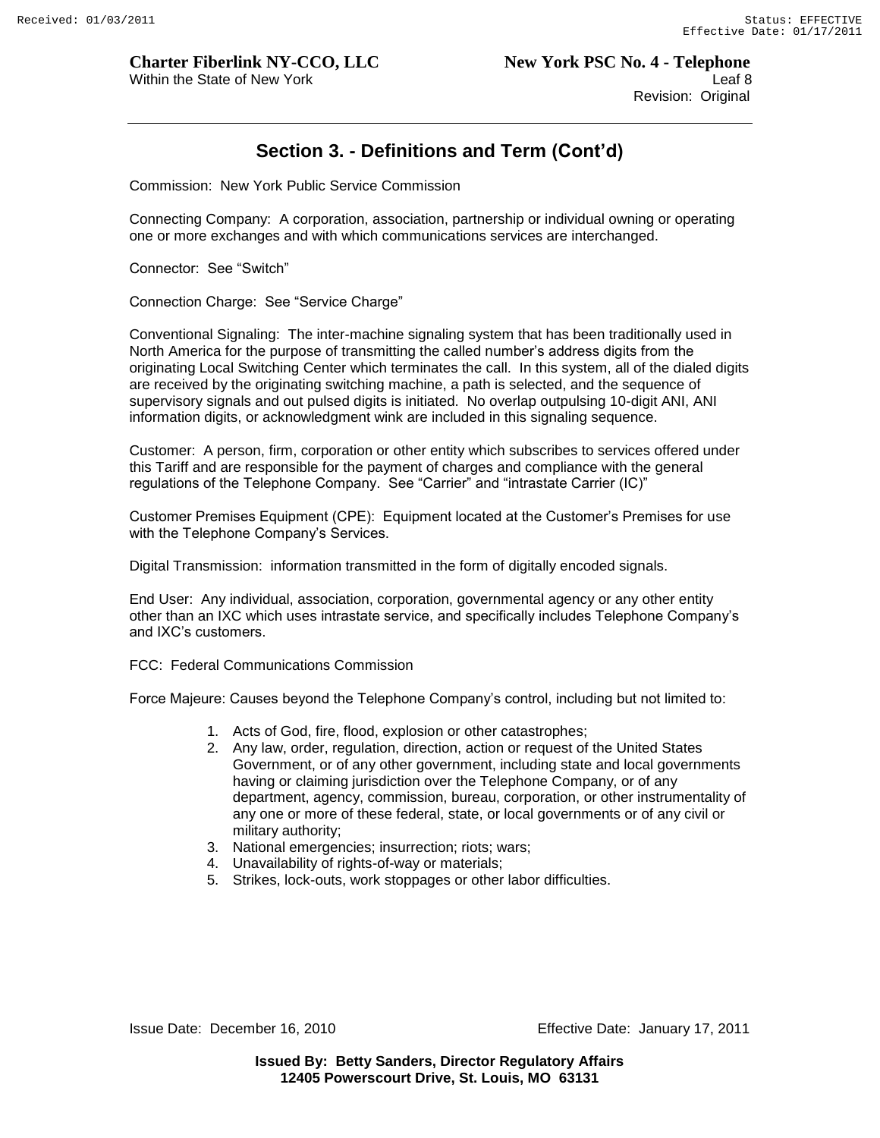# **Section 3. - Definitions and Term (Cont'd)**

Commission: New York Public Service Commission

Connecting Company: A corporation, association, partnership or individual owning or operating one or more exchanges and with which communications services are interchanged.

Connector: See "Switch"

Connection Charge: See "Service Charge"

Conventional Signaling: The inter-machine signaling system that has been traditionally used in North America for the purpose of transmitting the called number"s address digits from the originating Local Switching Center which terminates the call. In this system, all of the dialed digits are received by the originating switching machine, a path is selected, and the sequence of supervisory signals and out pulsed digits is initiated. No overlap outpulsing 10-digit ANI, ANI information digits, or acknowledgment wink are included in this signaling sequence.

Customer: A person, firm, corporation or other entity which subscribes to services offered under this Tariff and are responsible for the payment of charges and compliance with the general regulations of the Telephone Company. See "Carrier" and "intrastate Carrier (IC)"

Customer Premises Equipment (CPE): Equipment located at the Customer"s Premises for use with the Telephone Company's Services.

Digital Transmission: information transmitted in the form of digitally encoded signals.

End User: Any individual, association, corporation, governmental agency or any other entity other than an IXC which uses intrastate service, and specifically includes Telephone Company"s and IXC"s customers.

FCC: Federal Communications Commission

Force Majeure: Causes beyond the Telephone Company"s control, including but not limited to:

- 1. Acts of God, fire, flood, explosion or other catastrophes;
- 2. Any law, order, regulation, direction, action or request of the United States Government, or of any other government, including state and local governments having or claiming jurisdiction over the Telephone Company, or of any department, agency, commission, bureau, corporation, or other instrumentality of any one or more of these federal, state, or local governments or of any civil or military authority;
- 3. National emergencies; insurrection; riots; wars;
- 4. Unavailability of rights-of-way or materials;
- 5. Strikes, lock-outs, work stoppages or other labor difficulties.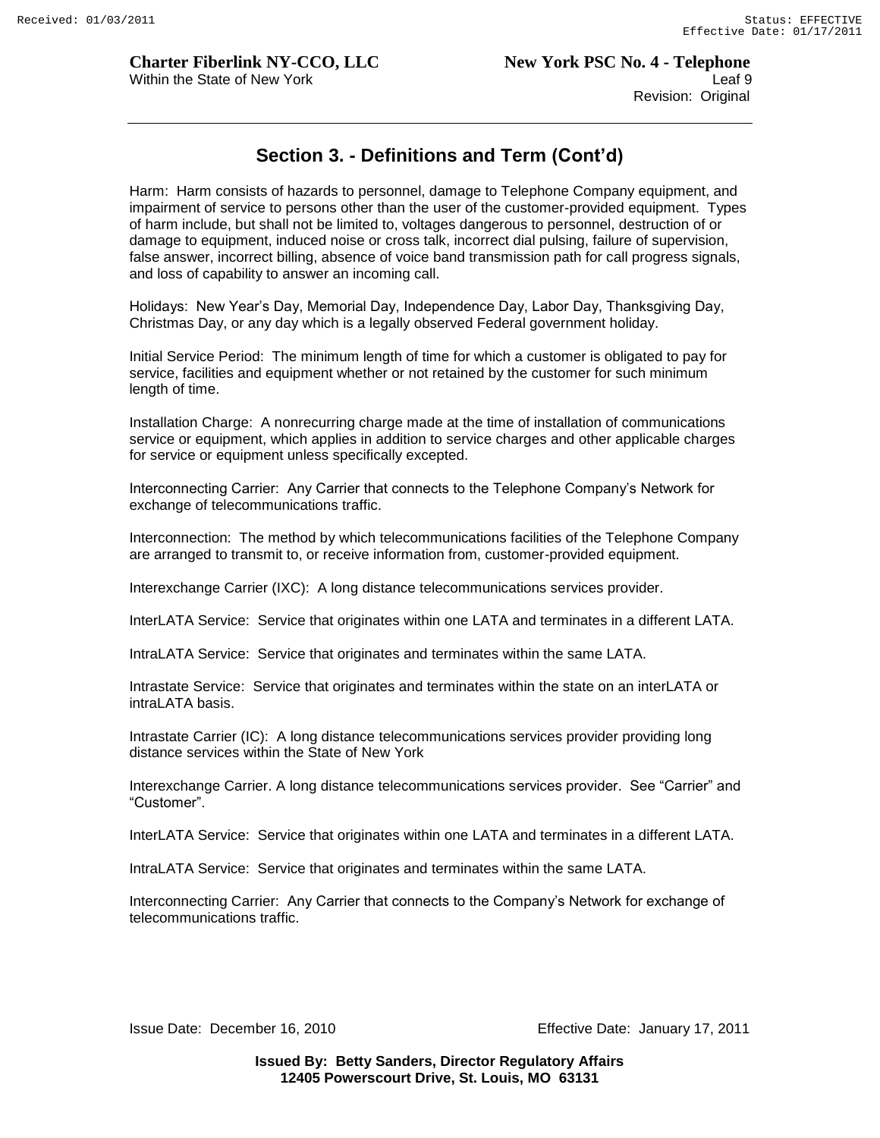# **Section 3. - Definitions and Term (Cont'd)**

Harm: Harm consists of hazards to personnel, damage to Telephone Company equipment, and impairment of service to persons other than the user of the customer-provided equipment. Types of harm include, but shall not be limited to, voltages dangerous to personnel, destruction of or damage to equipment, induced noise or cross talk, incorrect dial pulsing, failure of supervision, false answer, incorrect billing, absence of voice band transmission path for call progress signals, and loss of capability to answer an incoming call.

Holidays: New Year"s Day, Memorial Day, Independence Day, Labor Day, Thanksgiving Day, Christmas Day, or any day which is a legally observed Federal government holiday.

Initial Service Period: The minimum length of time for which a customer is obligated to pay for service, facilities and equipment whether or not retained by the customer for such minimum length of time.

Installation Charge: A nonrecurring charge made at the time of installation of communications service or equipment, which applies in addition to service charges and other applicable charges for service or equipment unless specifically excepted.

Interconnecting Carrier: Any Carrier that connects to the Telephone Company"s Network for exchange of telecommunications traffic.

Interconnection: The method by which telecommunications facilities of the Telephone Company are arranged to transmit to, or receive information from, customer-provided equipment.

Interexchange Carrier (IXC): A long distance telecommunications services provider.

InterLATA Service: Service that originates within one LATA and terminates in a different LATA.

IntraLATA Service: Service that originates and terminates within the same LATA.

Intrastate Service: Service that originates and terminates within the state on an interLATA or intraLATA basis.

Intrastate Carrier (IC): A long distance telecommunications services provider providing long distance services within the State of New York

Interexchange Carrier. A long distance telecommunications services provider. See "Carrier" and "Customer".

InterLATA Service: Service that originates within one LATA and terminates in a different LATA.

IntraLATA Service: Service that originates and terminates within the same LATA.

Interconnecting Carrier: Any Carrier that connects to the Company"s Network for exchange of telecommunications traffic.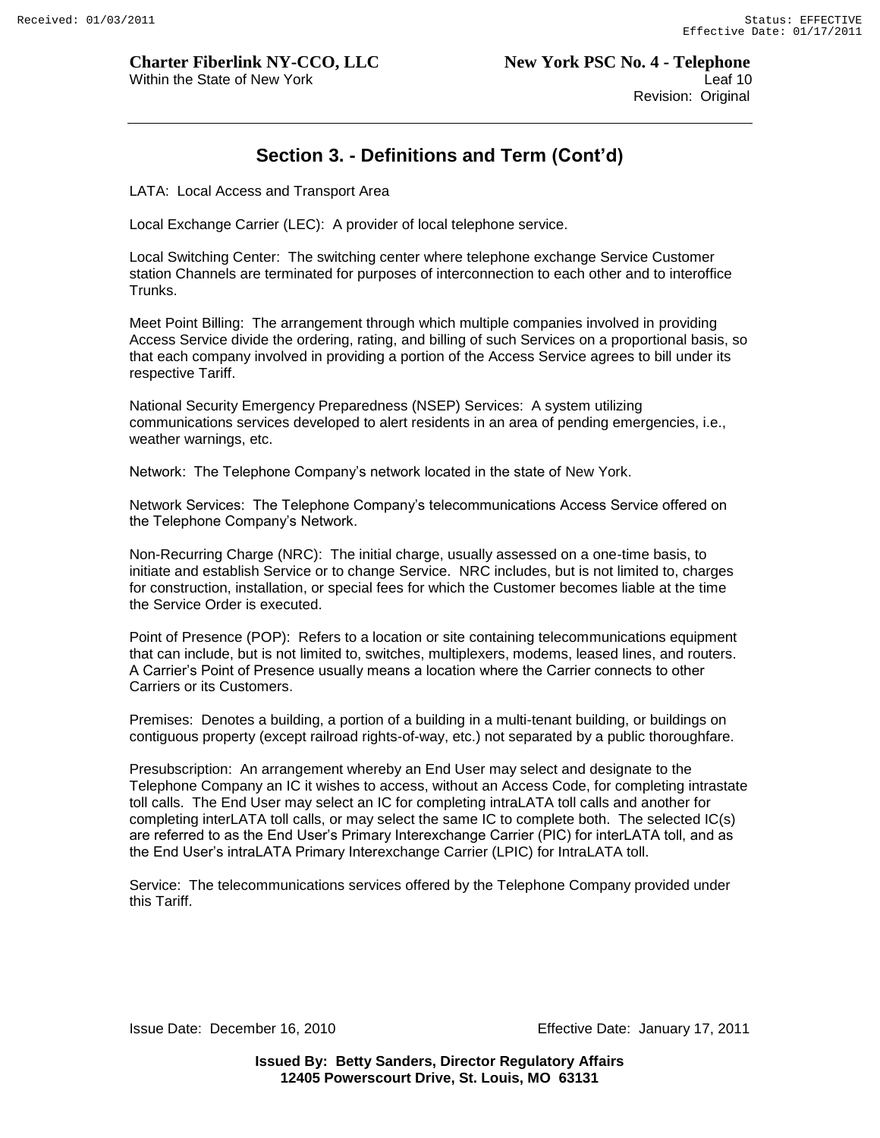# **Section 3. - Definitions and Term (Cont'd)**

LATA: Local Access and Transport Area

Local Exchange Carrier (LEC): A provider of local telephone service.

Local Switching Center: The switching center where telephone exchange Service Customer station Channels are terminated for purposes of interconnection to each other and to interoffice Trunks.

Meet Point Billing: The arrangement through which multiple companies involved in providing Access Service divide the ordering, rating, and billing of such Services on a proportional basis, so that each company involved in providing a portion of the Access Service agrees to bill under its respective Tariff.

National Security Emergency Preparedness (NSEP) Services: A system utilizing communications services developed to alert residents in an area of pending emergencies, i.e., weather warnings, etc.

Network: The Telephone Company"s network located in the state of New York.

Network Services: The Telephone Company"s telecommunications Access Service offered on the Telephone Company's Network.

Non-Recurring Charge (NRC): The initial charge, usually assessed on a one-time basis, to initiate and establish Service or to change Service. NRC includes, but is not limited to, charges for construction, installation, or special fees for which the Customer becomes liable at the time the Service Order is executed.

Point of Presence (POP): Refers to a location or site containing telecommunications equipment that can include, but is not limited to, switches, multiplexers, modems, leased lines, and routers. A Carrier"s Point of Presence usually means a location where the Carrier connects to other Carriers or its Customers.

Premises: Denotes a building, a portion of a building in a multi-tenant building, or buildings on contiguous property (except railroad rights-of-way, etc.) not separated by a public thoroughfare.

Presubscription: An arrangement whereby an End User may select and designate to the Telephone Company an IC it wishes to access, without an Access Code, for completing intrastate toll calls. The End User may select an IC for completing intraLATA toll calls and another for completing interLATA toll calls, or may select the same IC to complete both. The selected IC(s) are referred to as the End User"s Primary Interexchange Carrier (PIC) for interLATA toll, and as the End User"s intraLATA Primary Interexchange Carrier (LPIC) for IntraLATA toll.

Service: The telecommunications services offered by the Telephone Company provided under this Tariff.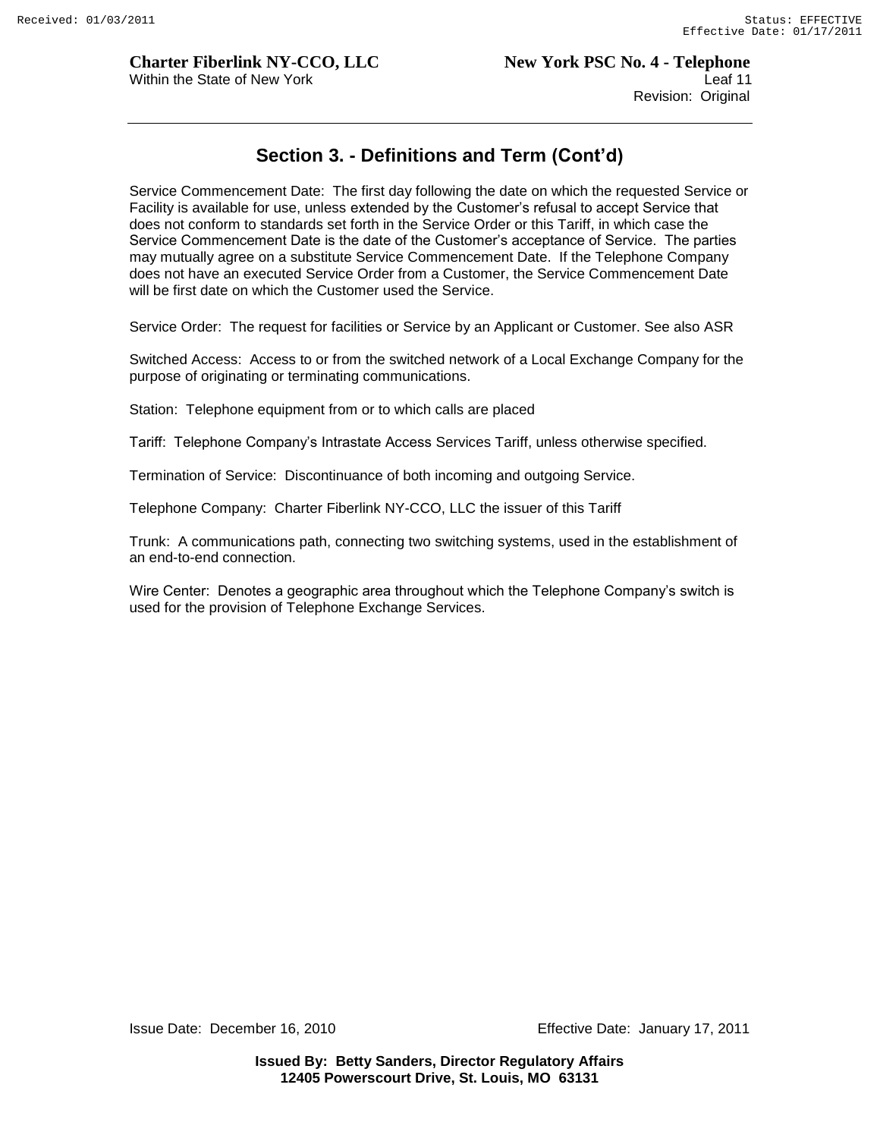# **Section 3. - Definitions and Term (Cont'd)**

Service Commencement Date: The first day following the date on which the requested Service or Facility is available for use, unless extended by the Customer"s refusal to accept Service that does not conform to standards set forth in the Service Order or this Tariff, in which case the Service Commencement Date is the date of the Customer"s acceptance of Service. The parties may mutually agree on a substitute Service Commencement Date. If the Telephone Company does not have an executed Service Order from a Customer, the Service Commencement Date will be first date on which the Customer used the Service.

Service Order: The request for facilities or Service by an Applicant or Customer. See also ASR

Switched Access: Access to or from the switched network of a Local Exchange Company for the purpose of originating or terminating communications.

Station: Telephone equipment from or to which calls are placed

Tariff: Telephone Company"s Intrastate Access Services Tariff, unless otherwise specified.

Termination of Service: Discontinuance of both incoming and outgoing Service.

Telephone Company: Charter Fiberlink NY-CCO, LLC the issuer of this Tariff

Trunk: A communications path, connecting two switching systems, used in the establishment of an end-to-end connection.

Wire Center: Denotes a geographic area throughout which the Telephone Company"s switch is used for the provision of Telephone Exchange Services.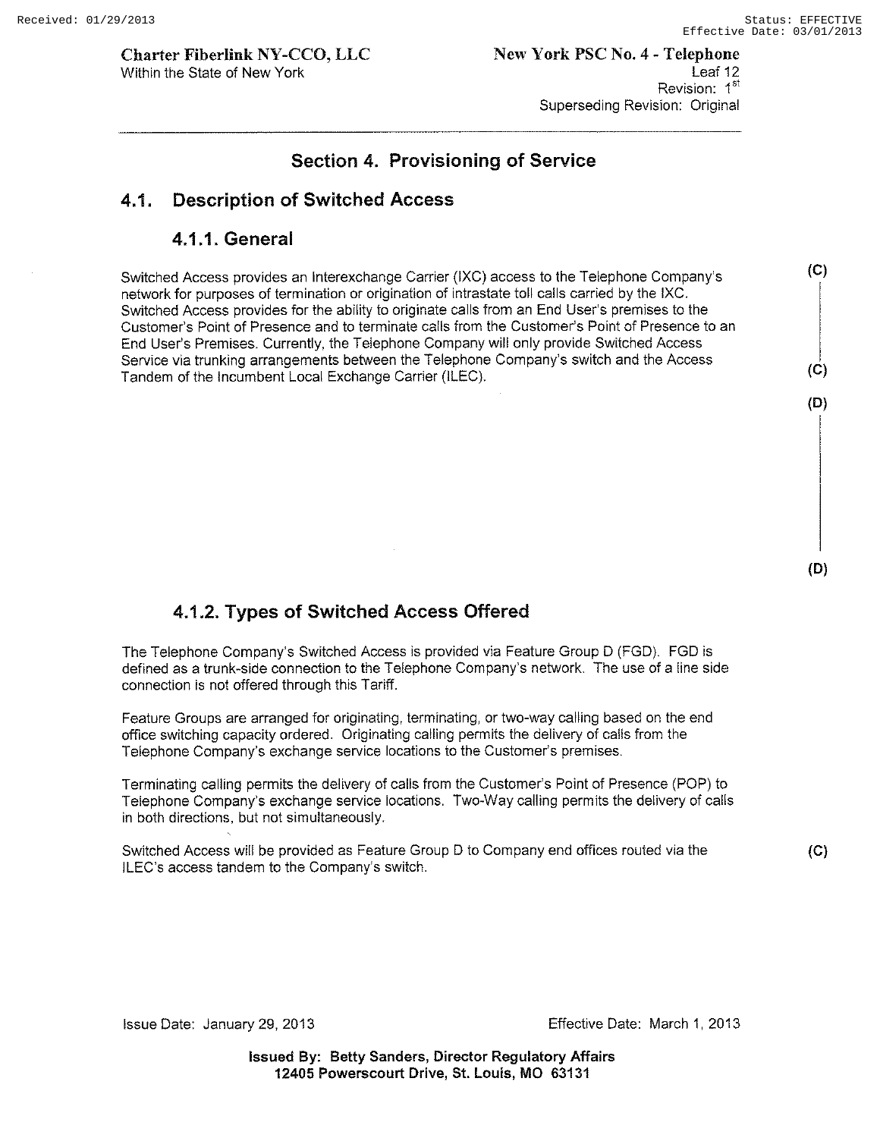**(e)** 

**(e)** 

**(D)** 

**(D)** 

**(e)** 

**Charter Fiberlink NY -CCO, LLC**  Within the State of New York

# **Section 4. Provisioning of Service**

# **4.1. Description of Switched Access**

## **4.1.1. General**

Switched Access provides an Interexchange Carrier (IXC) access to the Telephone Company's network for purposes of termination or origination of intrastate toll calls carried by the IXC. Switched Access provides for the ability to originate calls from an End User's premises to the Customer's Point of Presence and to terminate calls from the Customer's Point of Presence to an End User's Premises. Currently, the Telephone Company will only provide Switched Access Service via trunking arrangements between the Telephone Company's switch and the Access Tandem of the Incumbent Local Exchange Carrier (ILEC).

# **4.1.2. Types of Switched Access Offered**

The Telephone Company's Switched Access is provided via Feature Group D (FGD). FGD is defined as a trunk-side connection to the Telephone Company's network. The use of a line side connection is not offered through this Tariff.

Feature Groups are arranged for originating, terminating, or two-way calling based on the end office switching capacity ordered. Originating calling permits the delivery of calls from the Telephone Company's exchange service locations to the Customer's premises.

Terminating calling permits the delivery of calls from the Customer's Point of Presence (POP) to Telephone Company's exchange service locations. Two-Way calling permits the delivery of calls in both directions, but not simultaneously.

Switched Access will be provided as Feature Group D to Company end offices routed via the ILEC's access tandem to the Company's switch.

**Issued By: Betty Sanders, Director Regulatory Affairs 12405 Powerscourt Drive, 51. Louis, MO 63131**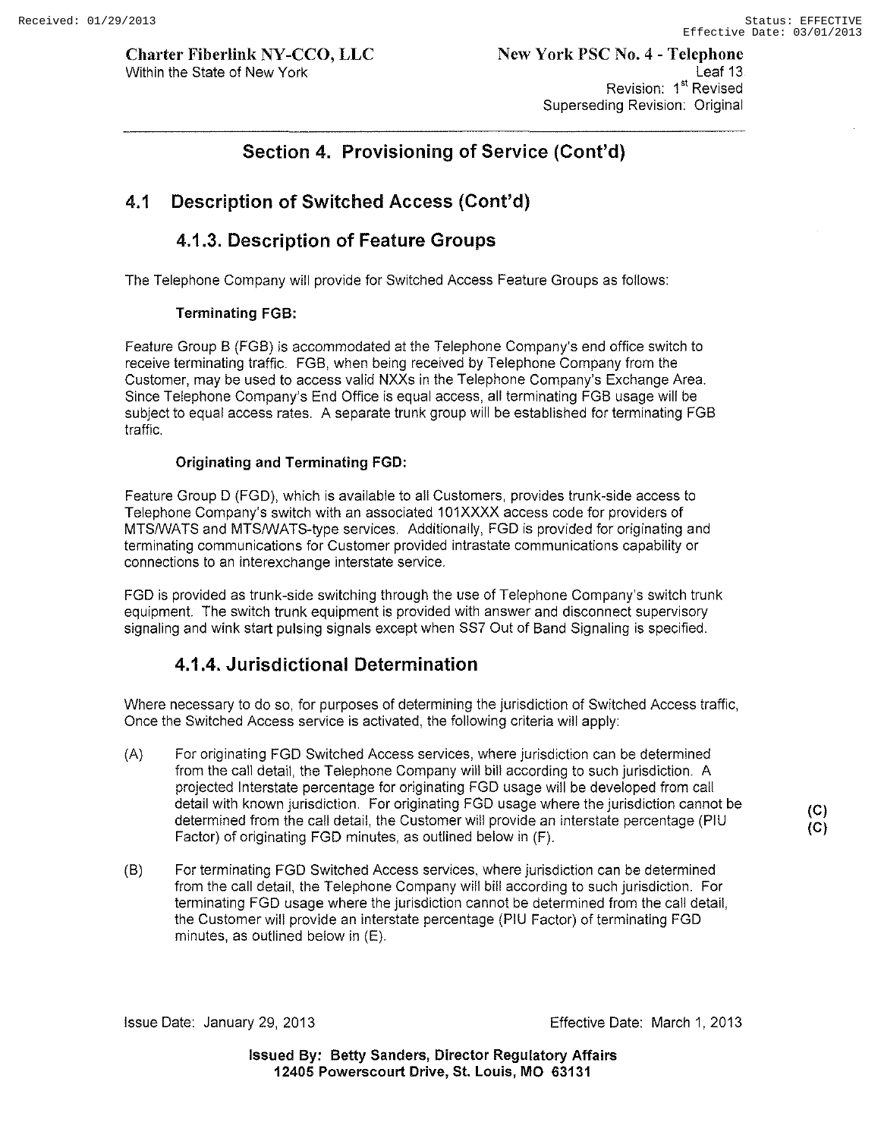**(C) (C)** 

**Charter Fiberlink NY -CCO, LLC**  Within the State of New York

# **Section 4. Provisioning of Service (Cont'd)**

# **4.1 Description of Switched Access (Cont'd)**

# **4.1.3. Description of Feature Groups**

The Telephone Company will provide for Switched Access Feature Groups as follows:

#### **Terminating FGB:**

Feature Group B (FGB) is accommodated at the Telephone Company's end office switch to receive terminating traffic. FGB, when being received by Telephone Company from the Customer, may be used to access valid NXXs in the Telephone Company's Exchange Area. Since Telephone Company's End Office is equal access, all terminating FGB usage will be subject to equal access rates. A separate trunk group will be established for terminating FGB traffic.

#### **Originating and Terminating FGD:**

Feature Group D (FGD), which is available to all Customers, provides trunk-side access to Telephone Company's switch with an associated 101XXXX access code for providers of MTSNVATS and MTSNVATS-type services. Additionally, FGD is provided for originating and terminating communications for Customer provided intrastate communications capability or connections to an interexchange interstate service.

FGD is provided as trunk-side switching through the use of Telephone Company's switch trunk equipment. The switch trunk equipment is provided with answer and disconnect supervisory signaling and wink start pulsing signals except when SS7 Out of Band Signaling is specified.

# **4.1.4. Jurisdictional Determination**

Where necessary to do so, for purposes of determining the jurisdiction of Switched Access traffic, Once the Switched Access service is activated, the following criteria will apply:

- (A) For originating FGD Switched Access services, where jurisdiction can be determined from the call detail, the Telephone Company will bill according to such jurisdiction. A projected Interstate percentage for originating FGD usage will be developed from call detail with known jurisdiction. For originating FGD usage where the jurisdiction cannot be determined from the call detail, the Customer will provide an interstate percentage (PIU Factor) of originating FGD minutes, as outlined below in (F).
- (B) For terminating FGD Switched Access services, where jurisdiction can be determined from the call detail, the Telephone Company will bill according to such jurisdiction. For terminating FGD usage where the jurisdiction cannot be determined from the call detail, the Customer will provide an interstate percentage (PIU Factor) of terminating FGD minutes, as outlined below in (E).

Issue Date: January 29,2013 Effective Date: March 1, 2013

**Issued By: Betty Sanders, Director Regulatory Affairs 12405 Powerscourt Drive, St. Louis, MO 63131**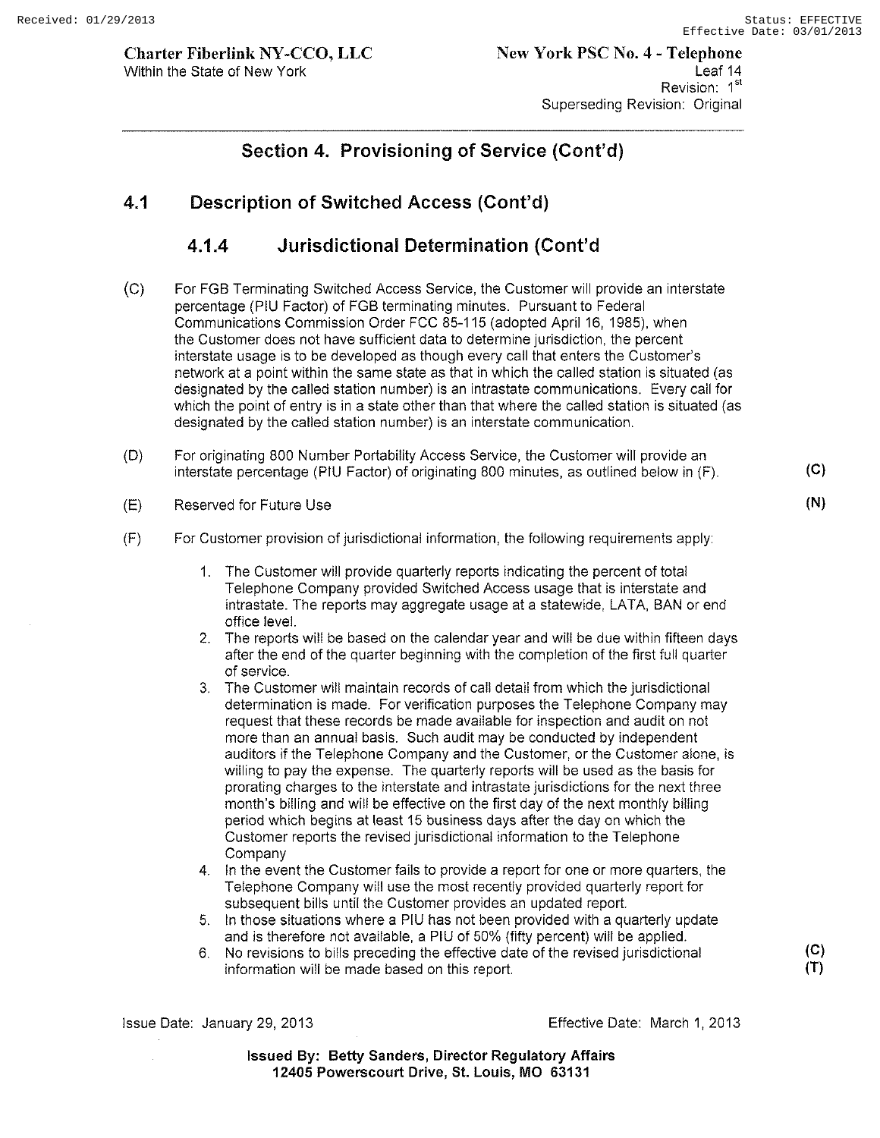**Charter Fiberlink NY-CCO, LLC**  Within the State of New York

**Section 4. Provisioning of Service (Cont'd)** 

# **4.1 Description of Switched Access (Cont'd)**

# **4.1.4 Jurisdictional Determination (Cont'd**

- (C) For FGB Terminating Switched Access Service, the Customer will provide an interstate percentage (PIU Factor) of FGB terminating minutes. Pursuant to Federal Communications Commission Order FCC 85-115 (adopted April 16, 1985), when the Customer does not have sufficient data to determine jurisdiction, the percent interstate usage is to be developed as though every call that enters the Customer's network at a point within the same state as that in which the called station is situated (as designated by the called station number) is an intrastate communications. Every call for which the point of entry is in a state other than that where the called station is situated (as designated by the called station number) is an interstate communication.
- (D) For originating 800 Number Portability Access Service, the Customer will provide an interstate percentage (PIU Factor) of originating 800 minutes, as outlined below in (F).
- $(E)$ Reserved for Future Use
- (F) For Customer provision of jurisdictional information, the following requirements apply:
	- 1. The Customer will provide quarterly reports indicating the percent of total Telephone Company provided Switched Access usage that is interstate and intrastate. The reports may aggregate usage at a statewide, LATA, BAN or end office level.
	- 2. The reports will be based on the calendar year and will be due within fifteen days after the end of the quarter beginning with the completion of the first full quarter of service.
	- 3. The Customer will maintain records of call detail from which the jurisdictional determination is made. For verification purposes the Telephone Company may request that these records be made available for inspection and audit on not more than an annual basis. Such audit may be conducted by independent auditors if the Telephone Company and the Customer, or the Customer alone, is willing to pay the expense. The quarterly reports will be used as the basis for prorating charges to the interstate and intrastate jurisdictions for the next three month's billing and will be effective on the first day of the next monthly billing period which begins at least 15 business days after the day on which the Customer reports the revised jurisdictional information to the Telephone **Company**
	- 4. In the event the Customer fails to provide a report for one or more quarters, the Telephone Company will use the most recently provided quarterly report for subsequent bills until the Customer provides an updated report.
	- 5. In those situations where a PIU has not been provided with a quarterly update and is therefore not available, a PIU of 50% (fifty percent) will be applied.
	- 6. No revisions to bills preceding the effective date of the revised jurisdictional **(C)**  information will be made based on this report.

Issue Date: January 29,2013 Effective Date: March 1,2013

**Issued By: Betty Sanders, Director Regulatory Affairs 12405 Powerscourt Drive, st. Louis, MO 63131** 

**(C)** 

**(N)**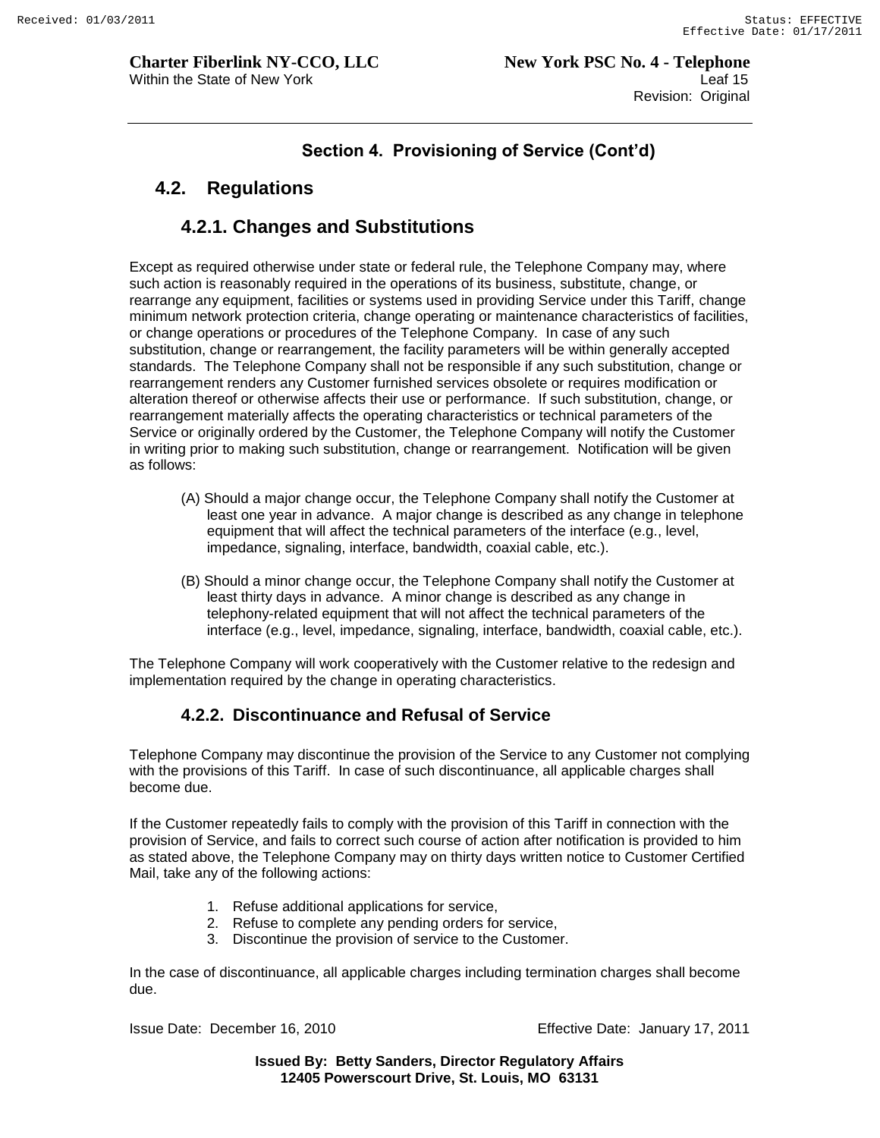# **4.2. Regulations**

# **4.2.1. Changes and Substitutions**

Except as required otherwise under state or federal rule, the Telephone Company may, where such action is reasonably required in the operations of its business, substitute, change, or rearrange any equipment, facilities or systems used in providing Service under this Tariff, change minimum network protection criteria, change operating or maintenance characteristics of facilities, or change operations or procedures of the Telephone Company. In case of any such substitution, change or rearrangement, the facility parameters will be within generally accepted standards. The Telephone Company shall not be responsible if any such substitution, change or rearrangement renders any Customer furnished services obsolete or requires modification or alteration thereof or otherwise affects their use or performance. If such substitution, change, or rearrangement materially affects the operating characteristics or technical parameters of the Service or originally ordered by the Customer, the Telephone Company will notify the Customer in writing prior to making such substitution, change or rearrangement. Notification will be given as follows:

- (A) Should a major change occur, the Telephone Company shall notify the Customer at least one year in advance. A major change is described as any change in telephone equipment that will affect the technical parameters of the interface (e.g., level, impedance, signaling, interface, bandwidth, coaxial cable, etc.).
- (B) Should a minor change occur, the Telephone Company shall notify the Customer at least thirty days in advance. A minor change is described as any change in telephony-related equipment that will not affect the technical parameters of the interface (e.g., level, impedance, signaling, interface, bandwidth, coaxial cable, etc.).

The Telephone Company will work cooperatively with the Customer relative to the redesign and implementation required by the change in operating characteristics.

# **4.2.2. Discontinuance and Refusal of Service**

Telephone Company may discontinue the provision of the Service to any Customer not complying with the provisions of this Tariff. In case of such discontinuance, all applicable charges shall become due.

If the Customer repeatedly fails to comply with the provision of this Tariff in connection with the provision of Service, and fails to correct such course of action after notification is provided to him as stated above, the Telephone Company may on thirty days written notice to Customer Certified Mail, take any of the following actions:

- 1. Refuse additional applications for service,
- 2. Refuse to complete any pending orders for service,
- 3. Discontinue the provision of service to the Customer.

In the case of discontinuance, all applicable charges including termination charges shall become due.

Issue Date: December 16, 2010 Effective Date: January 17, 2011

**Issued By: Betty Sanders, Director Regulatory Affairs 12405 Powerscourt Drive, St. Louis, MO 63131**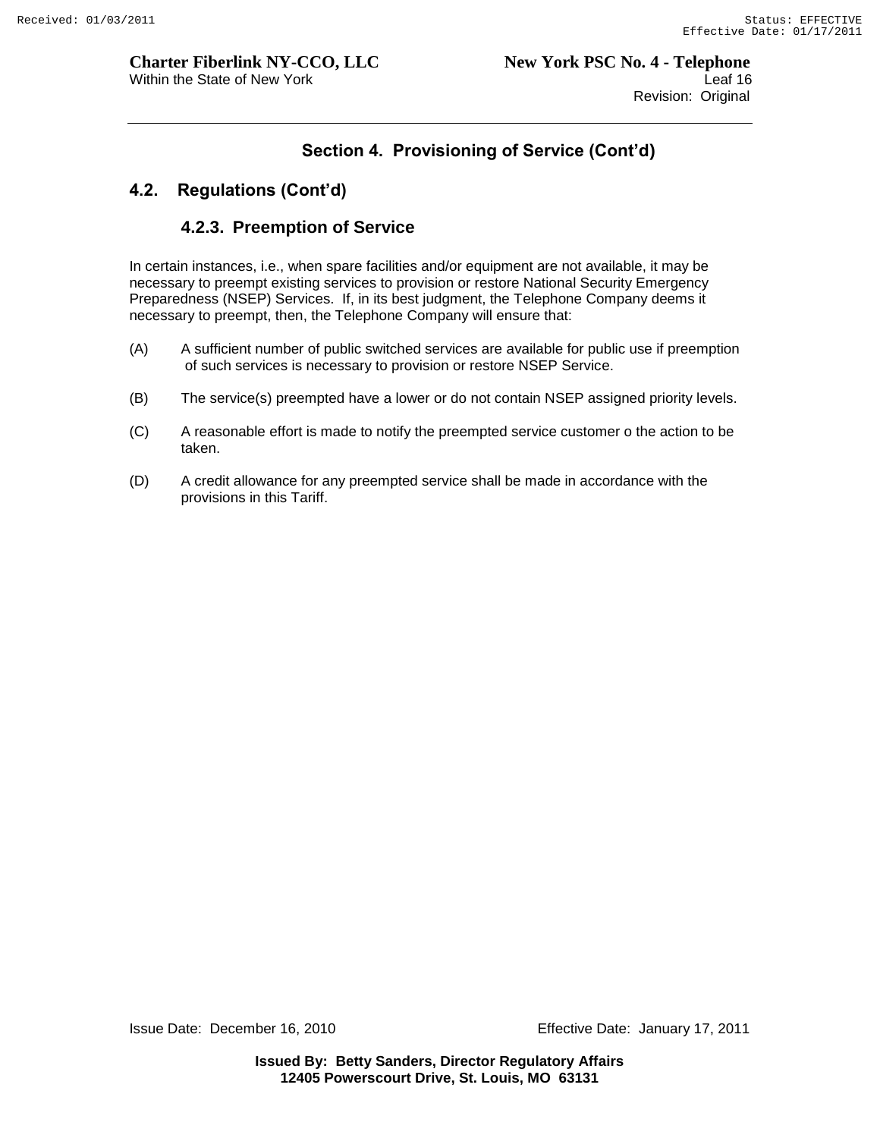#### **4.2. Regulations (Cont'd)**

#### **4.2.3. Preemption of Service**

In certain instances, i.e., when spare facilities and/or equipment are not available, it may be necessary to preempt existing services to provision or restore National Security Emergency Preparedness (NSEP) Services. If, in its best judgment, the Telephone Company deems it necessary to preempt, then, the Telephone Company will ensure that:

- (A) A sufficient number of public switched services are available for public use if preemption of such services is necessary to provision or restore NSEP Service.
- (B) The service(s) preempted have a lower or do not contain NSEP assigned priority levels.
- (C) A reasonable effort is made to notify the preempted service customer o the action to be taken.
- (D) A credit allowance for any preempted service shall be made in accordance with the provisions in this Tariff.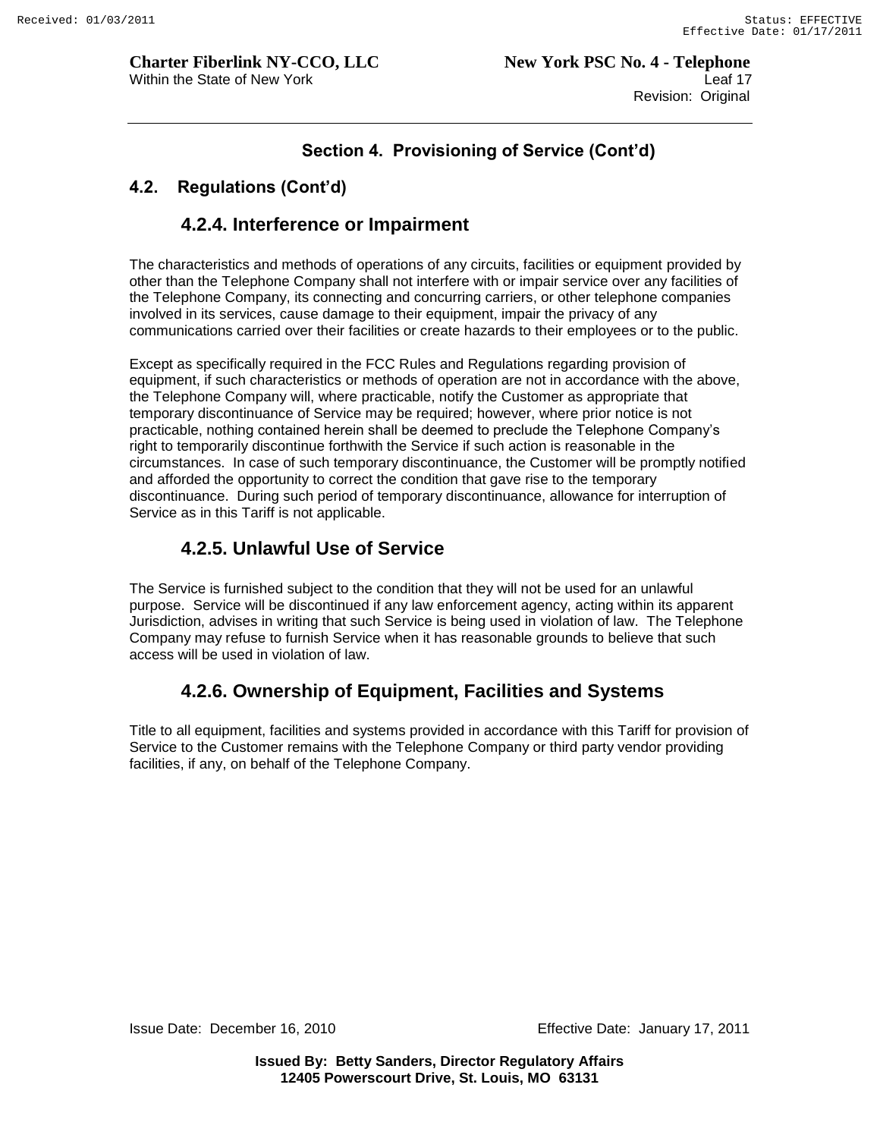# **Section 4. Provisioning of Service (Cont'd)**

## **4.2. Regulations (Cont'd)**

# **4.2.4. Interference or Impairment**

The characteristics and methods of operations of any circuits, facilities or equipment provided by other than the Telephone Company shall not interfere with or impair service over any facilities of the Telephone Company, its connecting and concurring carriers, or other telephone companies involved in its services, cause damage to their equipment, impair the privacy of any communications carried over their facilities or create hazards to their employees or to the public.

Except as specifically required in the FCC Rules and Regulations regarding provision of equipment, if such characteristics or methods of operation are not in accordance with the above, the Telephone Company will, where practicable, notify the Customer as appropriate that temporary discontinuance of Service may be required; however, where prior notice is not practicable, nothing contained herein shall be deemed to preclude the Telephone Company"s right to temporarily discontinue forthwith the Service if such action is reasonable in the circumstances. In case of such temporary discontinuance, the Customer will be promptly notified and afforded the opportunity to correct the condition that gave rise to the temporary discontinuance. During such period of temporary discontinuance, allowance for interruption of Service as in this Tariff is not applicable.

# **4.2.5. Unlawful Use of Service**

The Service is furnished subject to the condition that they will not be used for an unlawful purpose. Service will be discontinued if any law enforcement agency, acting within its apparent Jurisdiction, advises in writing that such Service is being used in violation of law. The Telephone Company may refuse to furnish Service when it has reasonable grounds to believe that such access will be used in violation of law.

# **4.2.6. Ownership of Equipment, Facilities and Systems**

Title to all equipment, facilities and systems provided in accordance with this Tariff for provision of Service to the Customer remains with the Telephone Company or third party vendor providing facilities, if any, on behalf of the Telephone Company.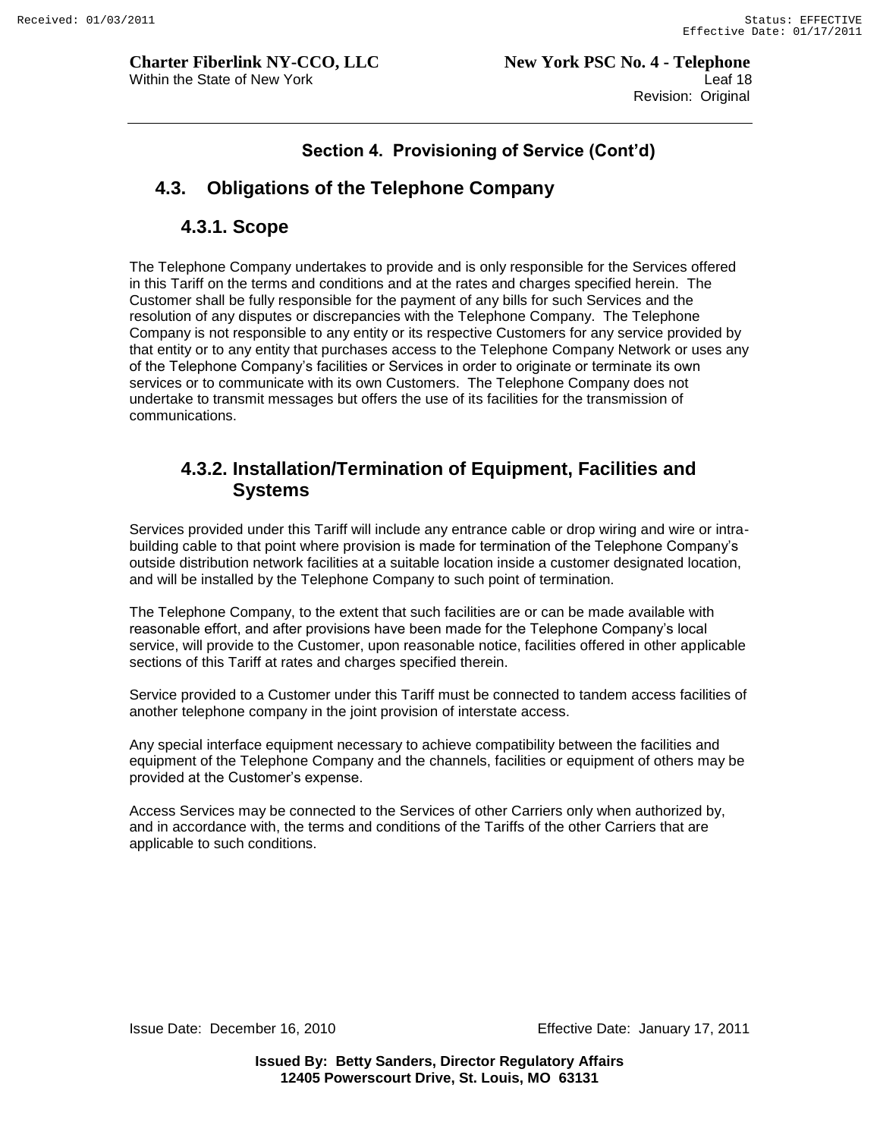# **4.3. Obligations of the Telephone Company**

#### **4.3.1. Scope**

The Telephone Company undertakes to provide and is only responsible for the Services offered in this Tariff on the terms and conditions and at the rates and charges specified herein. The Customer shall be fully responsible for the payment of any bills for such Services and the resolution of any disputes or discrepancies with the Telephone Company. The Telephone Company is not responsible to any entity or its respective Customers for any service provided by that entity or to any entity that purchases access to the Telephone Company Network or uses any of the Telephone Company"s facilities or Services in order to originate or terminate its own services or to communicate with its own Customers. The Telephone Company does not undertake to transmit messages but offers the use of its facilities for the transmission of communications.

# **4.3.2. Installation/Termination of Equipment, Facilities and Systems**

Services provided under this Tariff will include any entrance cable or drop wiring and wire or intrabuilding cable to that point where provision is made for termination of the Telephone Company"s outside distribution network facilities at a suitable location inside a customer designated location, and will be installed by the Telephone Company to such point of termination.

The Telephone Company, to the extent that such facilities are or can be made available with reasonable effort, and after provisions have been made for the Telephone Company"s local service, will provide to the Customer, upon reasonable notice, facilities offered in other applicable sections of this Tariff at rates and charges specified therein.

Service provided to a Customer under this Tariff must be connected to tandem access facilities of another telephone company in the joint provision of interstate access.

Any special interface equipment necessary to achieve compatibility between the facilities and equipment of the Telephone Company and the channels, facilities or equipment of others may be provided at the Customer"s expense.

Access Services may be connected to the Services of other Carriers only when authorized by, and in accordance with, the terms and conditions of the Tariffs of the other Carriers that are applicable to such conditions.

Issue Date: December 16, 2010 Effective Date: January 17, 2011

**Issued By: Betty Sanders, Director Regulatory Affairs 12405 Powerscourt Drive, St. Louis, MO 63131**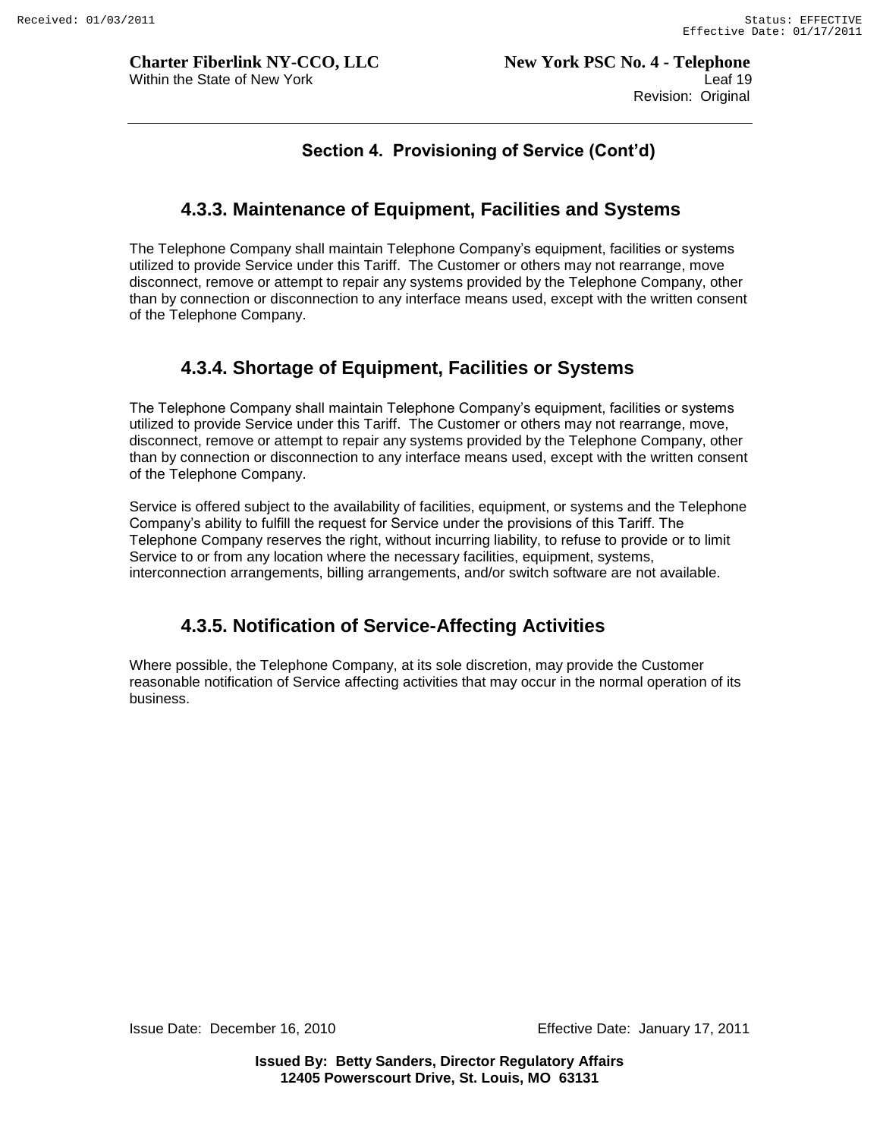# **4.3.3. Maintenance of Equipment, Facilities and Systems**

The Telephone Company shall maintain Telephone Company"s equipment, facilities or systems utilized to provide Service under this Tariff. The Customer or others may not rearrange, move disconnect, remove or attempt to repair any systems provided by the Telephone Company, other than by connection or disconnection to any interface means used, except with the written consent of the Telephone Company.

# **4.3.4. Shortage of Equipment, Facilities or Systems**

The Telephone Company shall maintain Telephone Company"s equipment, facilities or systems utilized to provide Service under this Tariff. The Customer or others may not rearrange, move, disconnect, remove or attempt to repair any systems provided by the Telephone Company, other than by connection or disconnection to any interface means used, except with the written consent of the Telephone Company.

Service is offered subject to the availability of facilities, equipment, or systems and the Telephone Company"s ability to fulfill the request for Service under the provisions of this Tariff. The Telephone Company reserves the right, without incurring liability, to refuse to provide or to limit Service to or from any location where the necessary facilities, equipment, systems, interconnection arrangements, billing arrangements, and/or switch software are not available.

# **4.3.5. Notification of Service-Affecting Activities**

Where possible, the Telephone Company, at its sole discretion, may provide the Customer reasonable notification of Service affecting activities that may occur in the normal operation of its business.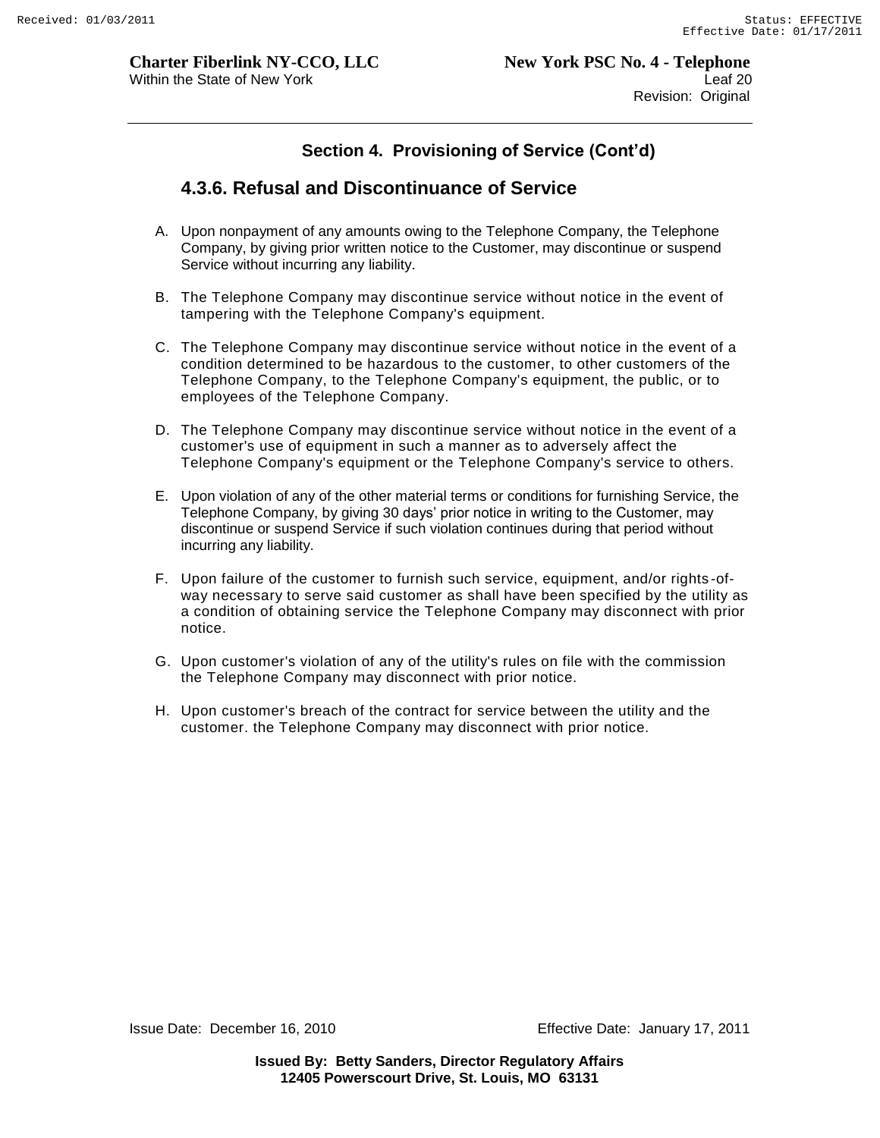## **4.3.6. Refusal and Discontinuance of Service**

- A. Upon nonpayment of any amounts owing to the Telephone Company, the Telephone Company, by giving prior written notice to the Customer, may discontinue or suspend Service without incurring any liability.
- B. The Telephone Company may discontinue service without notice in the event of tampering with the Telephone Company's equipment.
- C. The Telephone Company may discontinue service without notice in the event of a condition determined to be hazardous to the customer, to other customers of the Telephone Company, to the Telephone Company's equipment, the public, or to employees of the Telephone Company.
- D. The Telephone Company may discontinue service without notice in the event of a customer's use of equipment in such a manner as to adversely affect the Telephone Company's equipment or the Telephone Company's service to others.
- E. Upon violation of any of the other material terms or conditions for furnishing Service, the Telephone Company, by giving 30 days" prior notice in writing to the Customer, may discontinue or suspend Service if such violation continues during that period without incurring any liability.
- F. Upon failure of the customer to furnish such service, equipment, and/or rights -ofway necessary to serve said customer as shall have been specified by the utility as a condition of obtaining service the Telephone Company may disconnect with prior notice.
- G. Upon customer's violation of any of the utility's rules on file with the commission the Telephone Company may disconnect with prior notice.
- H. Upon customer's breach of the contract for service between the utility and the customer. the Telephone Company may disconnect with prior notice.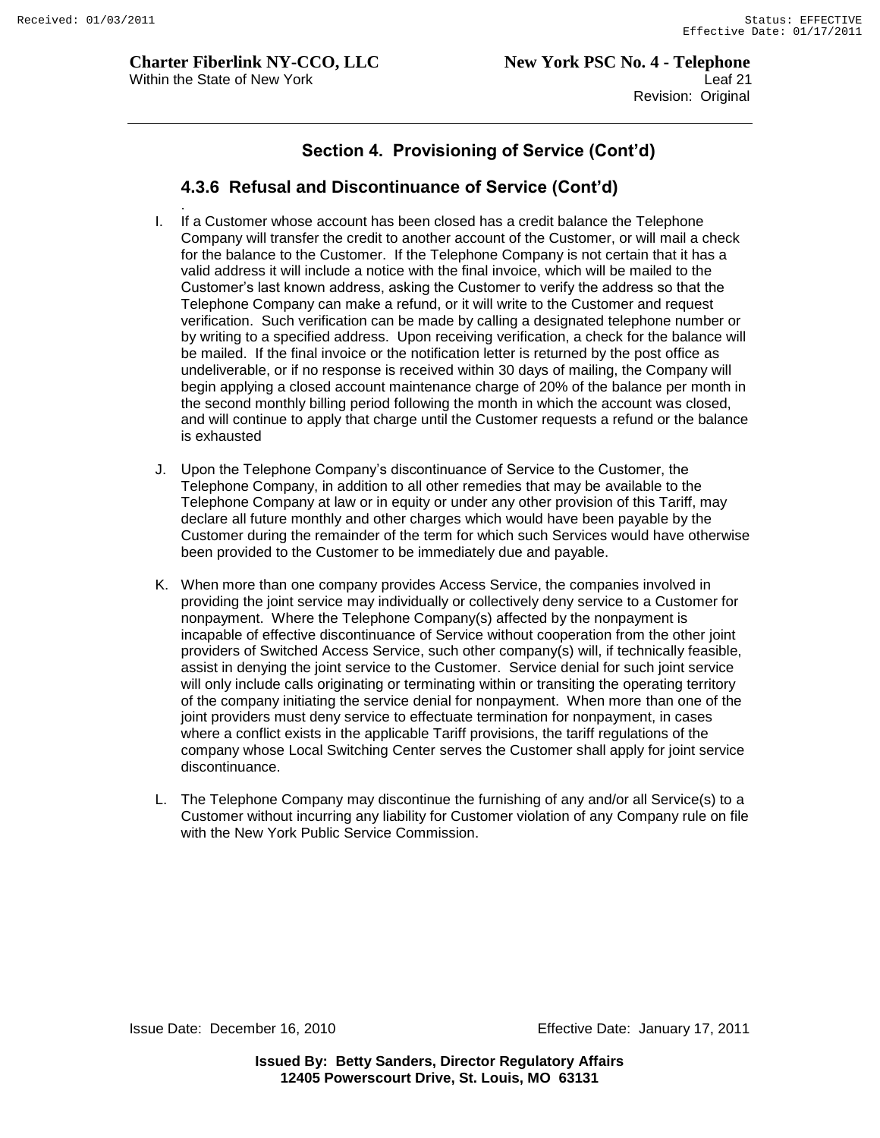### **4.3.6 Refusal and Discontinuance of Service (Cont'd)**

- . I. If a Customer whose account has been closed has a credit balance the Telephone Company will transfer the credit to another account of the Customer, or will mail a check for the balance to the Customer. If the Telephone Company is not certain that it has a valid address it will include a notice with the final invoice, which will be mailed to the Customer"s last known address, asking the Customer to verify the address so that the Telephone Company can make a refund, or it will write to the Customer and request verification. Such verification can be made by calling a designated telephone number or by writing to a specified address. Upon receiving verification, a check for the balance will be mailed. If the final invoice or the notification letter is returned by the post office as undeliverable, or if no response is received within 30 days of mailing, the Company will begin applying a closed account maintenance charge of 20% of the balance per month in the second monthly billing period following the month in which the account was closed, and will continue to apply that charge until the Customer requests a refund or the balance is exhausted
- J. Upon the Telephone Company"s discontinuance of Service to the Customer, the Telephone Company, in addition to all other remedies that may be available to the Telephone Company at law or in equity or under any other provision of this Tariff, may declare all future monthly and other charges which would have been payable by the Customer during the remainder of the term for which such Services would have otherwise been provided to the Customer to be immediately due and payable.
- K. When more than one company provides Access Service, the companies involved in providing the joint service may individually or collectively deny service to a Customer for nonpayment. Where the Telephone Company(s) affected by the nonpayment is incapable of effective discontinuance of Service without cooperation from the other joint providers of Switched Access Service, such other company(s) will, if technically feasible, assist in denying the joint service to the Customer. Service denial for such joint service will only include calls originating or terminating within or transiting the operating territory of the company initiating the service denial for nonpayment. When more than one of the joint providers must deny service to effectuate termination for nonpayment, in cases where a conflict exists in the applicable Tariff provisions, the tariff regulations of the company whose Local Switching Center serves the Customer shall apply for joint service discontinuance.
- L. The Telephone Company may discontinue the furnishing of any and/or all Service(s) to a Customer without incurring any liability for Customer violation of any Company rule on file with the New York Public Service Commission.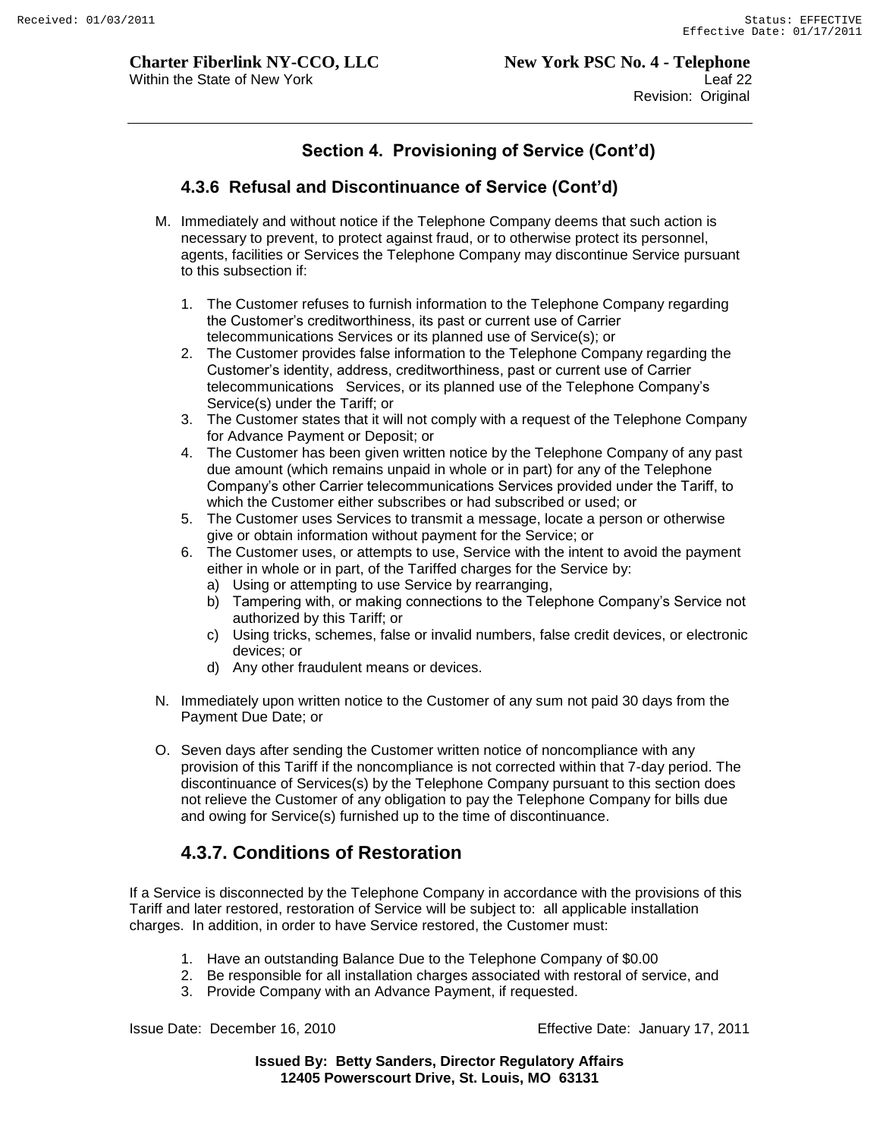### **4.3.6 Refusal and Discontinuance of Service (Cont'd)**

- M. Immediately and without notice if the Telephone Company deems that such action is necessary to prevent, to protect against fraud, or to otherwise protect its personnel, agents, facilities or Services the Telephone Company may discontinue Service pursuant to this subsection if:
	- 1. The Customer refuses to furnish information to the Telephone Company regarding the Customer"s creditworthiness, its past or current use of Carrier telecommunications Services or its planned use of Service(s); or
	- 2. The Customer provides false information to the Telephone Company regarding the Customer"s identity, address, creditworthiness, past or current use of Carrier telecommunications Services, or its planned use of the Telephone Company"s Service(s) under the Tariff; or
	- 3. The Customer states that it will not comply with a request of the Telephone Company for Advance Payment or Deposit; or
	- 4. The Customer has been given written notice by the Telephone Company of any past due amount (which remains unpaid in whole or in part) for any of the Telephone Company"s other Carrier telecommunications Services provided under the Tariff, to which the Customer either subscribes or had subscribed or used; or
	- 5. The Customer uses Services to transmit a message, locate a person or otherwise give or obtain information without payment for the Service; or
	- 6. The Customer uses, or attempts to use, Service with the intent to avoid the payment either in whole or in part, of the Tariffed charges for the Service by:
		- a) Using or attempting to use Service by rearranging,
		- b) Tampering with, or making connections to the Telephone Company"s Service not authorized by this Tariff; or
		- c) Using tricks, schemes, false or invalid numbers, false credit devices, or electronic devices; or
		- d) Any other fraudulent means or devices.
- N. Immediately upon written notice to the Customer of any sum not paid 30 days from the Payment Due Date; or
- O. Seven days after sending the Customer written notice of noncompliance with any provision of this Tariff if the noncompliance is not corrected within that 7-day period. The discontinuance of Services(s) by the Telephone Company pursuant to this section does not relieve the Customer of any obligation to pay the Telephone Company for bills due and owing for Service(s) furnished up to the time of discontinuance.

# **4.3.7. Conditions of Restoration**

If a Service is disconnected by the Telephone Company in accordance with the provisions of this Tariff and later restored, restoration of Service will be subject to: all applicable installation charges. In addition, in order to have Service restored, the Customer must:

- 1. Have an outstanding Balance Due to the Telephone Company of \$0.00
- 2. Be responsible for all installation charges associated with restoral of service, and
- 3. Provide Company with an Advance Payment, if requested.

Issue Date: December 16, 2010 Effective Date: January 17, 2011

**Issued By: Betty Sanders, Director Regulatory Affairs 12405 Powerscourt Drive, St. Louis, MO 63131**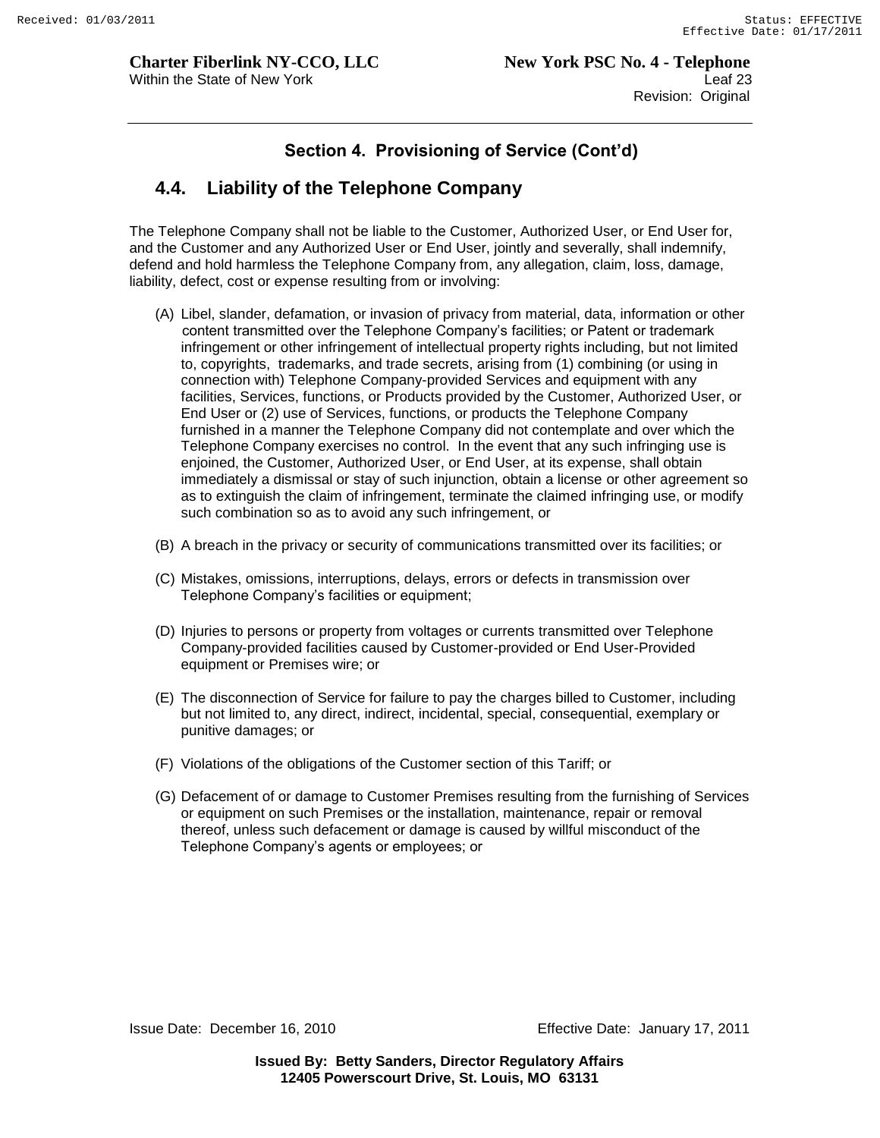# **4.4. Liability of the Telephone Company**

The Telephone Company shall not be liable to the Customer, Authorized User, or End User for, and the Customer and any Authorized User or End User, jointly and severally, shall indemnify, defend and hold harmless the Telephone Company from, any allegation, claim, loss, damage, liability, defect, cost or expense resulting from or involving:

- (A) Libel, slander, defamation, or invasion of privacy from material, data, information or other content transmitted over the Telephone Company"s facilities; or Patent or trademark infringement or other infringement of intellectual property rights including, but not limited to, copyrights, trademarks, and trade secrets, arising from (1) combining (or using in connection with) Telephone Company-provided Services and equipment with any facilities, Services, functions, or Products provided by the Customer, Authorized User, or End User or (2) use of Services, functions, or products the Telephone Company furnished in a manner the Telephone Company did not contemplate and over which the Telephone Company exercises no control. In the event that any such infringing use is enjoined, the Customer, Authorized User, or End User, at its expense, shall obtain immediately a dismissal or stay of such injunction, obtain a license or other agreement so as to extinguish the claim of infringement, terminate the claimed infringing use, or modify such combination so as to avoid any such infringement, or
- (B) A breach in the privacy or security of communications transmitted over its facilities; or
- (C) Mistakes, omissions, interruptions, delays, errors or defects in transmission over Telephone Company"s facilities or equipment;
- (D) Injuries to persons or property from voltages or currents transmitted over Telephone Company-provided facilities caused by Customer-provided or End User-Provided equipment or Premises wire; or
- (E) The disconnection of Service for failure to pay the charges billed to Customer, including but not limited to, any direct, indirect, incidental, special, consequential, exemplary or punitive damages; or
- (F) Violations of the obligations of the Customer section of this Tariff; or
- (G) Defacement of or damage to Customer Premises resulting from the furnishing of Services or equipment on such Premises or the installation, maintenance, repair or removal thereof, unless such defacement or damage is caused by willful misconduct of the Telephone Company"s agents or employees; or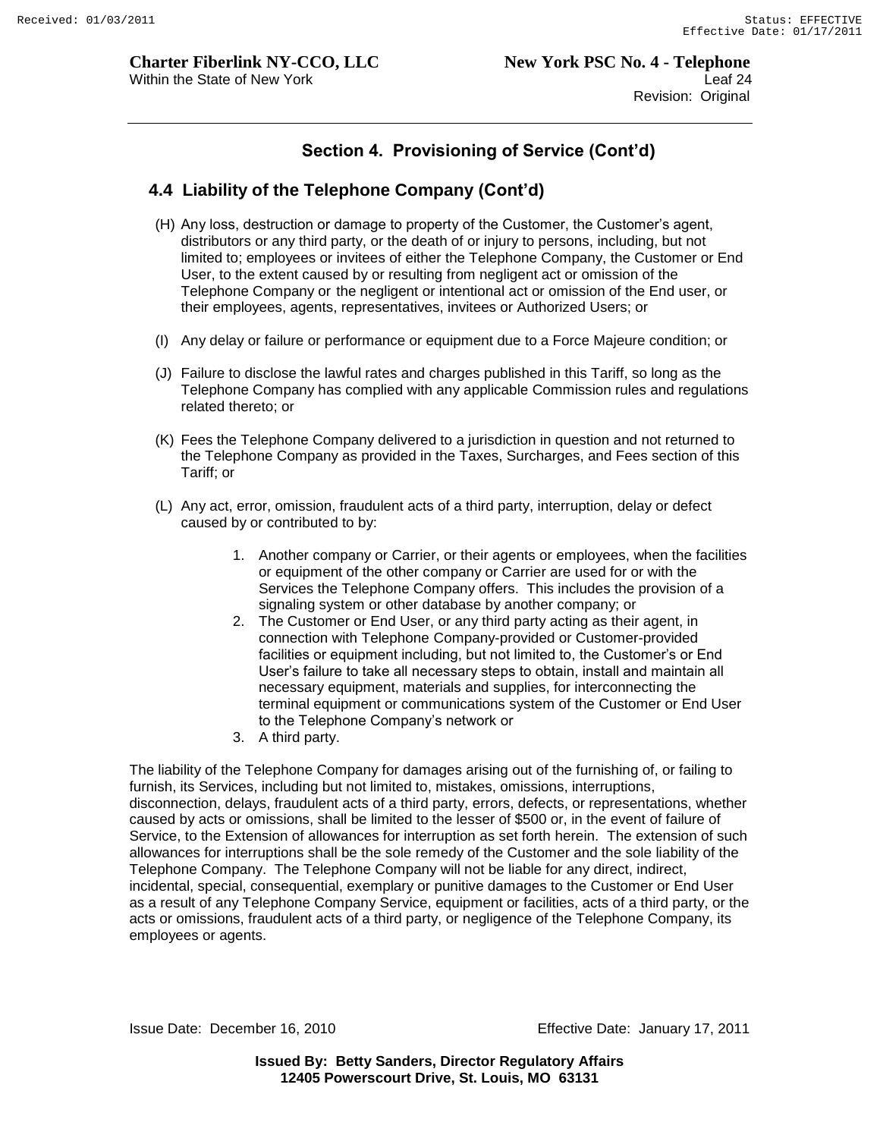## **4.4 Liability of the Telephone Company (Cont'd)**

- (H) Any loss, destruction or damage to property of the Customer, the Customer"s agent, distributors or any third party, or the death of or injury to persons, including, but not limited to; employees or invitees of either the Telephone Company, the Customer or End User, to the extent caused by or resulting from negligent act or omission of the Telephone Company or the negligent or intentional act or omission of the End user, or their employees, agents, representatives, invitees or Authorized Users; or
- (I) Any delay or failure or performance or equipment due to a Force Majeure condition; or
- (J) Failure to disclose the lawful rates and charges published in this Tariff, so long as the Telephone Company has complied with any applicable Commission rules and regulations related thereto; or
- (K) Fees the Telephone Company delivered to a jurisdiction in question and not returned to the Telephone Company as provided in the Taxes, Surcharges, and Fees section of this Tariff; or
- (L) Any act, error, omission, fraudulent acts of a third party, interruption, delay or defect caused by or contributed to by:
	- 1. Another company or Carrier, or their agents or employees, when the facilities or equipment of the other company or Carrier are used for or with the Services the Telephone Company offers. This includes the provision of a signaling system or other database by another company; or
	- 2. The Customer or End User, or any third party acting as their agent, in connection with Telephone Company-provided or Customer-provided facilities or equipment including, but not limited to, the Customer's or End User"s failure to take all necessary steps to obtain, install and maintain all necessary equipment, materials and supplies, for interconnecting the terminal equipment or communications system of the Customer or End User to the Telephone Company"s network or
	- 3. A third party.

The liability of the Telephone Company for damages arising out of the furnishing of, or failing to furnish, its Services, including but not limited to, mistakes, omissions, interruptions, disconnection, delays, fraudulent acts of a third party, errors, defects, or representations, whether caused by acts or omissions, shall be limited to the lesser of \$500 or, in the event of failure of Service, to the Extension of allowances for interruption as set forth herein. The extension of such allowances for interruptions shall be the sole remedy of the Customer and the sole liability of the Telephone Company. The Telephone Company will not be liable for any direct, indirect, incidental, special, consequential, exemplary or punitive damages to the Customer or End User as a result of any Telephone Company Service, equipment or facilities, acts of a third party, or the acts or omissions, fraudulent acts of a third party, or negligence of the Telephone Company, its employees or agents.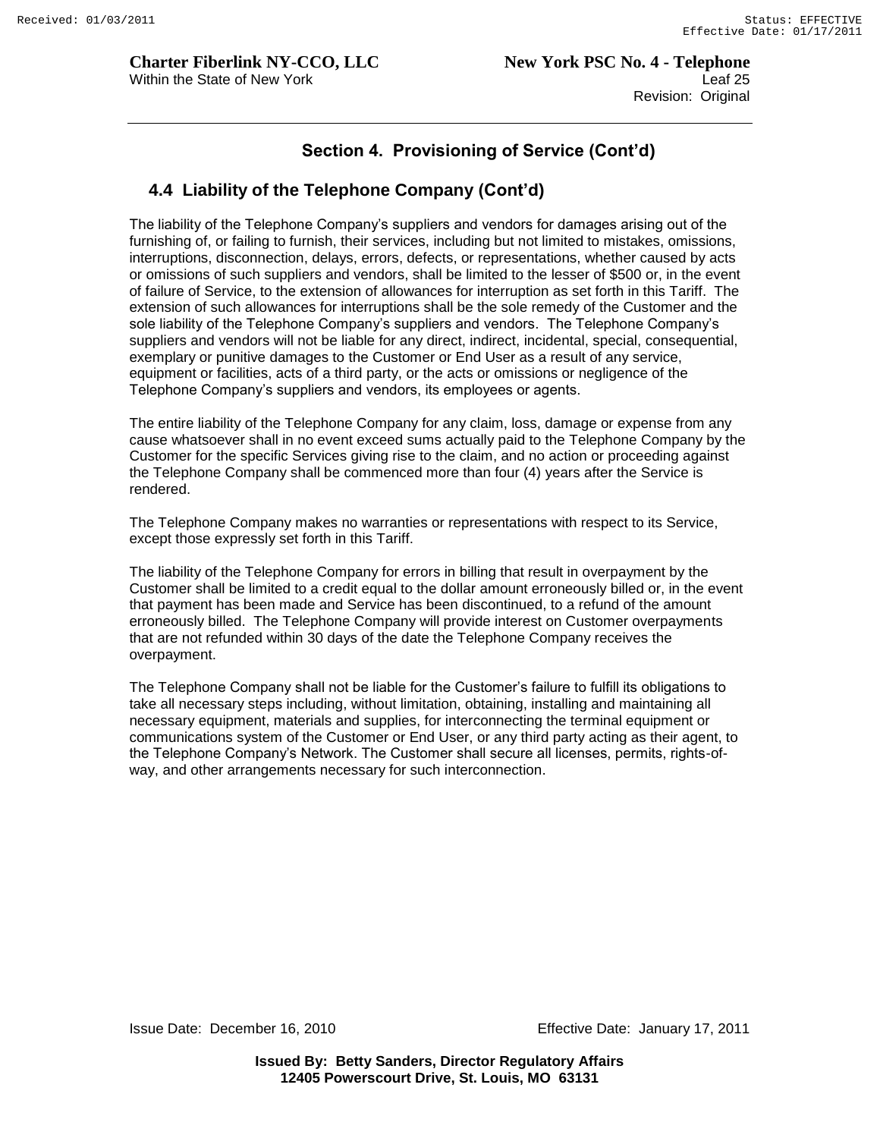## **4.4 Liability of the Telephone Company (Cont'd)**

The liability of the Telephone Company"s suppliers and vendors for damages arising out of the furnishing of, or failing to furnish, their services, including but not limited to mistakes, omissions, interruptions, disconnection, delays, errors, defects, or representations, whether caused by acts or omissions of such suppliers and vendors, shall be limited to the lesser of \$500 or, in the event of failure of Service, to the extension of allowances for interruption as set forth in this Tariff. The extension of such allowances for interruptions shall be the sole remedy of the Customer and the sole liability of the Telephone Company's suppliers and vendors. The Telephone Company's suppliers and vendors will not be liable for any direct, indirect, incidental, special, consequential, exemplary or punitive damages to the Customer or End User as a result of any service, equipment or facilities, acts of a third party, or the acts or omissions or negligence of the Telephone Company"s suppliers and vendors, its employees or agents.

The entire liability of the Telephone Company for any claim, loss, damage or expense from any cause whatsoever shall in no event exceed sums actually paid to the Telephone Company by the Customer for the specific Services giving rise to the claim, and no action or proceeding against the Telephone Company shall be commenced more than four (4) years after the Service is rendered.

The Telephone Company makes no warranties or representations with respect to its Service, except those expressly set forth in this Tariff.

The liability of the Telephone Company for errors in billing that result in overpayment by the Customer shall be limited to a credit equal to the dollar amount erroneously billed or, in the event that payment has been made and Service has been discontinued, to a refund of the amount erroneously billed. The Telephone Company will provide interest on Customer overpayments that are not refunded within 30 days of the date the Telephone Company receives the overpayment.

The Telephone Company shall not be liable for the Customer"s failure to fulfill its obligations to take all necessary steps including, without limitation, obtaining, installing and maintaining all necessary equipment, materials and supplies, for interconnecting the terminal equipment or communications system of the Customer or End User, or any third party acting as their agent, to the Telephone Company"s Network. The Customer shall secure all licenses, permits, rights-ofway, and other arrangements necessary for such interconnection.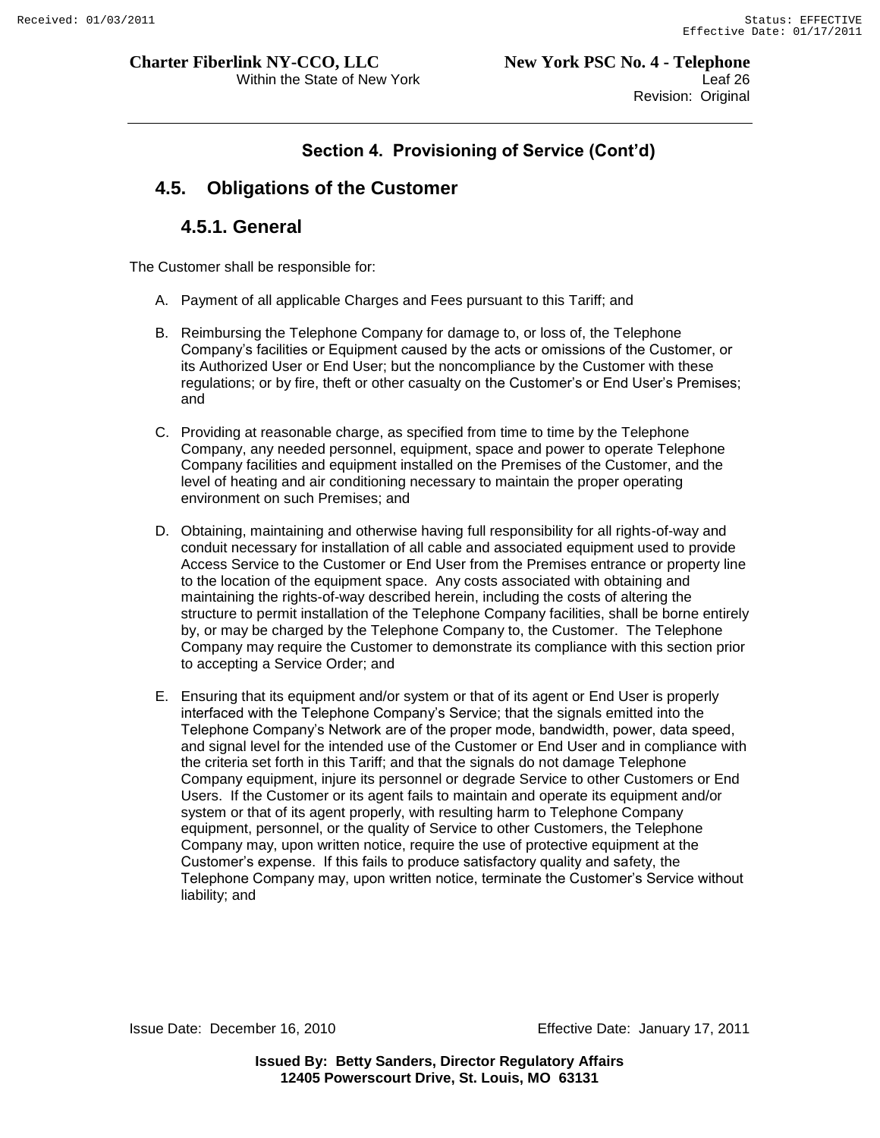# **4.5. Obligations of the Customer**

### **4.5.1. General**

The Customer shall be responsible for:

- A. Payment of all applicable Charges and Fees pursuant to this Tariff; and
- B. Reimbursing the Telephone Company for damage to, or loss of, the Telephone Company"s facilities or Equipment caused by the acts or omissions of the Customer, or its Authorized User or End User; but the noncompliance by the Customer with these regulations; or by fire, theft or other casualty on the Customer"s or End User"s Premises; and
- C. Providing at reasonable charge, as specified from time to time by the Telephone Company, any needed personnel, equipment, space and power to operate Telephone Company facilities and equipment installed on the Premises of the Customer, and the level of heating and air conditioning necessary to maintain the proper operating environment on such Premises; and
- D. Obtaining, maintaining and otherwise having full responsibility for all rights-of-way and conduit necessary for installation of all cable and associated equipment used to provide Access Service to the Customer or End User from the Premises entrance or property line to the location of the equipment space. Any costs associated with obtaining and maintaining the rights-of-way described herein, including the costs of altering the structure to permit installation of the Telephone Company facilities, shall be borne entirely by, or may be charged by the Telephone Company to, the Customer. The Telephone Company may require the Customer to demonstrate its compliance with this section prior to accepting a Service Order; and
- E. Ensuring that its equipment and/or system or that of its agent or End User is properly interfaced with the Telephone Company"s Service; that the signals emitted into the Telephone Company"s Network are of the proper mode, bandwidth, power, data speed, and signal level for the intended use of the Customer or End User and in compliance with the criteria set forth in this Tariff; and that the signals do not damage Telephone Company equipment, injure its personnel or degrade Service to other Customers or End Users. If the Customer or its agent fails to maintain and operate its equipment and/or system or that of its agent properly, with resulting harm to Telephone Company equipment, personnel, or the quality of Service to other Customers, the Telephone Company may, upon written notice, require the use of protective equipment at the Customer"s expense. If this fails to produce satisfactory quality and safety, the Telephone Company may, upon written notice, terminate the Customer"s Service without liability; and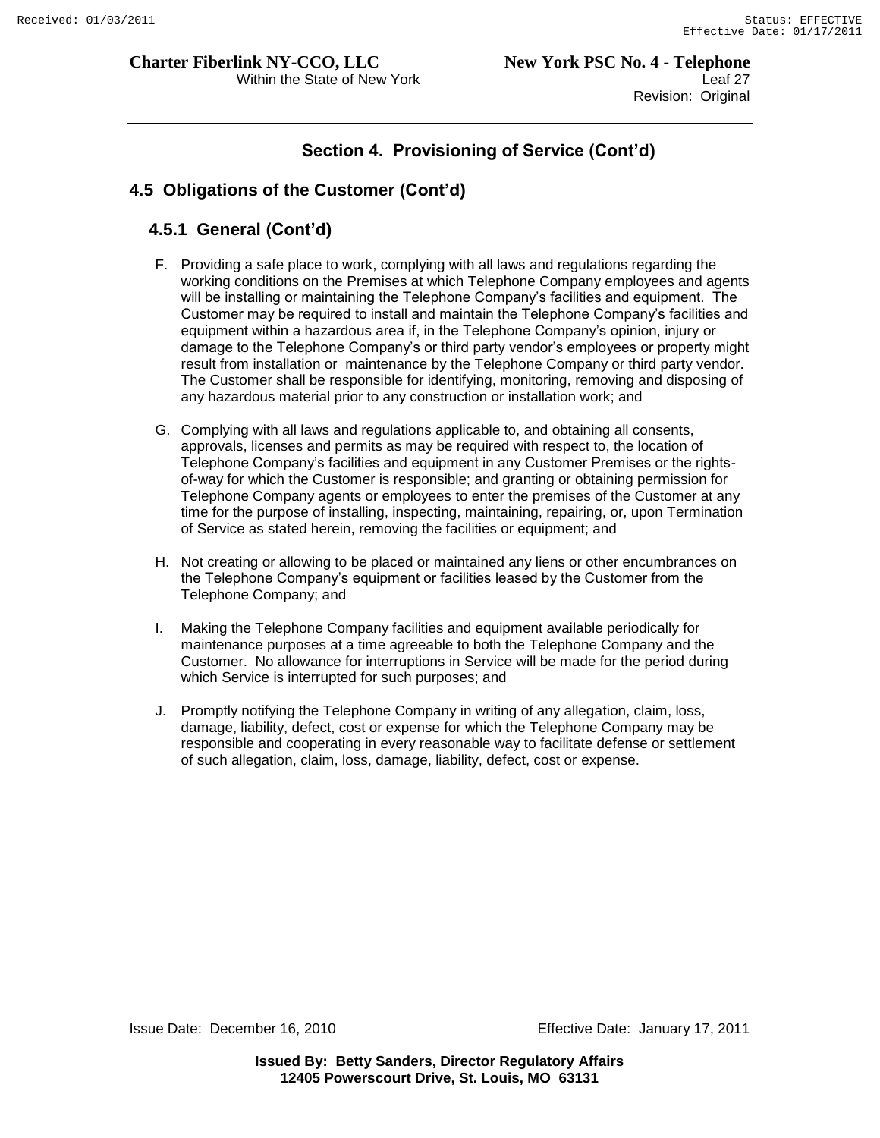Within the State of New York **Leaf 27 Leaf 27** Revision: Original

# **Section 4. Provisioning of Service (Cont'd)**

#### **4.5 Obligations of the Customer (Cont'd)**

#### **4.5.1 General (Cont'd)**

- F. Providing a safe place to work, complying with all laws and regulations regarding the working conditions on the Premises at which Telephone Company employees and agents will be installing or maintaining the Telephone Company"s facilities and equipment. The Customer may be required to install and maintain the Telephone Company"s facilities and equipment within a hazardous area if, in the Telephone Company"s opinion, injury or damage to the Telephone Company"s or third party vendor"s employees or property might result from installation or maintenance by the Telephone Company or third party vendor. The Customer shall be responsible for identifying, monitoring, removing and disposing of any hazardous material prior to any construction or installation work; and
- G. Complying with all laws and regulations applicable to, and obtaining all consents, approvals, licenses and permits as may be required with respect to, the location of Telephone Company"s facilities and equipment in any Customer Premises or the rightsof-way for which the Customer is responsible; and granting or obtaining permission for Telephone Company agents or employees to enter the premises of the Customer at any time for the purpose of installing, inspecting, maintaining, repairing, or, upon Termination of Service as stated herein, removing the facilities or equipment; and
- H. Not creating or allowing to be placed or maintained any liens or other encumbrances on the Telephone Company"s equipment or facilities leased by the Customer from the Telephone Company; and
- I. Making the Telephone Company facilities and equipment available periodically for maintenance purposes at a time agreeable to both the Telephone Company and the Customer. No allowance for interruptions in Service will be made for the period during which Service is interrupted for such purposes; and
- J. Promptly notifying the Telephone Company in writing of any allegation, claim, loss, damage, liability, defect, cost or expense for which the Telephone Company may be responsible and cooperating in every reasonable way to facilitate defense or settlement of such allegation, claim, loss, damage, liability, defect, cost or expense.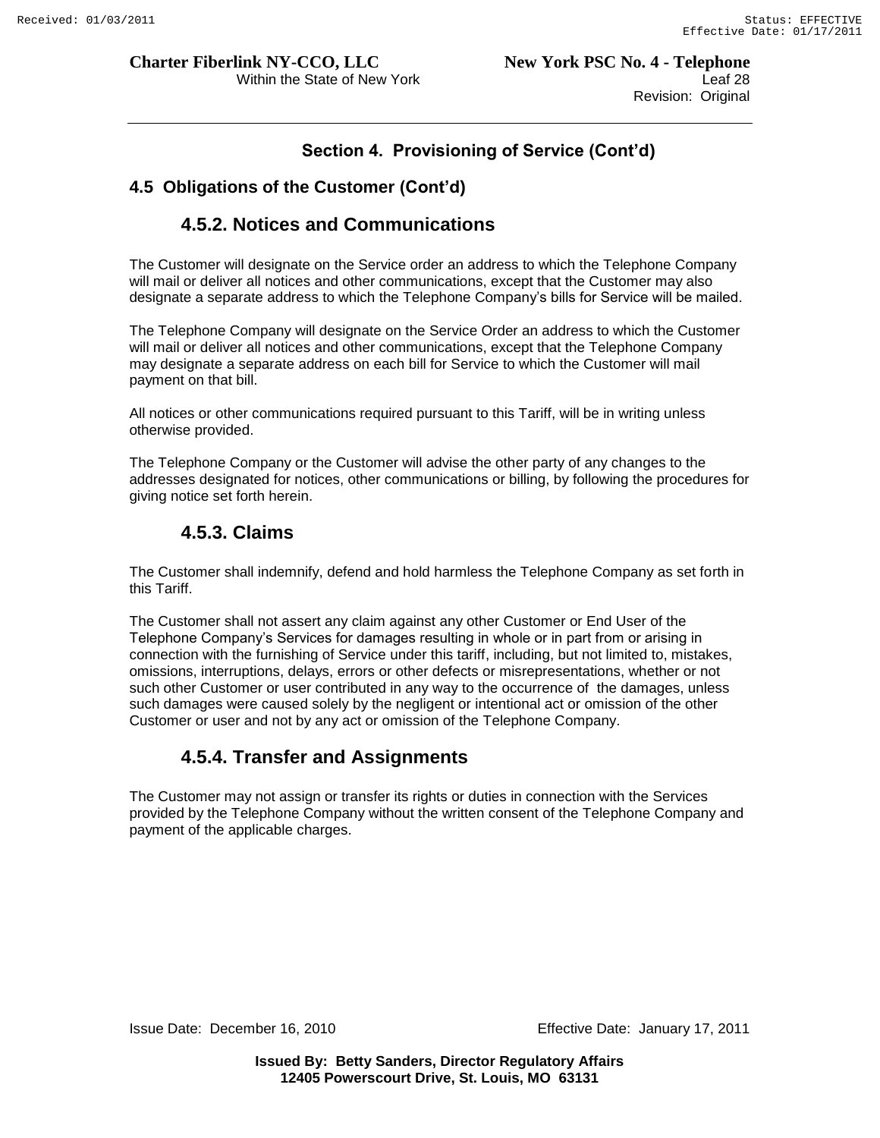## **4.5 Obligations of the Customer (Cont'd)**

# **4.5.2. Notices and Communications**

The Customer will designate on the Service order an address to which the Telephone Company will mail or deliver all notices and other communications, except that the Customer may also designate a separate address to which the Telephone Company"s bills for Service will be mailed.

The Telephone Company will designate on the Service Order an address to which the Customer will mail or deliver all notices and other communications, except that the Telephone Company may designate a separate address on each bill for Service to which the Customer will mail payment on that bill.

All notices or other communications required pursuant to this Tariff, will be in writing unless otherwise provided.

The Telephone Company or the Customer will advise the other party of any changes to the addresses designated for notices, other communications or billing, by following the procedures for giving notice set forth herein.

# **4.5.3. Claims**

The Customer shall indemnify, defend and hold harmless the Telephone Company as set forth in this Tariff.

The Customer shall not assert any claim against any other Customer or End User of the Telephone Company"s Services for damages resulting in whole or in part from or arising in connection with the furnishing of Service under this tariff, including, but not limited to, mistakes, omissions, interruptions, delays, errors or other defects or misrepresentations, whether or not such other Customer or user contributed in any way to the occurrence of the damages, unless such damages were caused solely by the negligent or intentional act or omission of the other Customer or user and not by any act or omission of the Telephone Company.

# **4.5.4. Transfer and Assignments**

The Customer may not assign or transfer its rights or duties in connection with the Services provided by the Telephone Company without the written consent of the Telephone Company and payment of the applicable charges.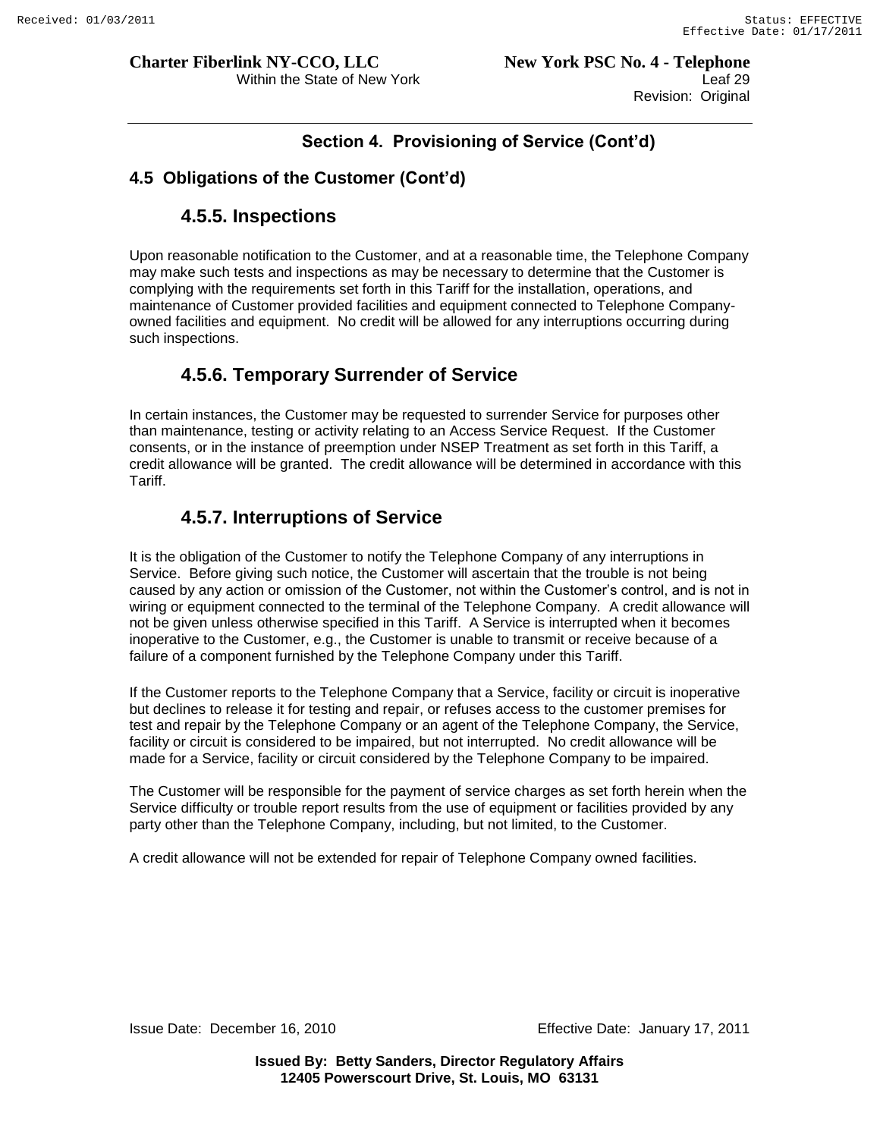# **4.5 Obligations of the Customer (Cont'd)**

# **4.5.5. Inspections**

Upon reasonable notification to the Customer, and at a reasonable time, the Telephone Company may make such tests and inspections as may be necessary to determine that the Customer is complying with the requirements set forth in this Tariff for the installation, operations, and maintenance of Customer provided facilities and equipment connected to Telephone Companyowned facilities and equipment. No credit will be allowed for any interruptions occurring during such inspections.

# **4.5.6. Temporary Surrender of Service**

In certain instances, the Customer may be requested to surrender Service for purposes other than maintenance, testing or activity relating to an Access Service Request. If the Customer consents, or in the instance of preemption under NSEP Treatment as set forth in this Tariff, a credit allowance will be granted. The credit allowance will be determined in accordance with this Tariff.

# **4.5.7. Interruptions of Service**

It is the obligation of the Customer to notify the Telephone Company of any interruptions in Service. Before giving such notice, the Customer will ascertain that the trouble is not being caused by any action or omission of the Customer, not within the Customer"s control, and is not in wiring or equipment connected to the terminal of the Telephone Company. A credit allowance will not be given unless otherwise specified in this Tariff. A Service is interrupted when it becomes inoperative to the Customer, e.g., the Customer is unable to transmit or receive because of a failure of a component furnished by the Telephone Company under this Tariff.

If the Customer reports to the Telephone Company that a Service, facility or circuit is inoperative but declines to release it for testing and repair, or refuses access to the customer premises for test and repair by the Telephone Company or an agent of the Telephone Company, the Service, facility or circuit is considered to be impaired, but not interrupted. No credit allowance will be made for a Service, facility or circuit considered by the Telephone Company to be impaired.

The Customer will be responsible for the payment of service charges as set forth herein when the Service difficulty or trouble report results from the use of equipment or facilities provided by any party other than the Telephone Company, including, but not limited, to the Customer.

A credit allowance will not be extended for repair of Telephone Company owned facilities.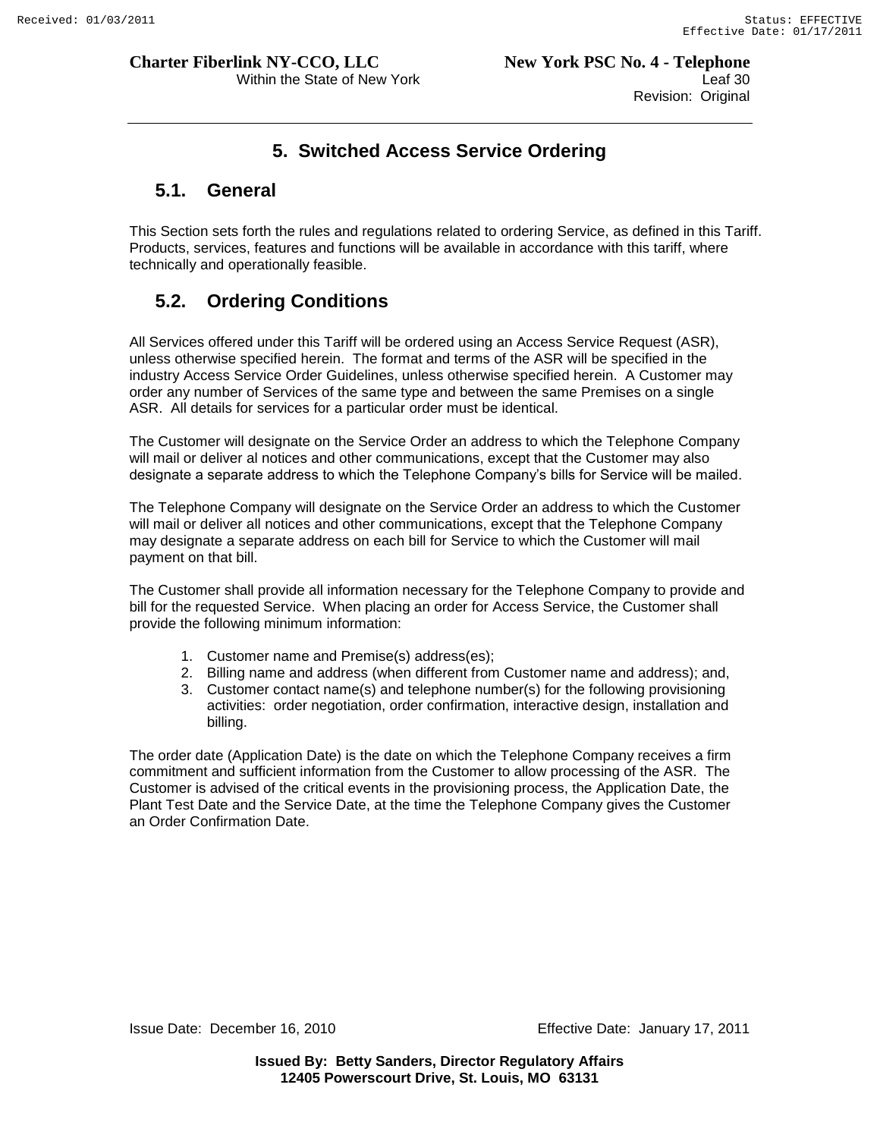**Charter Fiberlink NY-CCO, LLC** New York PSC No. 4 - Telephone Within the State of New York **Leaf 30** Revision: Original

# **5. Switched Access Service Ordering**

## **5.1. General**

This Section sets forth the rules and regulations related to ordering Service, as defined in this Tariff. Products, services, features and functions will be available in accordance with this tariff, where technically and operationally feasible.

# **5.2. Ordering Conditions**

All Services offered under this Tariff will be ordered using an Access Service Request (ASR), unless otherwise specified herein. The format and terms of the ASR will be specified in the industry Access Service Order Guidelines, unless otherwise specified herein. A Customer may order any number of Services of the same type and between the same Premises on a single ASR. All details for services for a particular order must be identical.

The Customer will designate on the Service Order an address to which the Telephone Company will mail or deliver al notices and other communications, except that the Customer may also designate a separate address to which the Telephone Company"s bills for Service will be mailed.

The Telephone Company will designate on the Service Order an address to which the Customer will mail or deliver all notices and other communications, except that the Telephone Company may designate a separate address on each bill for Service to which the Customer will mail payment on that bill.

The Customer shall provide all information necessary for the Telephone Company to provide and bill for the requested Service. When placing an order for Access Service, the Customer shall provide the following minimum information:

- 1. Customer name and Premise(s) address(es);
- 2. Billing name and address (when different from Customer name and address); and,
- 3. Customer contact name(s) and telephone number(s) for the following provisioning activities: order negotiation, order confirmation, interactive design, installation and billing.

The order date (Application Date) is the date on which the Telephone Company receives a firm commitment and sufficient information from the Customer to allow processing of the ASR. The Customer is advised of the critical events in the provisioning process, the Application Date, the Plant Test Date and the Service Date, at the time the Telephone Company gives the Customer an Order Confirmation Date.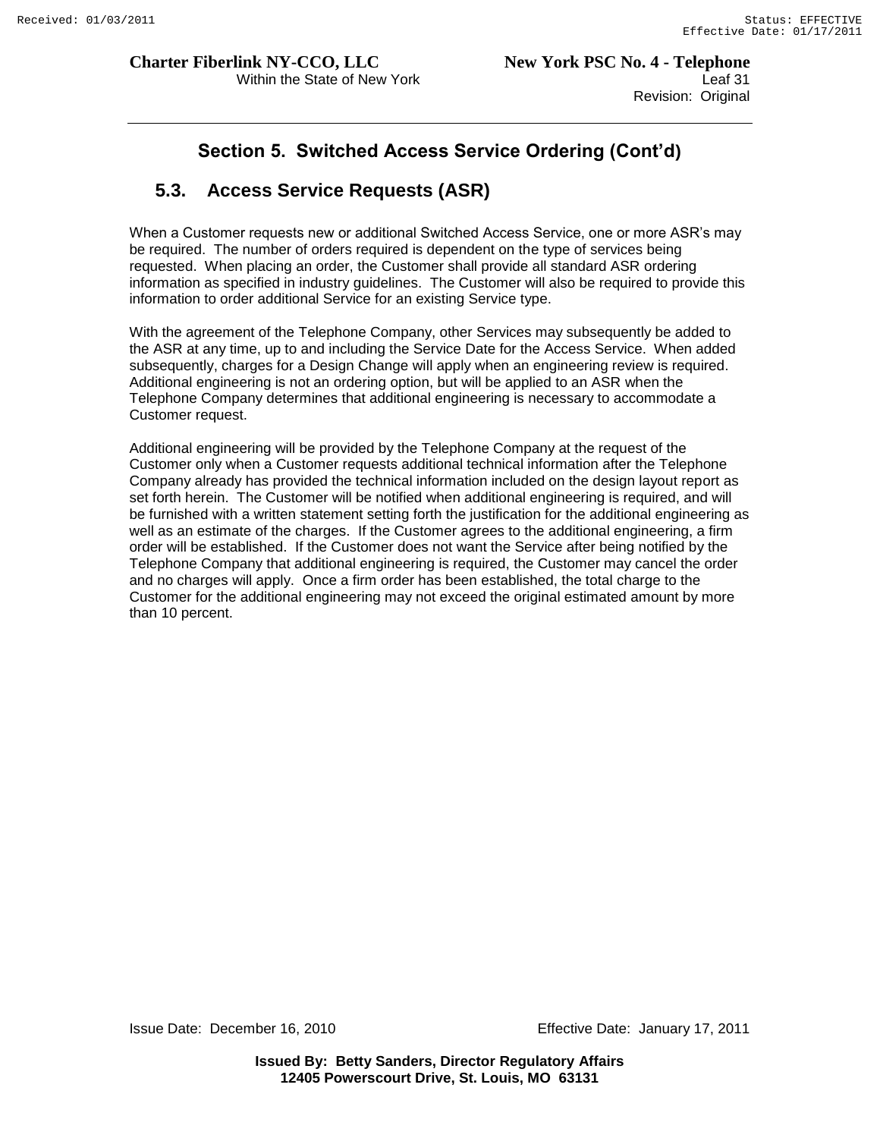# **Section 5. Switched Access Service Ordering (Cont'd)**

# **5.3. Access Service Requests (ASR)**

When a Customer requests new or additional Switched Access Service, one or more ASR"s may be required. The number of orders required is dependent on the type of services being requested. When placing an order, the Customer shall provide all standard ASR ordering information as specified in industry guidelines. The Customer will also be required to provide this information to order additional Service for an existing Service type.

With the agreement of the Telephone Company, other Services may subsequently be added to the ASR at any time, up to and including the Service Date for the Access Service. When added subsequently, charges for a Design Change will apply when an engineering review is required. Additional engineering is not an ordering option, but will be applied to an ASR when the Telephone Company determines that additional engineering is necessary to accommodate a Customer request.

Additional engineering will be provided by the Telephone Company at the request of the Customer only when a Customer requests additional technical information after the Telephone Company already has provided the technical information included on the design layout report as set forth herein. The Customer will be notified when additional engineering is required, and will be furnished with a written statement setting forth the justification for the additional engineering as well as an estimate of the charges. If the Customer agrees to the additional engineering, a firm order will be established. If the Customer does not want the Service after being notified by the Telephone Company that additional engineering is required, the Customer may cancel the order and no charges will apply. Once a firm order has been established, the total charge to the Customer for the additional engineering may not exceed the original estimated amount by more than 10 percent.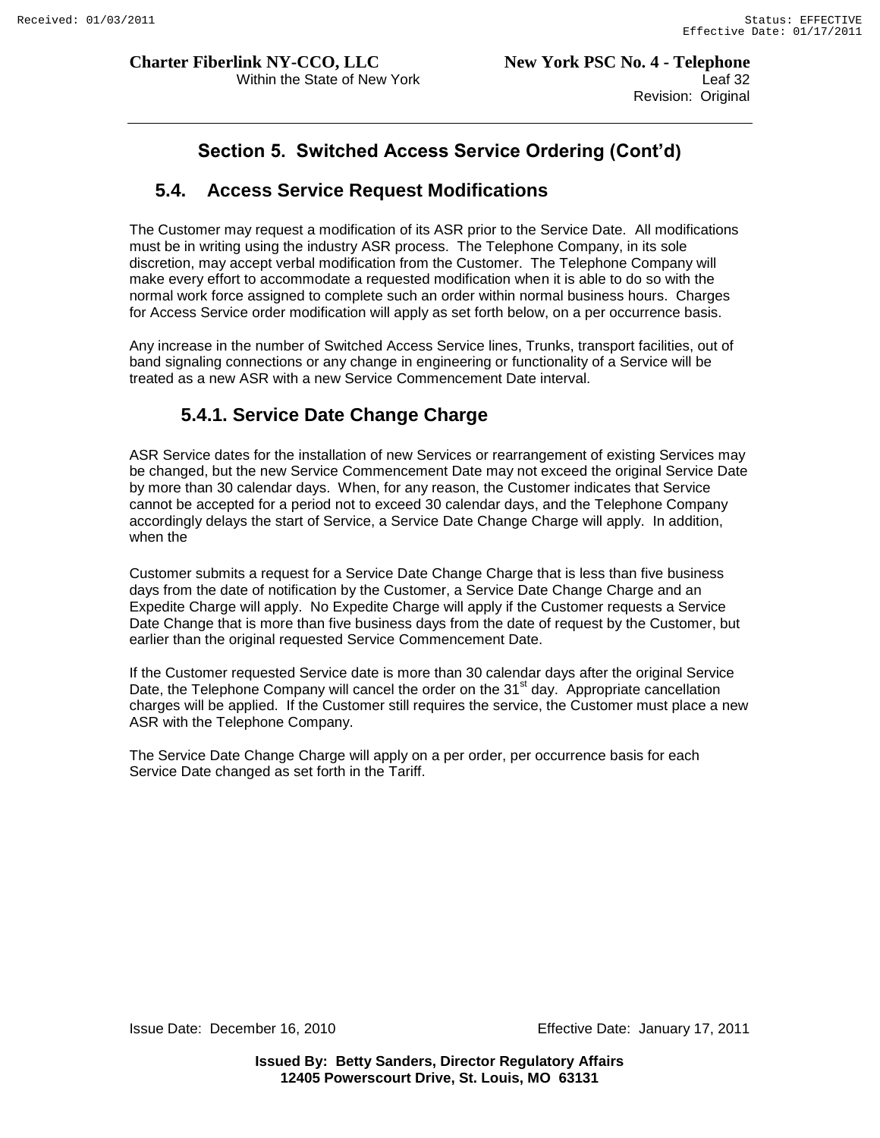# **Section 5. Switched Access Service Ordering (Cont'd)**

# **5.4. Access Service Request Modifications**

The Customer may request a modification of its ASR prior to the Service Date. All modifications must be in writing using the industry ASR process. The Telephone Company, in its sole discretion, may accept verbal modification from the Customer. The Telephone Company will make every effort to accommodate a requested modification when it is able to do so with the normal work force assigned to complete such an order within normal business hours. Charges for Access Service order modification will apply as set forth below, on a per occurrence basis.

Any increase in the number of Switched Access Service lines, Trunks, transport facilities, out of band signaling connections or any change in engineering or functionality of a Service will be treated as a new ASR with a new Service Commencement Date interval.

# **5.4.1. Service Date Change Charge**

ASR Service dates for the installation of new Services or rearrangement of existing Services may be changed, but the new Service Commencement Date may not exceed the original Service Date by more than 30 calendar days. When, for any reason, the Customer indicates that Service cannot be accepted for a period not to exceed 30 calendar days, and the Telephone Company accordingly delays the start of Service, a Service Date Change Charge will apply. In addition, when the

Customer submits a request for a Service Date Change Charge that is less than five business days from the date of notification by the Customer, a Service Date Change Charge and an Expedite Charge will apply. No Expedite Charge will apply if the Customer requests a Service Date Change that is more than five business days from the date of request by the Customer, but earlier than the original requested Service Commencement Date.

If the Customer requested Service date is more than 30 calendar days after the original Service Date, the Telephone Company will cancel the order on the 31 $\mathrm{^{st}}$  day. Appropriate cancellation charges will be applied. If the Customer still requires the service, the Customer must place a new ASR with the Telephone Company.

The Service Date Change Charge will apply on a per order, per occurrence basis for each Service Date changed as set forth in the Tariff.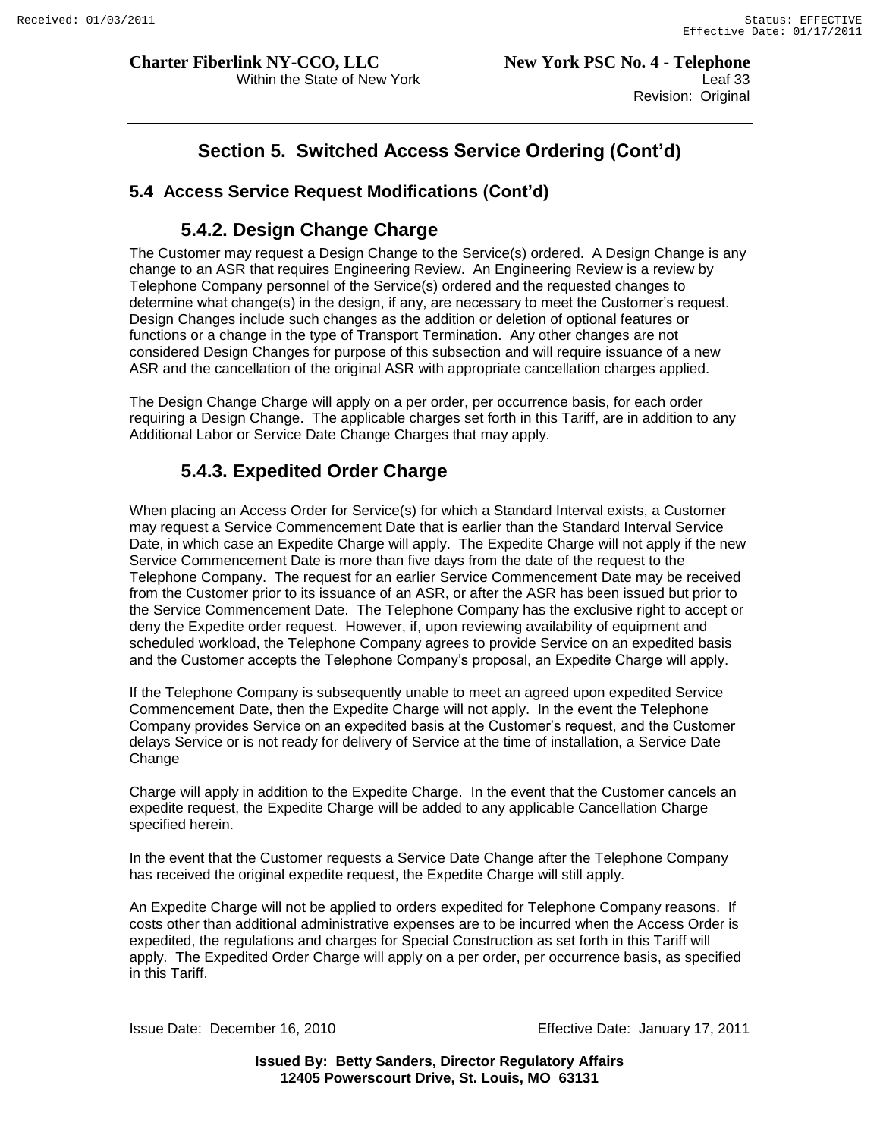Within the State of New York **Leaf 33** Revision: Original

# **Section 5. Switched Access Service Ordering (Cont'd)**

## **5.4 Access Service Request Modifications (Cont'd)**

## **5.4.2. Design Change Charge**

The Customer may request a Design Change to the Service(s) ordered. A Design Change is any change to an ASR that requires Engineering Review. An Engineering Review is a review by Telephone Company personnel of the Service(s) ordered and the requested changes to determine what change(s) in the design, if any, are necessary to meet the Customer"s request. Design Changes include such changes as the addition or deletion of optional features or functions or a change in the type of Transport Termination. Any other changes are not considered Design Changes for purpose of this subsection and will require issuance of a new ASR and the cancellation of the original ASR with appropriate cancellation charges applied.

The Design Change Charge will apply on a per order, per occurrence basis, for each order requiring a Design Change. The applicable charges set forth in this Tariff, are in addition to any Additional Labor or Service Date Change Charges that may apply.

# **5.4.3. Expedited Order Charge**

When placing an Access Order for Service(s) for which a Standard Interval exists, a Customer may request a Service Commencement Date that is earlier than the Standard Interval Service Date, in which case an Expedite Charge will apply. The Expedite Charge will not apply if the new Service Commencement Date is more than five days from the date of the request to the Telephone Company. The request for an earlier Service Commencement Date may be received from the Customer prior to its issuance of an ASR, or after the ASR has been issued but prior to the Service Commencement Date. The Telephone Company has the exclusive right to accept or deny the Expedite order request. However, if, upon reviewing availability of equipment and scheduled workload, the Telephone Company agrees to provide Service on an expedited basis and the Customer accepts the Telephone Company"s proposal, an Expedite Charge will apply.

If the Telephone Company is subsequently unable to meet an agreed upon expedited Service Commencement Date, then the Expedite Charge will not apply. In the event the Telephone Company provides Service on an expedited basis at the Customer"s request, and the Customer delays Service or is not ready for delivery of Service at the time of installation, a Service Date Change

Charge will apply in addition to the Expedite Charge. In the event that the Customer cancels an expedite request, the Expedite Charge will be added to any applicable Cancellation Charge specified herein.

In the event that the Customer requests a Service Date Change after the Telephone Company has received the original expedite request, the Expedite Charge will still apply.

An Expedite Charge will not be applied to orders expedited for Telephone Company reasons. If costs other than additional administrative expenses are to be incurred when the Access Order is expedited, the regulations and charges for Special Construction as set forth in this Tariff will apply. The Expedited Order Charge will apply on a per order, per occurrence basis, as specified in this Tariff.

Issue Date: December 16, 2010 Effective Date: January 17, 2011

**Issued By: Betty Sanders, Director Regulatory Affairs 12405 Powerscourt Drive, St. Louis, MO 63131**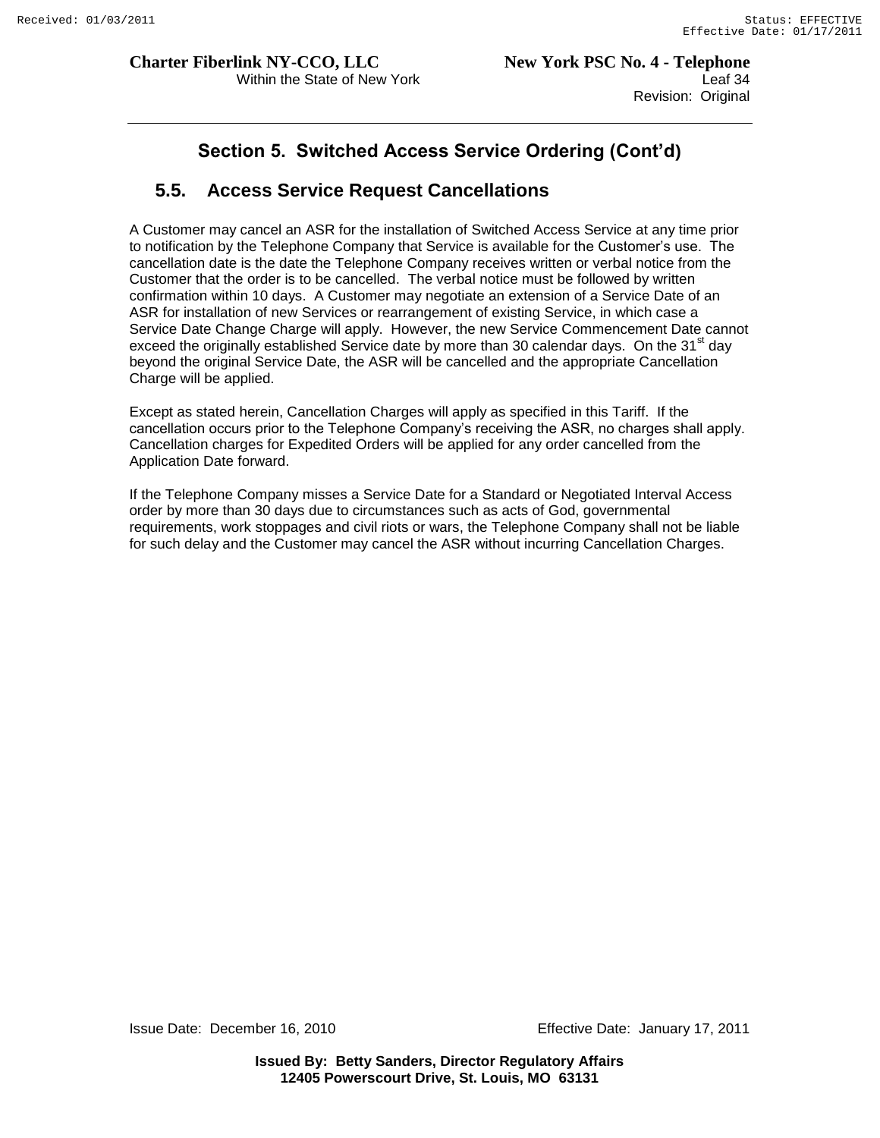# **Section 5. Switched Access Service Ordering (Cont'd)**

# **5.5. Access Service Request Cancellations**

A Customer may cancel an ASR for the installation of Switched Access Service at any time prior to notification by the Telephone Company that Service is available for the Customer"s use. The cancellation date is the date the Telephone Company receives written or verbal notice from the Customer that the order is to be cancelled. The verbal notice must be followed by written confirmation within 10 days. A Customer may negotiate an extension of a Service Date of an ASR for installation of new Services or rearrangement of existing Service, in which case a Service Date Change Charge will apply. However, the new Service Commencement Date cannot exceed the originally established Service date by more than 30 calendar days. On the 31<sup>st</sup> day beyond the original Service Date, the ASR will be cancelled and the appropriate Cancellation Charge will be applied.

Except as stated herein, Cancellation Charges will apply as specified in this Tariff. If the cancellation occurs prior to the Telephone Company"s receiving the ASR, no charges shall apply. Cancellation charges for Expedited Orders will be applied for any order cancelled from the Application Date forward.

If the Telephone Company misses a Service Date for a Standard or Negotiated Interval Access order by more than 30 days due to circumstances such as acts of God, governmental requirements, work stoppages and civil riots or wars, the Telephone Company shall not be liable for such delay and the Customer may cancel the ASR without incurring Cancellation Charges.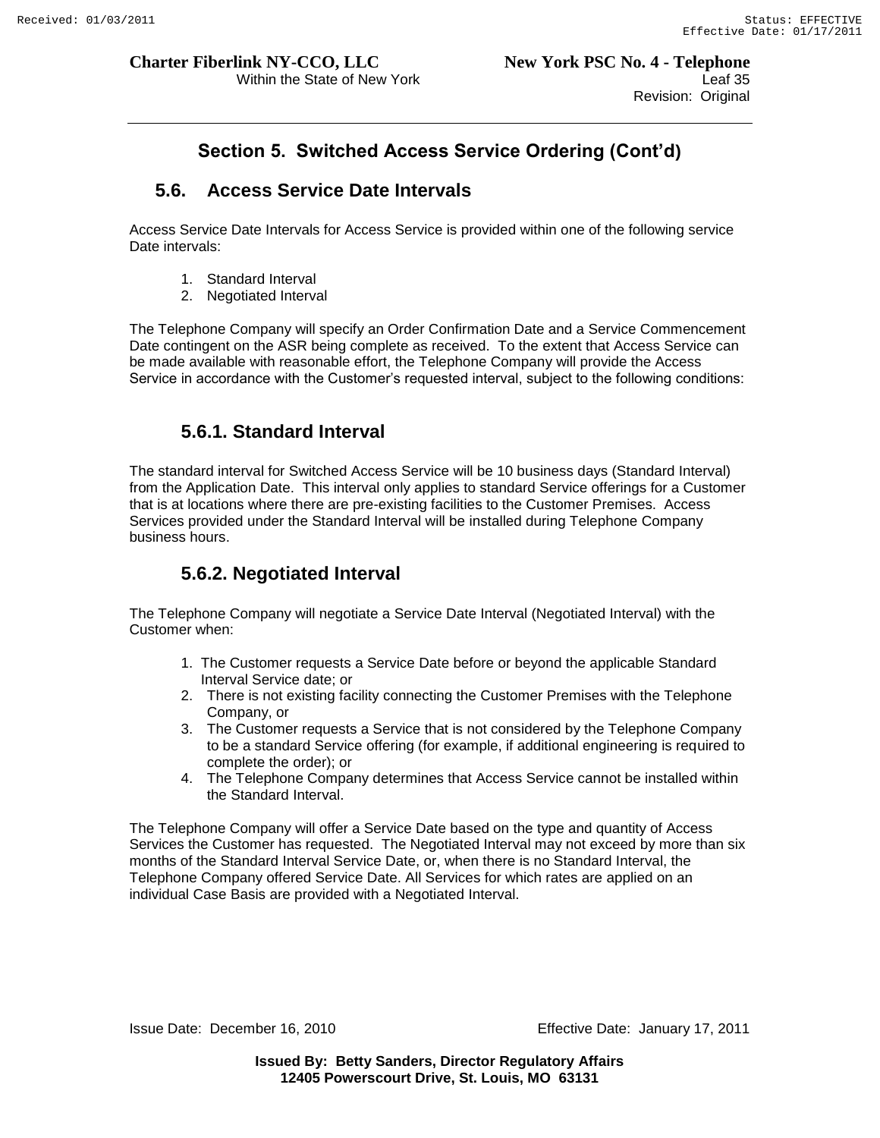Within the State of New York **Leaf 35** Revision: Original

# **Section 5. Switched Access Service Ordering (Cont'd)**

# **5.6. Access Service Date Intervals**

Access Service Date Intervals for Access Service is provided within one of the following service Date intervals:

- 1. Standard Interval
- 2. Negotiated Interval

The Telephone Company will specify an Order Confirmation Date and a Service Commencement Date contingent on the ASR being complete as received. To the extent that Access Service can be made available with reasonable effort, the Telephone Company will provide the Access Service in accordance with the Customer's requested interval, subject to the following conditions:

# **5.6.1. Standard Interval**

The standard interval for Switched Access Service will be 10 business days (Standard Interval) from the Application Date. This interval only applies to standard Service offerings for a Customer that is at locations where there are pre-existing facilities to the Customer Premises. Access Services provided under the Standard Interval will be installed during Telephone Company business hours.

# **5.6.2. Negotiated Interval**

The Telephone Company will negotiate a Service Date Interval (Negotiated Interval) with the Customer when:

- 1. The Customer requests a Service Date before or beyond the applicable Standard Interval Service date; or
- 2. There is not existing facility connecting the Customer Premises with the Telephone Company, or
- 3. The Customer requests a Service that is not considered by the Telephone Company to be a standard Service offering (for example, if additional engineering is required to complete the order); or
- 4. The Telephone Company determines that Access Service cannot be installed within the Standard Interval.

The Telephone Company will offer a Service Date based on the type and quantity of Access Services the Customer has requested. The Negotiated Interval may not exceed by more than six months of the Standard Interval Service Date, or, when there is no Standard Interval, the Telephone Company offered Service Date. All Services for which rates are applied on an individual Case Basis are provided with a Negotiated Interval.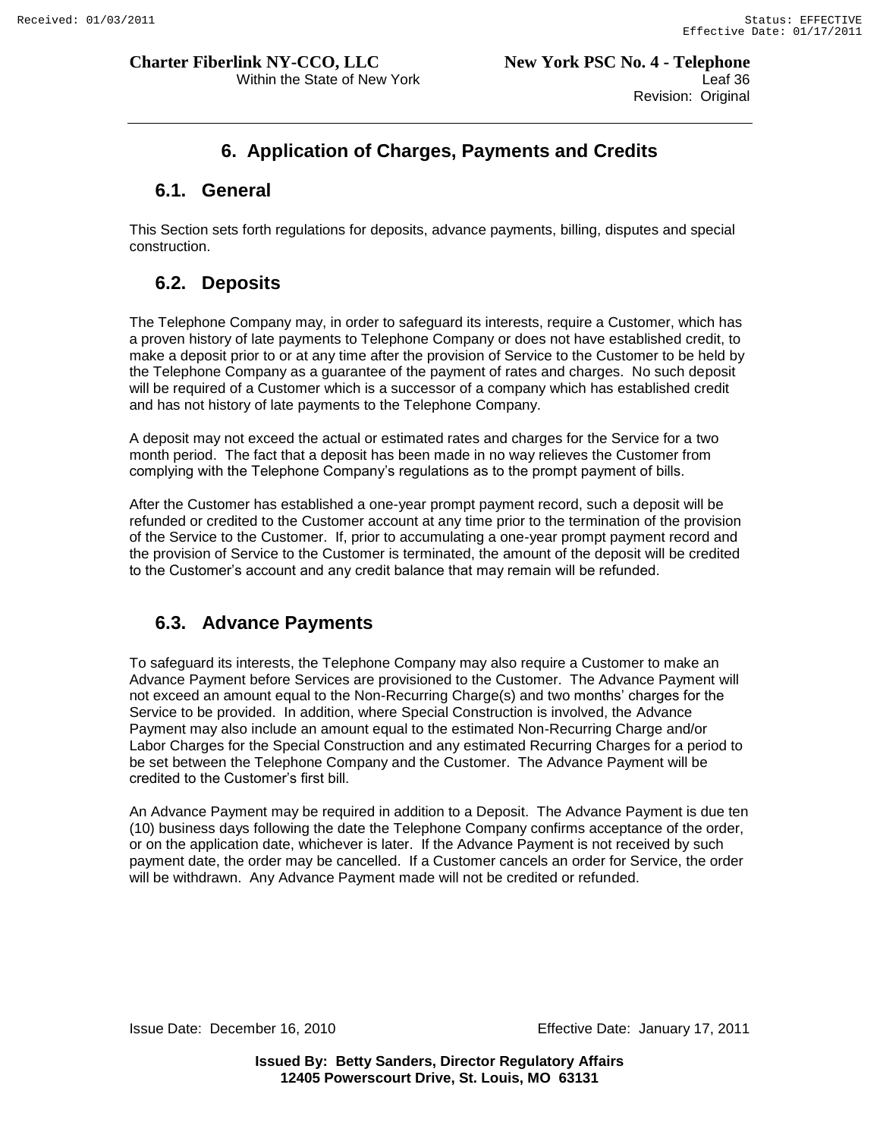Within the State of New York **Leaf 36** Leaf 36 Revision: Original

# **6. Application of Charges, Payments and Credits**

# **6.1. General**

This Section sets forth regulations for deposits, advance payments, billing, disputes and special construction.

# **6.2. Deposits**

The Telephone Company may, in order to safeguard its interests, require a Customer, which has a proven history of late payments to Telephone Company or does not have established credit, to make a deposit prior to or at any time after the provision of Service to the Customer to be held by the Telephone Company as a guarantee of the payment of rates and charges. No such deposit will be required of a Customer which is a successor of a company which has established credit and has not history of late payments to the Telephone Company.

A deposit may not exceed the actual or estimated rates and charges for the Service for a two month period. The fact that a deposit has been made in no way relieves the Customer from complying with the Telephone Company"s regulations as to the prompt payment of bills.

After the Customer has established a one-year prompt payment record, such a deposit will be refunded or credited to the Customer account at any time prior to the termination of the provision of the Service to the Customer. If, prior to accumulating a one-year prompt payment record and the provision of Service to the Customer is terminated, the amount of the deposit will be credited to the Customer"s account and any credit balance that may remain will be refunded.

# **6.3. Advance Payments**

To safeguard its interests, the Telephone Company may also require a Customer to make an Advance Payment before Services are provisioned to the Customer. The Advance Payment will not exceed an amount equal to the Non-Recurring Charge(s) and two months" charges for the Service to be provided. In addition, where Special Construction is involved, the Advance Payment may also include an amount equal to the estimated Non-Recurring Charge and/or Labor Charges for the Special Construction and any estimated Recurring Charges for a period to be set between the Telephone Company and the Customer. The Advance Payment will be credited to the Customer"s first bill.

An Advance Payment may be required in addition to a Deposit. The Advance Payment is due ten (10) business days following the date the Telephone Company confirms acceptance of the order, or on the application date, whichever is later. If the Advance Payment is not received by such payment date, the order may be cancelled. If a Customer cancels an order for Service, the order will be withdrawn. Any Advance Payment made will not be credited or refunded.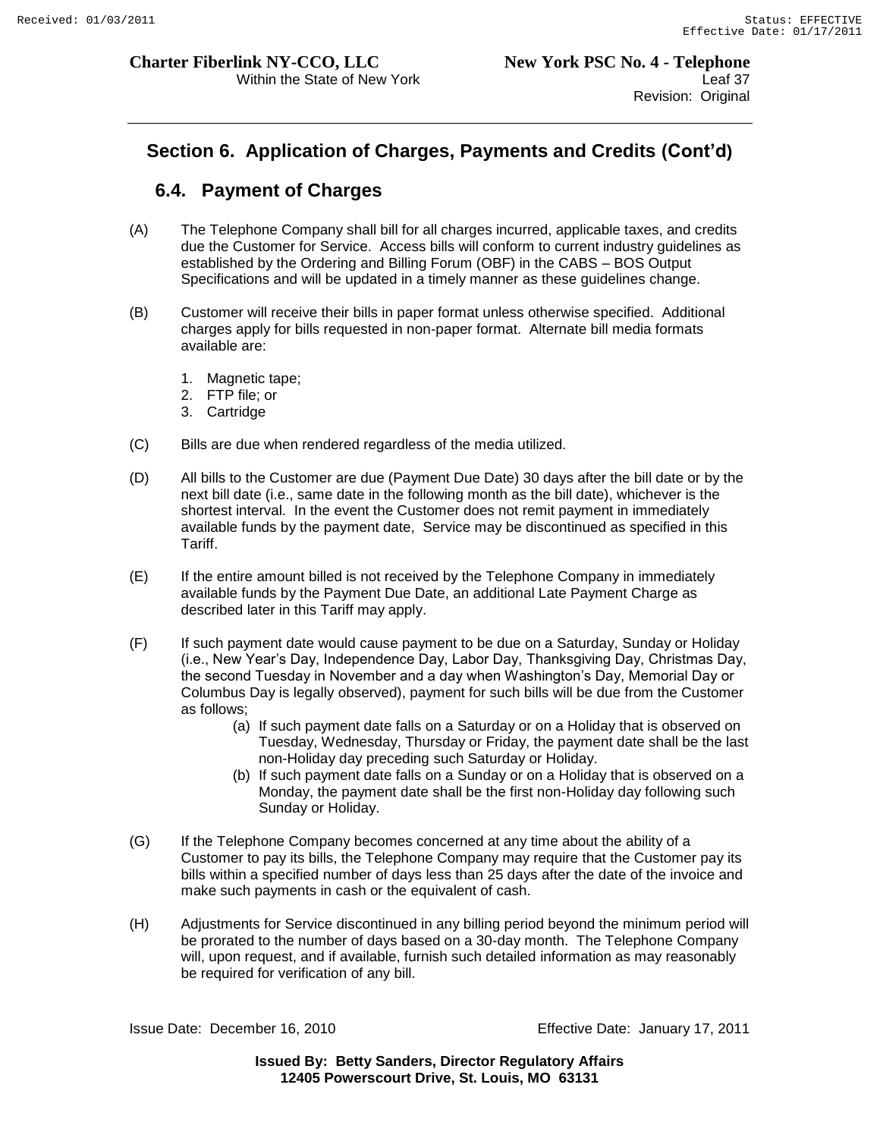# **Section 6. Application of Charges, Payments and Credits (Cont'd)**

# **6.4. Payment of Charges**

- (A) The Telephone Company shall bill for all charges incurred, applicable taxes, and credits due the Customer for Service. Access bills will conform to current industry guidelines as established by the Ordering and Billing Forum (OBF) in the CABS – BOS Output Specifications and will be updated in a timely manner as these guidelines change.
- (B) Customer will receive their bills in paper format unless otherwise specified. Additional charges apply for bills requested in non-paper format. Alternate bill media formats available are:
	- 1. Magnetic tape;
	- 2. FTP file; or
	- 3. Cartridge
- (C) Bills are due when rendered regardless of the media utilized.
- (D) All bills to the Customer are due (Payment Due Date) 30 days after the bill date or by the next bill date (i.e., same date in the following month as the bill date), whichever is the shortest interval. In the event the Customer does not remit payment in immediately available funds by the payment date, Service may be discontinued as specified in this Tariff.
- (E) If the entire amount billed is not received by the Telephone Company in immediately available funds by the Payment Due Date, an additional Late Payment Charge as described later in this Tariff may apply.
- (F) If such payment date would cause payment to be due on a Saturday, Sunday or Holiday (i.e., New Year"s Day, Independence Day, Labor Day, Thanksgiving Day, Christmas Day, the second Tuesday in November and a day when Washington"s Day, Memorial Day or Columbus Day is legally observed), payment for such bills will be due from the Customer as follows;
	- (a) If such payment date falls on a Saturday or on a Holiday that is observed on Tuesday, Wednesday, Thursday or Friday, the payment date shall be the last non-Holiday day preceding such Saturday or Holiday.
	- (b) If such payment date falls on a Sunday or on a Holiday that is observed on a Monday, the payment date shall be the first non-Holiday day following such Sunday or Holiday.
- (G) If the Telephone Company becomes concerned at any time about the ability of a Customer to pay its bills, the Telephone Company may require that the Customer pay its bills within a specified number of days less than 25 days after the date of the invoice and make such payments in cash or the equivalent of cash.
- (H) Adjustments for Service discontinued in any billing period beyond the minimum period will be prorated to the number of days based on a 30-day month. The Telephone Company will, upon request, and if available, furnish such detailed information as may reasonably be required for verification of any bill.

Issue Date: December 16, 2010 Effective Date: January 17, 2011

**Issued By: Betty Sanders, Director Regulatory Affairs 12405 Powerscourt Drive, St. Louis, MO 63131**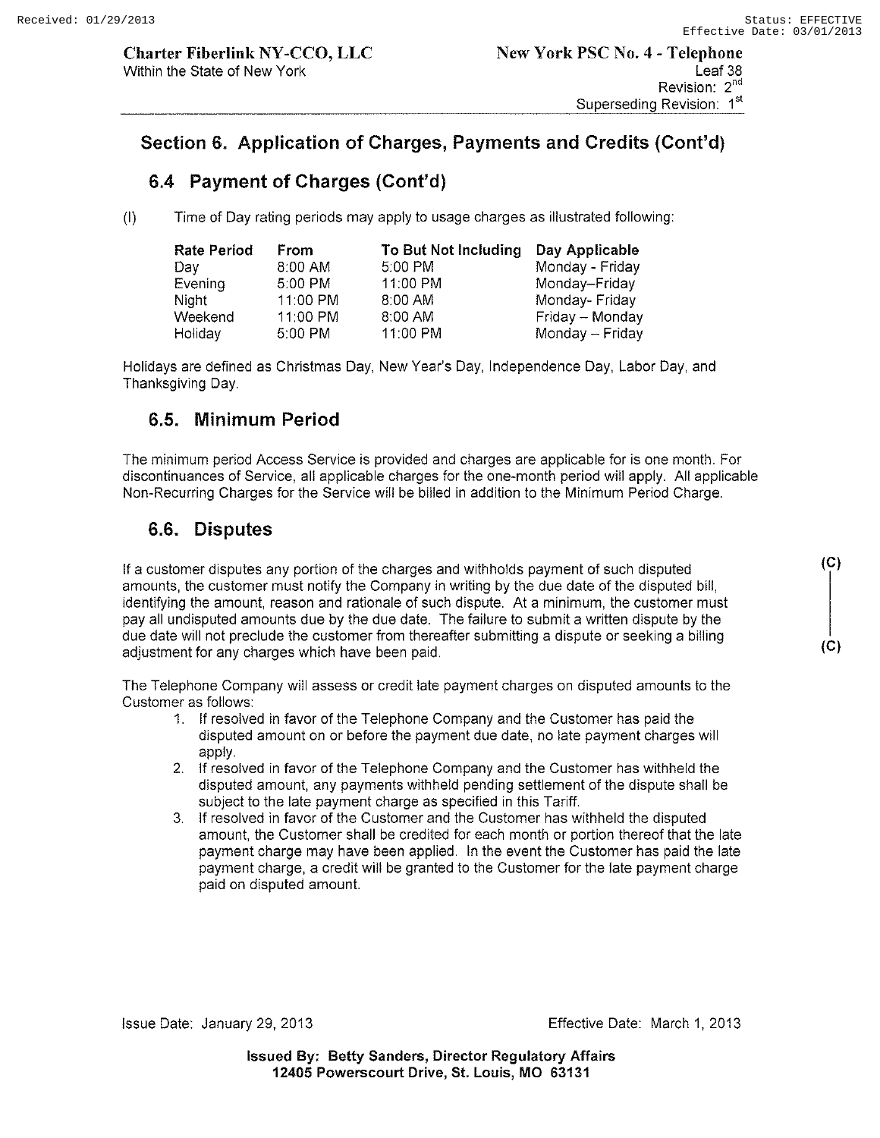# **Section 6. Application of Charges, Payments and Credits (Cont'd)**

# **6.4 Payment of Charges (Cont'd)**

(I) Time of Day rating periods may apply to usage charges as illustrated following:

| <b>Rate Period</b> | From       | To But Not Including | Day Applicable  |
|--------------------|------------|----------------------|-----------------|
| Dav                | 8:00 AM    | 5:00 PM              | Monday - Friday |
| Evening            | 5:00 PM    | 11:00 PM             | Monday-Friday   |
| Night              | 11:00 PM   | 8:00 AM              | Monday-Friday   |
| Weekend            | $11:00$ PM | 8:00 AM              | Friday - Monday |
| Holiday            | 5:00 PM    | 11:00 PM             | Monday - Friday |

Holidays are defined as Christmas Day, New Year's Day, Independence Day, Labor Day, and Thanksgiving Day.

# **6.S. Minimum Period**

The minimum period Access Service is provided and charges are applicable for is one month. For discontinuances of Service, all applicable charges for the one-month period will apply. All applicable Non-Recurring Charges for the Service will be billed in addition to the Minimum Period Charge.

# **6.6. Disputes**

If a customer disputes any portion of the charges and withholds payment of such disputed amounts, the customer must notify the Company in writing by the due date of the disputed bill, identifying the amount, reason and rationale of such dispute. At a minimum, the customer must pay all undisputed amounts due by the due date. The failure to submit a written dispute by the due date will not preclude the customer from thereafter submitting a dispute or seeking a billing adjustment for any charges which have been paid.

The Telephone Company will assess or credit late payment charges on disputed amounts to the Customer as follows:

- 1. If resolved in favor of the Telephone Company and the Customer has paid the disputed amount on or before the payment due date, no late payment charges will apply.
- 2. If resolved in favor of the Telephone Company and the Customer has withheld the disputed amount, any payments withheld pending settlement of the dispute shall be subject to the late payment charge as specified in this Tariff.
- 3. If resolved in favor of the Customer and the Customer has withheld the disputed amount, the Customer shall be credited for each month or portion thereof that the late payment charge may have been applied. In the event the Customer has paid the late payment charge, a credit will be granted to the Customer for the late payment charge paid on disputed amount

**(C)** 

**(C)**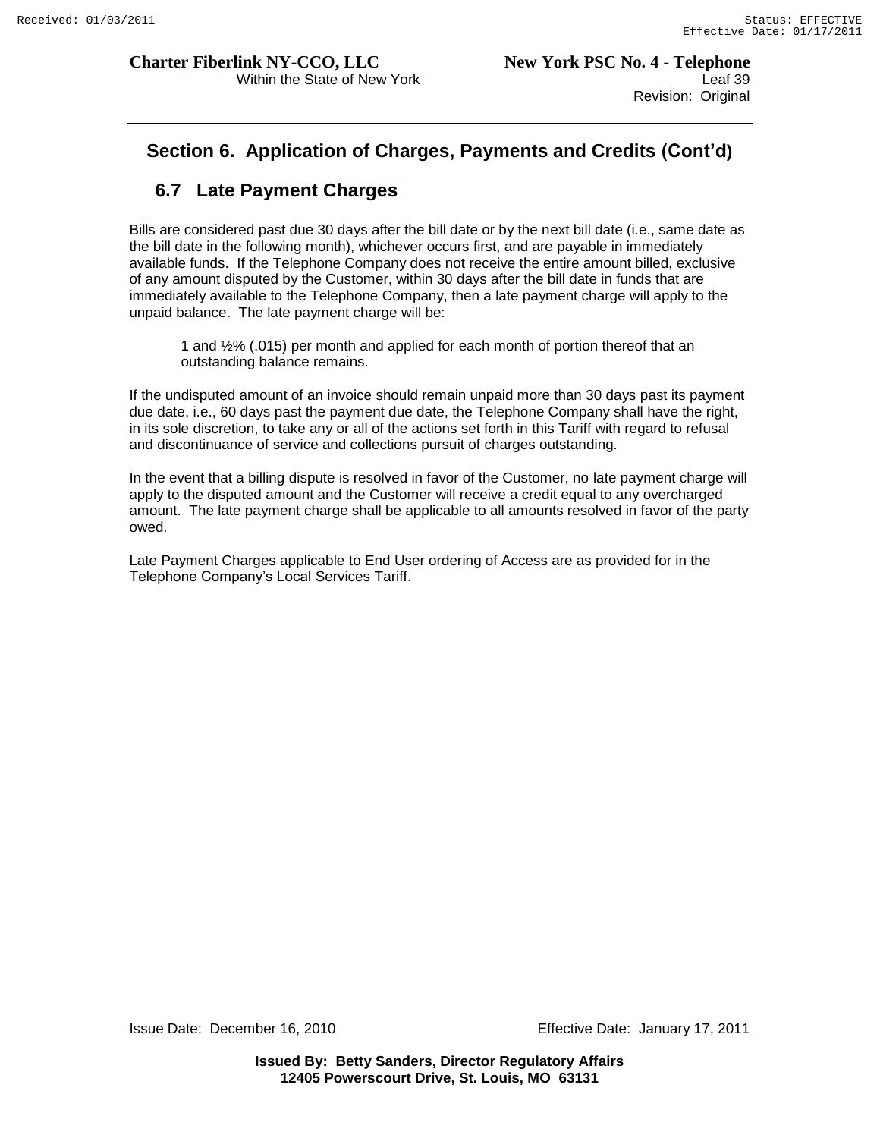# **Section 6. Application of Charges, Payments and Credits (Cont'd)**

# **6.7 Late Payment Charges**

Bills are considered past due 30 days after the bill date or by the next bill date (i.e., same date as the bill date in the following month), whichever occurs first, and are payable in immediately available funds. If the Telephone Company does not receive the entire amount billed, exclusive of any amount disputed by the Customer, within 30 days after the bill date in funds that are immediately available to the Telephone Company, then a late payment charge will apply to the unpaid balance. The late payment charge will be:

1 and ½% (.015) per month and applied for each month of portion thereof that an outstanding balance remains.

If the undisputed amount of an invoice should remain unpaid more than 30 days past its payment due date, i.e., 60 days past the payment due date, the Telephone Company shall have the right, in its sole discretion, to take any or all of the actions set forth in this Tariff with regard to refusal and discontinuance of service and collections pursuit of charges outstanding.

In the event that a billing dispute is resolved in favor of the Customer, no late payment charge will apply to the disputed amount and the Customer will receive a credit equal to any overcharged amount. The late payment charge shall be applicable to all amounts resolved in favor of the party owed.

Late Payment Charges applicable to End User ordering of Access are as provided for in the Telephone Company"s Local Services Tariff.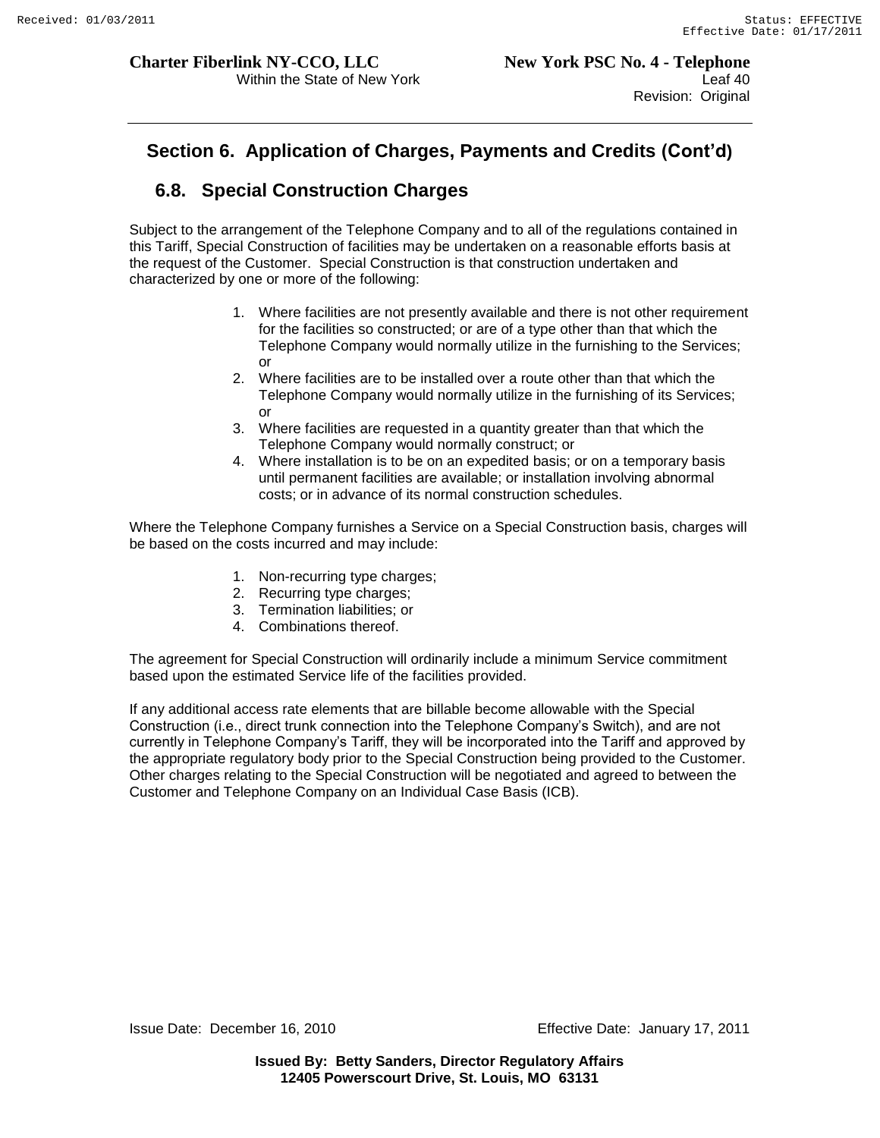# **Section 6. Application of Charges, Payments and Credits (Cont'd)**

# **6.8. Special Construction Charges**

Subject to the arrangement of the Telephone Company and to all of the regulations contained in this Tariff, Special Construction of facilities may be undertaken on a reasonable efforts basis at the request of the Customer. Special Construction is that construction undertaken and characterized by one or more of the following:

- 1. Where facilities are not presently available and there is not other requirement for the facilities so constructed; or are of a type other than that which the Telephone Company would normally utilize in the furnishing to the Services; or
- 2. Where facilities are to be installed over a route other than that which the Telephone Company would normally utilize in the furnishing of its Services; or
- 3. Where facilities are requested in a quantity greater than that which the Telephone Company would normally construct; or
- 4. Where installation is to be on an expedited basis; or on a temporary basis until permanent facilities are available; or installation involving abnormal costs; or in advance of its normal construction schedules.

Where the Telephone Company furnishes a Service on a Special Construction basis, charges will be based on the costs incurred and may include:

- 1. Non-recurring type charges;
- 2. Recurring type charges;
- 3. Termination liabilities; or
- 4. Combinations thereof.

The agreement for Special Construction will ordinarily include a minimum Service commitment based upon the estimated Service life of the facilities provided.

If any additional access rate elements that are billable become allowable with the Special Construction (i.e., direct trunk connection into the Telephone Company"s Switch), and are not currently in Telephone Company"s Tariff, they will be incorporated into the Tariff and approved by the appropriate regulatory body prior to the Special Construction being provided to the Customer. Other charges relating to the Special Construction will be negotiated and agreed to between the Customer and Telephone Company on an Individual Case Basis (ICB).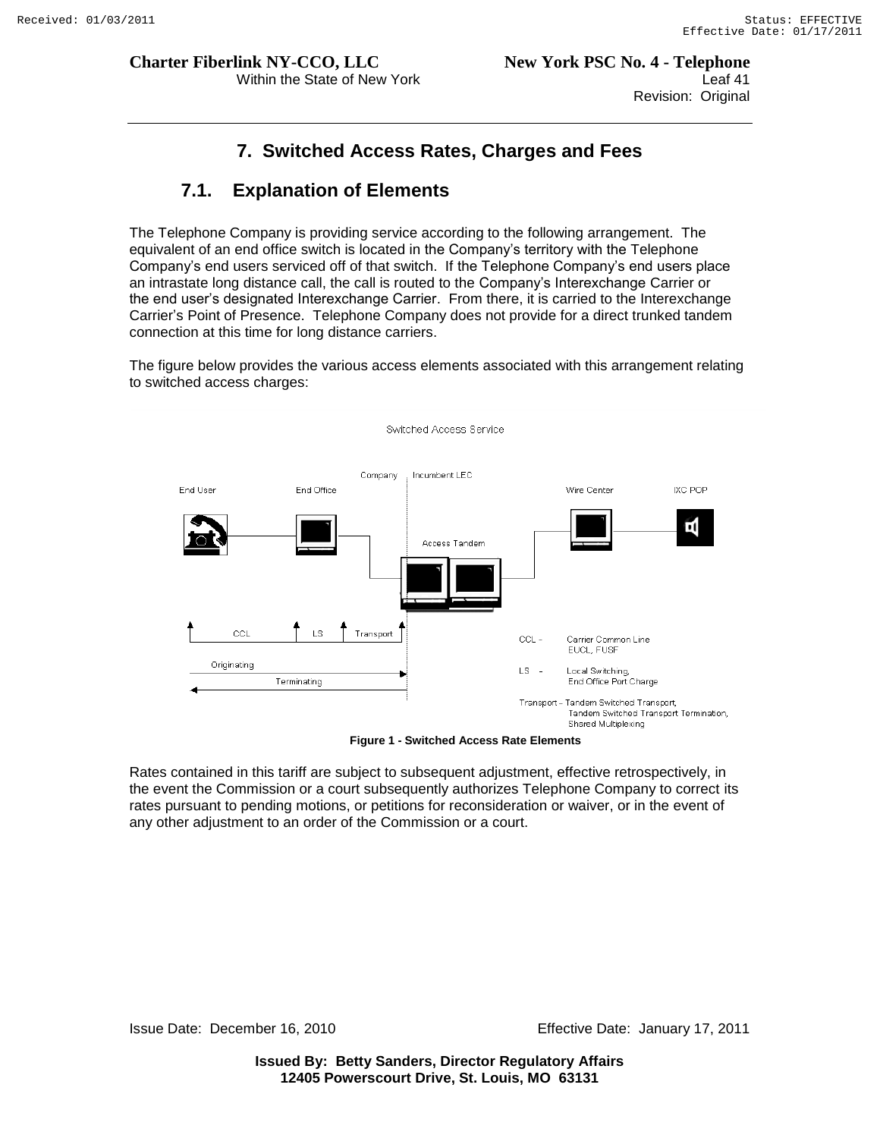# **7. Switched Access Rates, Charges and Fees**

# **7.1. Explanation of Elements**

The Telephone Company is providing service according to the following arrangement. The equivalent of an end office switch is located in the Company"s territory with the Telephone Company"s end users serviced off of that switch. If the Telephone Company"s end users place an intrastate long distance call, the call is routed to the Company"s Interexchange Carrier or the end user"s designated Interexchange Carrier. From there, it is carried to the Interexchange Carrier"s Point of Presence. Telephone Company does not provide for a direct trunked tandem connection at this time for long distance carriers.

The figure below provides the various access elements associated with this arrangement relating to switched access charges:



**Figure 1 - Switched Access Rate Elements**

Rates contained in this tariff are subject to subsequent adjustment, effective retrospectively, in the event the Commission or a court subsequently authorizes Telephone Company to correct its rates pursuant to pending motions, or petitions for reconsideration or waiver, or in the event of any other adjustment to an order of the Commission or a court.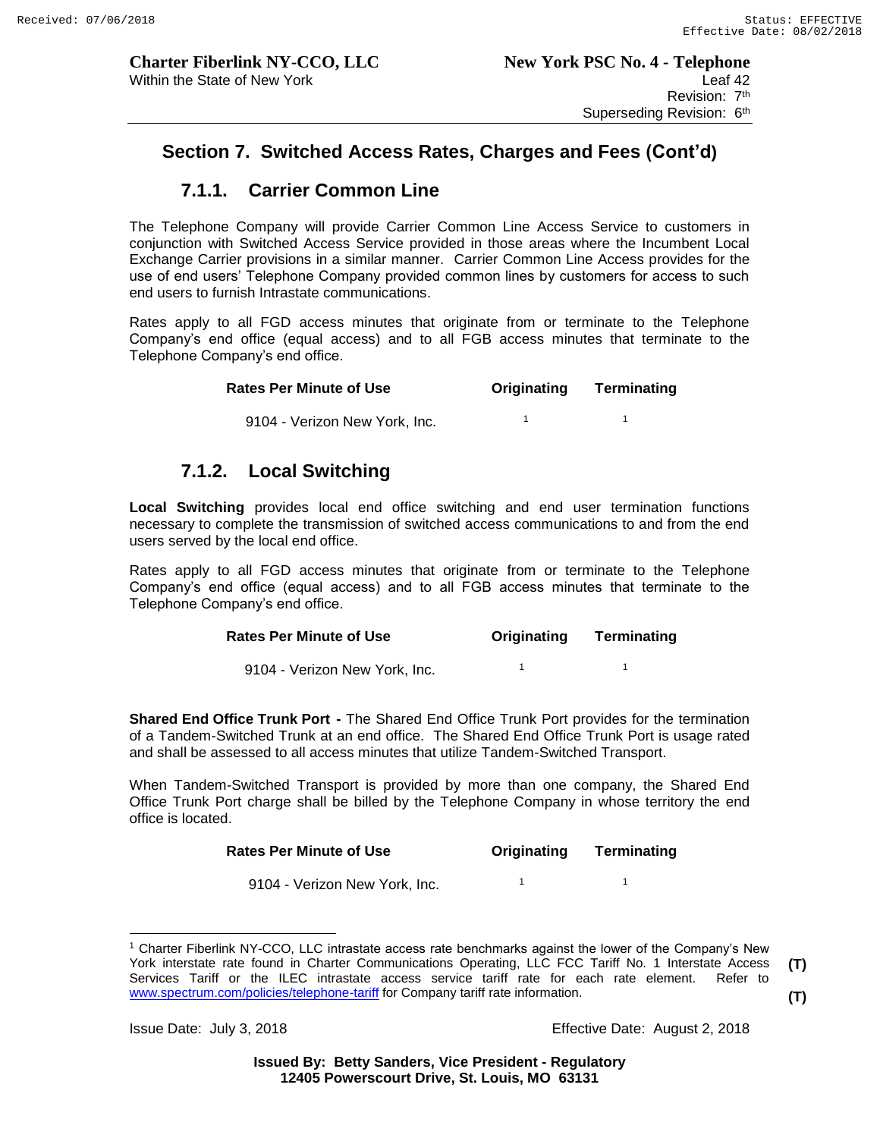1

# **Section 7. Switched Access Rates, Charges and Fees (Cont'd)**

# **7.1.1. Carrier Common Line**

The Telephone Company will provide Carrier Common Line Access Service to customers in conjunction with Switched Access Service provided in those areas where the Incumbent Local Exchange Carrier provisions in a similar manner. Carrier Common Line Access provides for the use of end users' Telephone Company provided common lines by customers for access to such end users to furnish Intrastate communications.

Rates apply to all FGD access minutes that originate from or terminate to the Telephone Company's end office (equal access) and to all FGB access minutes that terminate to the Telephone Company's end office.

| <b>Rates Per Minute of Use</b> | Originating | Terminating |
|--------------------------------|-------------|-------------|
|                                |             |             |

9104 - Verizon New York, Inc. 1

## **7.1.2. Local Switching**

**Local Switching** provides local end office switching and end user termination functions necessary to complete the transmission of switched access communications to and from the end users served by the local end office.

Rates apply to all FGD access minutes that originate from or terminate to the Telephone Company's end office (equal access) and to all FGB access minutes that terminate to the Telephone Company's end office.

#### **Rates Per Minute of Use Originating Terminating**

 9104 - Verizon New York, Inc. 1 1

**Shared End Office Trunk Port -** The Shared End Office Trunk Port provides for the termination of a Tandem-Switched Trunk at an end office. The Shared End Office Trunk Port is usage rated and shall be assessed to all access minutes that utilize Tandem-Switched Transport.

When Tandem-Switched Transport is provided by more than one company, the Shared End Office Trunk Port charge shall be billed by the Telephone Company in whose territory the end office is located.

| <b>Rates Per Minute of Use</b> | Originating | Terminating |
|--------------------------------|-------------|-------------|
|                                |             |             |

 9104 - Verizon New York, Inc. 1  $\overline{1}$ 

Issue Date: July 3, 2018 Effective Date: August 2, 2018

 $\overline{a}$ <sup>1</sup> Charter Fiberlink NY-CCO, LLC intrastate access rate benchmarks against the lower of the Company's New York interstate rate found in Charter Communications Operating, LLC FCC Tariff No. 1 Interstate Access Services Tariff or the ILEC intrastate access service tariff rate for each rate element. Refer to www.spectrum.com/policies/telephone-tariff for Company tariff rate information. **(T) (T)**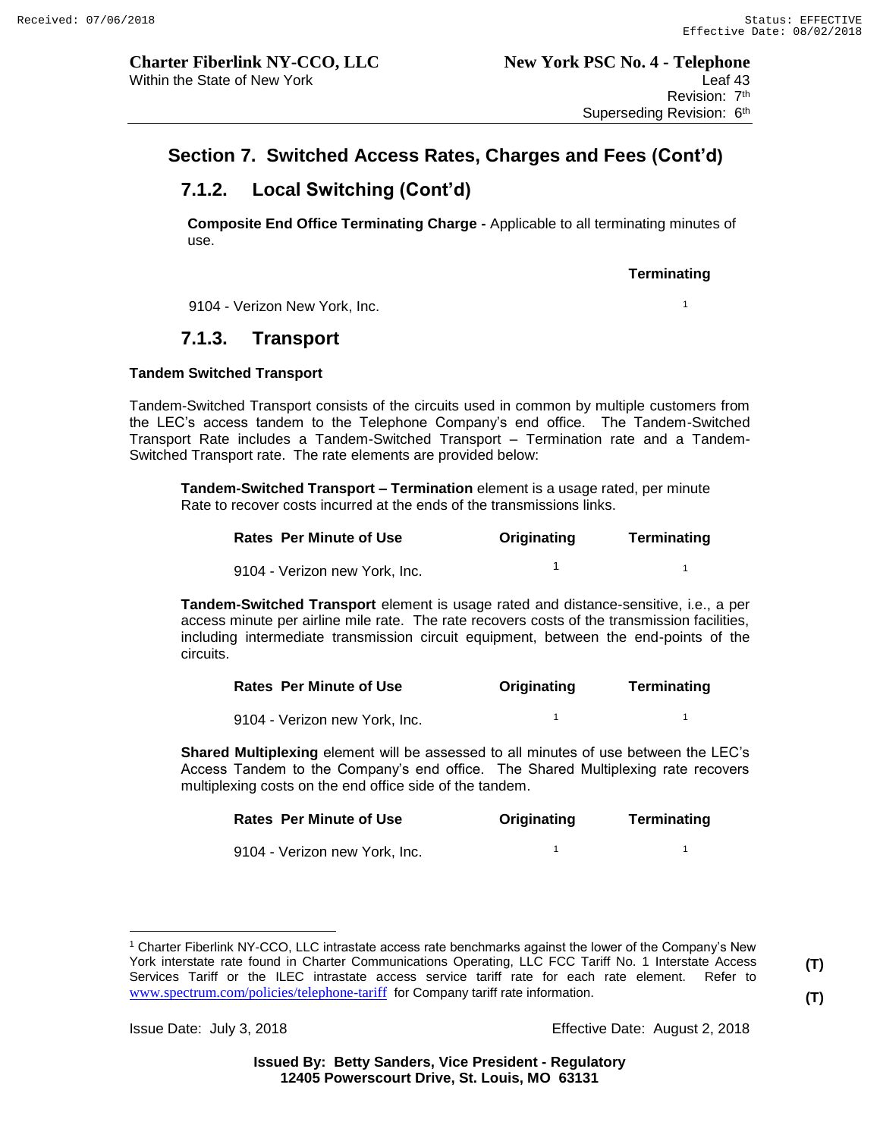# **7.1.2. Local Switching (Cont'd)**

**Composite End Office Terminating Charge -** Applicable to all terminating minutes of use.

#### **Terminating**

9104 - Verizon New York, Inc. <sup>1</sup>

# **7.1.3. Transport**

#### **Tandem Switched Transport**

Tandem-Switched Transport consists of the circuits used in common by multiple customers from the LEC's access tandem to the Telephone Company's end office. The Tandem-Switched Transport Rate includes a Tandem-Switched Transport – Termination rate and a Tandem-Switched Transport rate. The rate elements are provided below:

**Tandem-Switched Transport – Termination** element is a usage rated, per minute Rate to recover costs incurred at the ends of the transmissions links.

| <b>Rates Per Minute of Use</b> | Originating | Terminating |
|--------------------------------|-------------|-------------|
| 9104 - Verizon new York, Inc.  |             |             |

**Tandem-Switched Transport** element is usage rated and distance-sensitive, i.e., a per access minute per airline mile rate. The rate recovers costs of the transmission facilities, including intermediate transmission circuit equipment, between the end-points of the circuits.

| <b>Rates Per Minute of Use</b> | Originating | Terminating |
|--------------------------------|-------------|-------------|
| 9104 - Verizon new York, Inc.  |             |             |

**Shared Multiplexing** element will be assessed to all minutes of use between the LEC's Access Tandem to the Company's end office. The Shared Multiplexing rate recovers multiplexing costs on the end office side of the tandem.

| <b>Rates Per Minute of Use</b> | Originating | Terminating |
|--------------------------------|-------------|-------------|
| 9104 - Verizon new York, Inc.  |             |             |

**(T) (T)**

Issue Date: July 3, 2018 Effective Date: August 2, 2018

 $\overline{a}$ <sup>1</sup> Charter Fiberlink NY-CCO, LLC intrastate access rate benchmarks against the lower of the Company's New York interstate rate found in Charter Communications Operating, LLC FCC Tariff No. 1 Interstate Access Services Tariff or the ILEC intrastate access service tariff rate for each rate element. Refer to www.spectrum.com/policies/telephone-tariff for Company tariff rate information.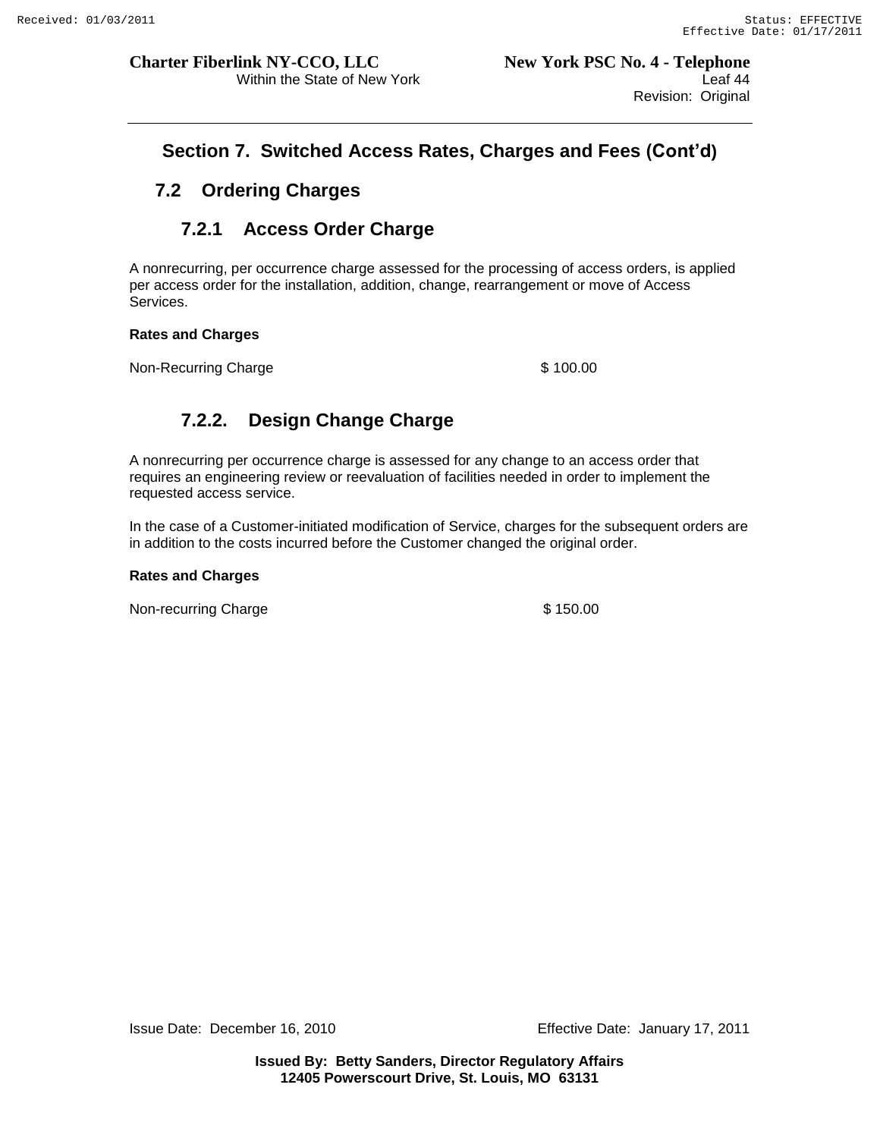# **Section 7. Switched Access Rates, Charges and Fees (Cont'd)**

# **7.2 Ordering Charges**

# **7.2.1 Access Order Charge**

A nonrecurring, per occurrence charge assessed for the processing of access orders, is applied per access order for the installation, addition, change, rearrangement or move of Access Services.

#### **Rates and Charges**

Non-Recurring Charge  $$ 100.00$ 

# **7.2.2. Design Change Charge**

A nonrecurring per occurrence charge is assessed for any change to an access order that requires an engineering review or reevaluation of facilities needed in order to implement the requested access service.

In the case of a Customer-initiated modification of Service, charges for the subsequent orders are in addition to the costs incurred before the Customer changed the original order.

#### **Rates and Charges**

Non-recurring Charge **\$150.00**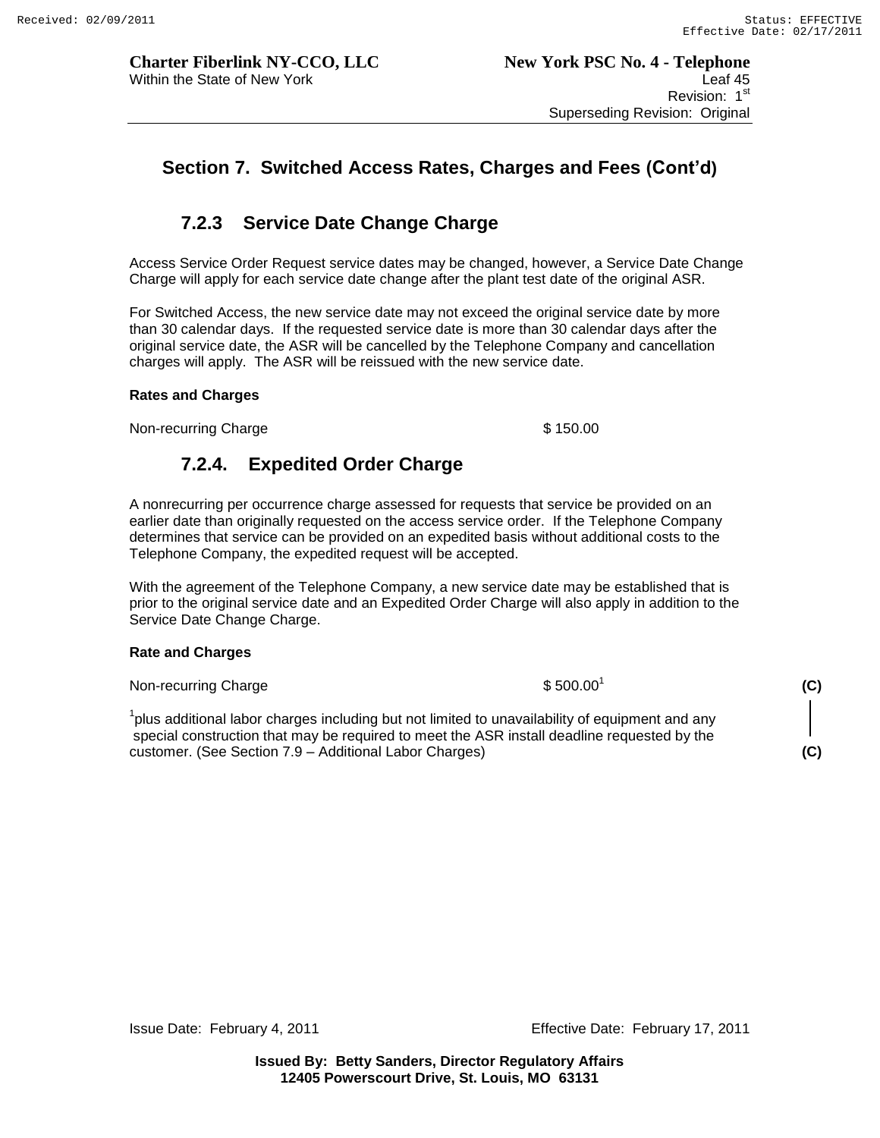# **7.2.3 Service Date Change Charge**

Access Service Order Request service dates may be changed, however, a Service Date Change Charge will apply for each service date change after the plant test date of the original ASR.

For Switched Access, the new service date may not exceed the original service date by more than 30 calendar days. If the requested service date is more than 30 calendar days after the original service date, the ASR will be cancelled by the Telephone Company and cancellation charges will apply. The ASR will be reissued with the new service date.

#### **Rates and Charges**

Non-recurring Charge  $\sim$  \$ 150.00

# **7.2.4. Expedited Order Charge**

A nonrecurring per occurrence charge assessed for requests that service be provided on an earlier date than originally requested on the access service order. If the Telephone Company determines that service can be provided on an expedited basis without additional costs to the Telephone Company, the expedited request will be accepted.

With the agreement of the Telephone Company, a new service date may be established that is prior to the original service date and an Expedited Order Charge will also apply in addition to the Service Date Change Charge.

#### **Rate and Charges**

Non-recurring Charge  $$500.001$ 

 $1$ plus additional labor charges including but not limited to unavailability of equipment and any special construction that may be required to meet the ASR install deadline requested by the customer. (See Section 7.9 – Additional Labor Charges) **(C)**

**(C)**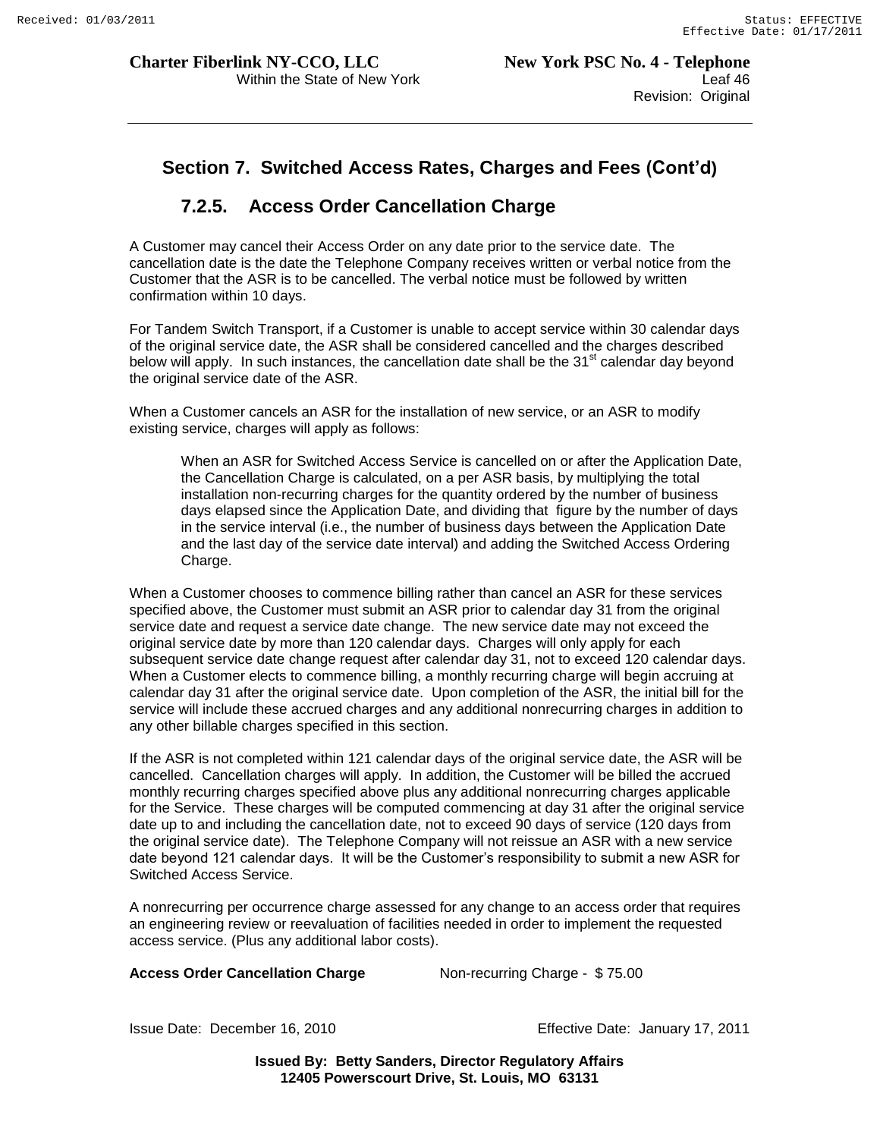# **Section 7. Switched Access Rates, Charges and Fees (Cont'd)**

# **7.2.5. Access Order Cancellation Charge**

A Customer may cancel their Access Order on any date prior to the service date. The cancellation date is the date the Telephone Company receives written or verbal notice from the Customer that the ASR is to be cancelled. The verbal notice must be followed by written confirmation within 10 days.

For Tandem Switch Transport, if a Customer is unable to accept service within 30 calendar days of the original service date, the ASR shall be considered cancelled and the charges described below will apply. In such instances, the cancellation date shall be the  $31<sup>st</sup>$  calendar day beyond the original service date of the ASR.

When a Customer cancels an ASR for the installation of new service, or an ASR to modify existing service, charges will apply as follows:

When an ASR for Switched Access Service is cancelled on or after the Application Date, the Cancellation Charge is calculated, on a per ASR basis, by multiplying the total installation non-recurring charges for the quantity ordered by the number of business days elapsed since the Application Date, and dividing that figure by the number of days in the service interval (i.e., the number of business days between the Application Date and the last day of the service date interval) and adding the Switched Access Ordering Charge.

When a Customer chooses to commence billing rather than cancel an ASR for these services specified above, the Customer must submit an ASR prior to calendar day 31 from the original service date and request a service date change. The new service date may not exceed the original service date by more than 120 calendar days. Charges will only apply for each subsequent service date change request after calendar day 31, not to exceed 120 calendar days. When a Customer elects to commence billing, a monthly recurring charge will begin accruing at calendar day 31 after the original service date. Upon completion of the ASR, the initial bill for the service will include these accrued charges and any additional nonrecurring charges in addition to any other billable charges specified in this section.

If the ASR is not completed within 121 calendar days of the original service date, the ASR will be cancelled. Cancellation charges will apply. In addition, the Customer will be billed the accrued monthly recurring charges specified above plus any additional nonrecurring charges applicable for the Service. These charges will be computed commencing at day 31 after the original service date up to and including the cancellation date, not to exceed 90 days of service (120 days from the original service date). The Telephone Company will not reissue an ASR with a new service date beyond 121 calendar days. It will be the Customer"s responsibility to submit a new ASR for Switched Access Service.

A nonrecurring per occurrence charge assessed for any change to an access order that requires an engineering review or reevaluation of facilities needed in order to implement the requested access service. (Plus any additional labor costs).

#### **Access Order Cancellation Charge Mon-recurring Charge - \$75.00**

Issue Date: December 16, 2010 Effective Date: January 17, 2011

**Issued By: Betty Sanders, Director Regulatory Affairs 12405 Powerscourt Drive, St. Louis, MO 63131**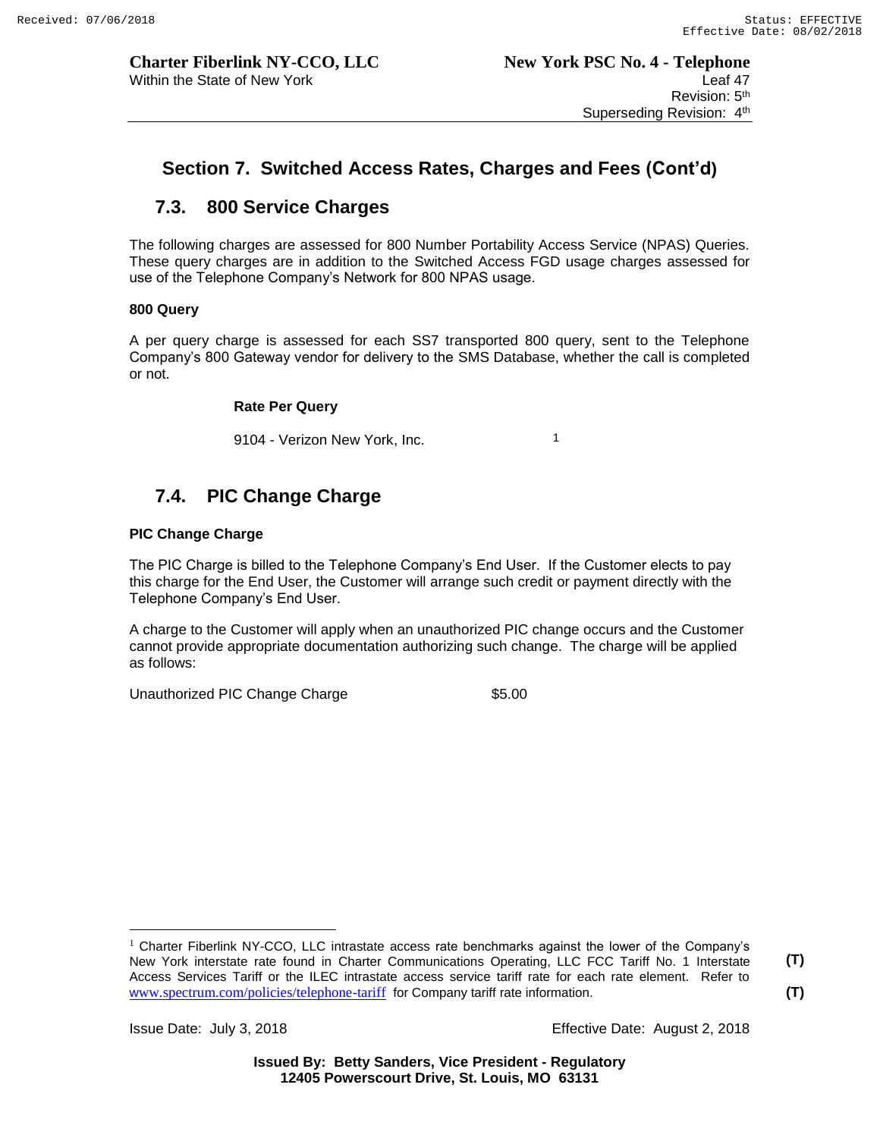# **7.3. 800 Service Charges**

The following charges are assessed for 800 Number Portability Access Service (NPAS) Queries. These query charges are in addition to the Switched Access FGD usage charges assessed for use of the Telephone Company's Network for 800 NPAS usage.

#### **800 Query**

A per query charge is assessed for each SS7 transported 800 query, sent to the Telephone Company's 800 Gateway vendor for delivery to the SMS Database, whether the call is completed or not.

#### **Rate Per Query**

9104 - Verizon New York, Inc. 1

# **7.4. PIC Change Charge**

#### **PIC Change Charge**

The PIC Charge is billed to the Telephone Company's End User. If the Customer elects to pay this charge for the End User, the Customer will arrange such credit or payment directly with the Telephone Company's End User.

A charge to the Customer will apply when an unauthorized PIC change occurs and the Customer cannot provide appropriate documentation authorizing such change. The charge will be applied as follows:

Unauthorized PIC Change Charge **\$5.00** 

 $\overline{a}$ 

Issue Date: July 3, 2018 Effective Date: August 2, 2018

**(T)**

**(T)**

<sup>&</sup>lt;sup>1</sup> Charter Fiberlink NY-CCO, LLC intrastate access rate benchmarks against the lower of the Company's New York interstate rate found in Charter Communications Operating, LLC FCC Tariff No. 1 Interstate Access Services Tariff or the ILEC intrastate access service tariff rate for each rate element. Refer to www.spectrum.com/policies/telephone-tariff for Company tariff rate information.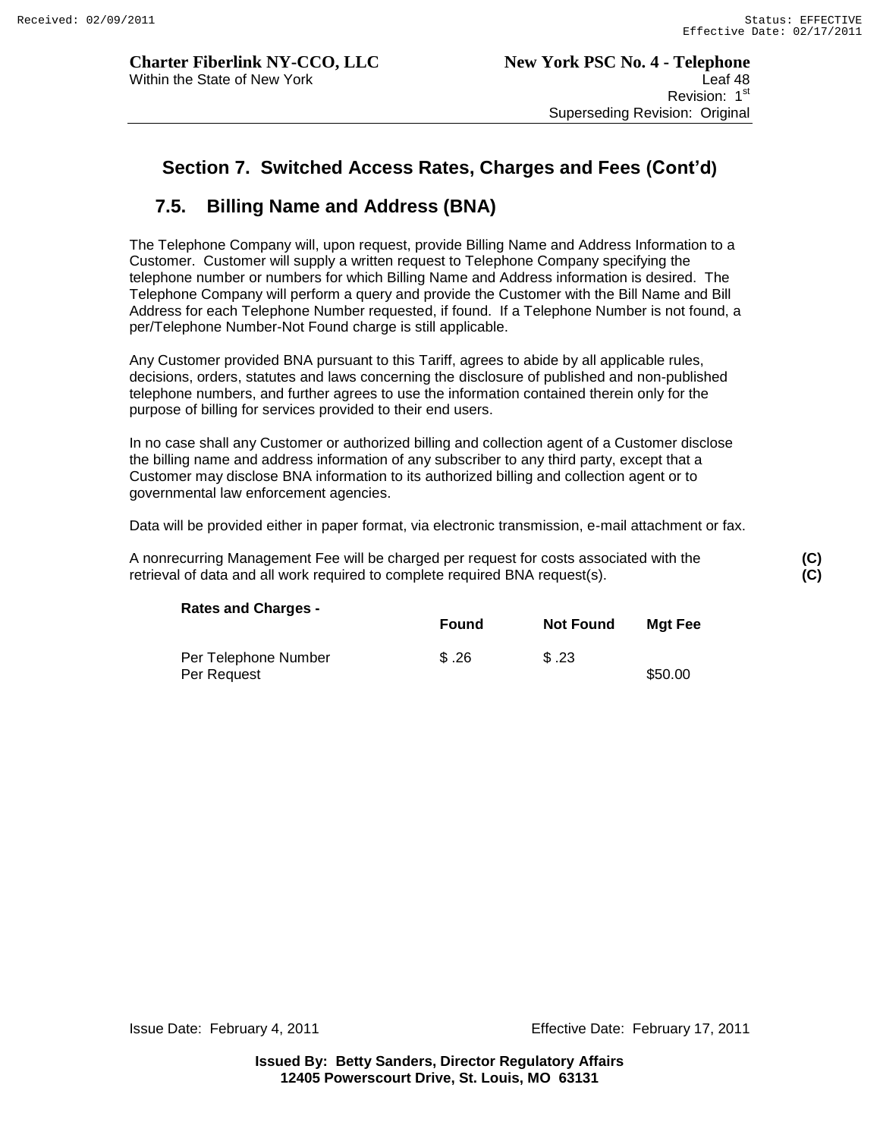# **7.5. Billing Name and Address (BNA)**

The Telephone Company will, upon request, provide Billing Name and Address Information to a Customer. Customer will supply a written request to Telephone Company specifying the telephone number or numbers for which Billing Name and Address information is desired. The Telephone Company will perform a query and provide the Customer with the Bill Name and Bill Address for each Telephone Number requested, if found. If a Telephone Number is not found, a per/Telephone Number-Not Found charge is still applicable.

Any Customer provided BNA pursuant to this Tariff, agrees to abide by all applicable rules, decisions, orders, statutes and laws concerning the disclosure of published and non-published telephone numbers, and further agrees to use the information contained therein only for the purpose of billing for services provided to their end users.

In no case shall any Customer or authorized billing and collection agent of a Customer disclose the billing name and address information of any subscriber to any third party, except that a Customer may disclose BNA information to its authorized billing and collection agent or to governmental law enforcement agencies.

Data will be provided either in paper format, via electronic transmission, e-mail attachment or fax.

A nonrecurring Management Fee will be charged per request for costs associated with the **(C)** retrieval of data and all work required to complete required BNA request(s).

| <b>Rates and Charges -</b>          | <b>Found</b> | <b>Not Found</b> | Mgt Fee |
|-------------------------------------|--------------|------------------|---------|
| Per Telephone Number<br>Per Request | \$.26        | \$.23            | \$50.00 |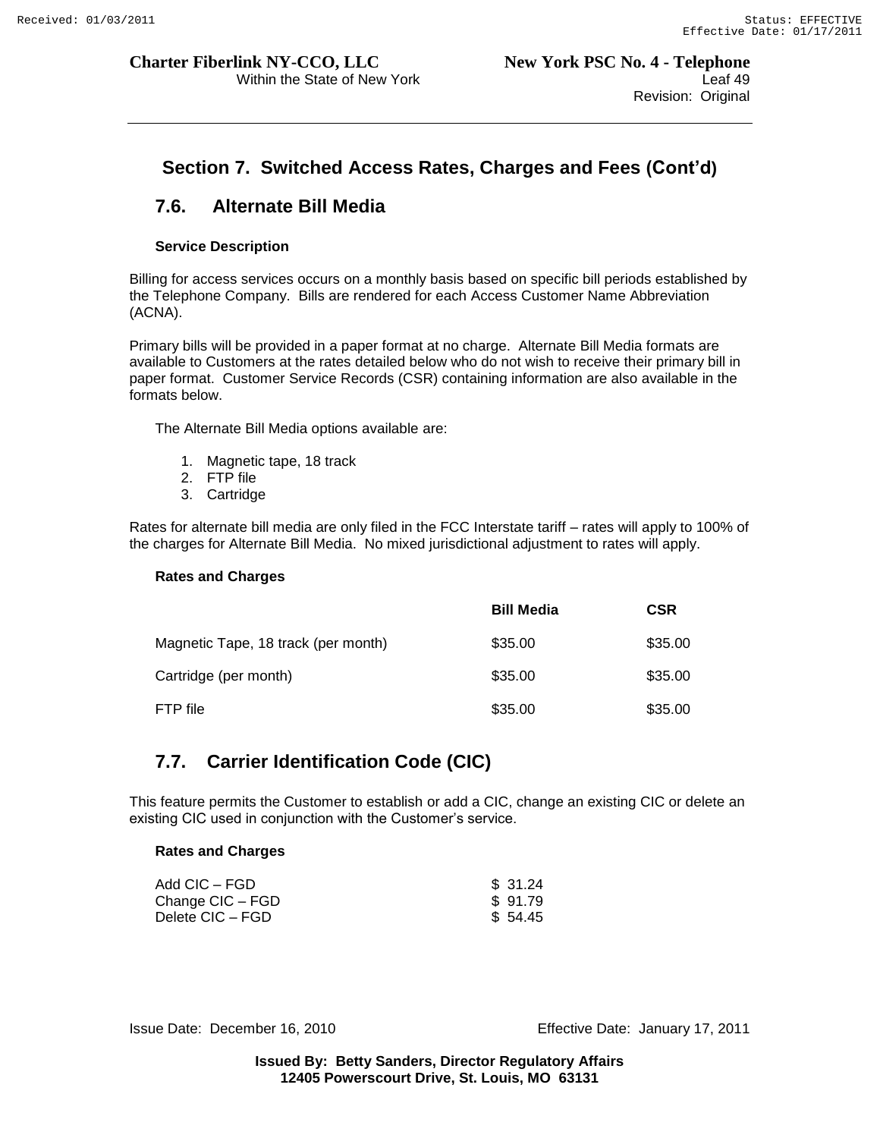# **7.6. Alternate Bill Media**

#### **Service Description**

Billing for access services occurs on a monthly basis based on specific bill periods established by the Telephone Company. Bills are rendered for each Access Customer Name Abbreviation (ACNA).

Primary bills will be provided in a paper format at no charge. Alternate Bill Media formats are available to Customers at the rates detailed below who do not wish to receive their primary bill in paper format. Customer Service Records (CSR) containing information are also available in the formats below.

The Alternate Bill Media options available are:

- 1. Magnetic tape, 18 track
- 2. FTP file
- 3. Cartridge

Rates for alternate bill media are only filed in the FCC Interstate tariff – rates will apply to 100% of the charges for Alternate Bill Media. No mixed jurisdictional adjustment to rates will apply.

#### **Rates and Charges**

|                                     | <b>Bill Media</b> | <b>CSR</b> |
|-------------------------------------|-------------------|------------|
| Magnetic Tape, 18 track (per month) | \$35.00           | \$35.00    |
| Cartridge (per month)               | \$35.00           | \$35.00    |
| FTP file                            | \$35.00           | \$35.00    |

# **7.7. Carrier Identification Code (CIC)**

This feature permits the Customer to establish or add a CIC, change an existing CIC or delete an existing CIC used in conjunction with the Customer"s service.

#### **Rates and Charges**

| Add CIC – FGD      | \$ 31.24 |
|--------------------|----------|
| Change CIC – FGD   | \$91.79  |
| Delete CIC – FGD I | \$ 54.45 |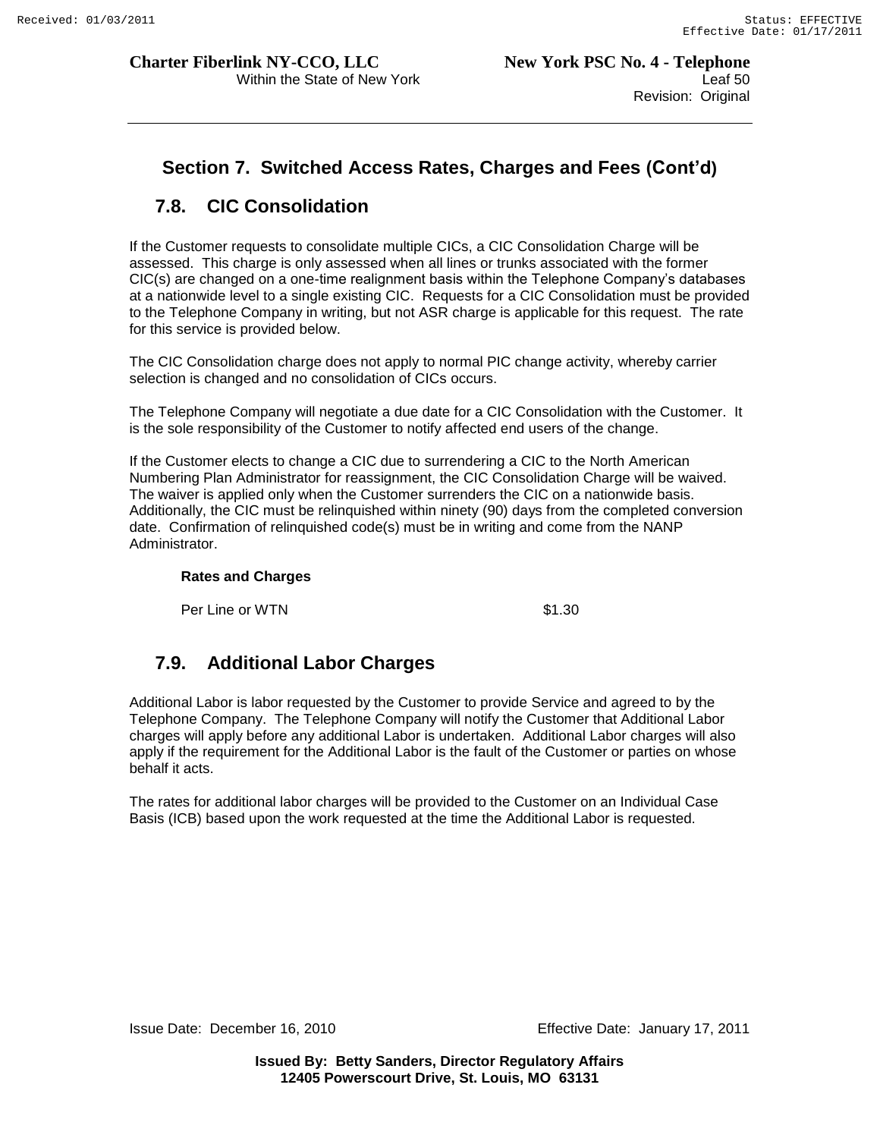# **Section 7. Switched Access Rates, Charges and Fees (Cont'd)**

# **7.8. CIC Consolidation**

If the Customer requests to consolidate multiple CICs, a CIC Consolidation Charge will be assessed. This charge is only assessed when all lines or trunks associated with the former CIC(s) are changed on a one-time realignment basis within the Telephone Company"s databases at a nationwide level to a single existing CIC. Requests for a CIC Consolidation must be provided to the Telephone Company in writing, but not ASR charge is applicable for this request. The rate for this service is provided below.

The CIC Consolidation charge does not apply to normal PIC change activity, whereby carrier selection is changed and no consolidation of CICs occurs.

The Telephone Company will negotiate a due date for a CIC Consolidation with the Customer. It is the sole responsibility of the Customer to notify affected end users of the change.

If the Customer elects to change a CIC due to surrendering a CIC to the North American Numbering Plan Administrator for reassignment, the CIC Consolidation Charge will be waived. The waiver is applied only when the Customer surrenders the CIC on a nationwide basis. Additionally, the CIC must be relinquished within ninety (90) days from the completed conversion date. Confirmation of relinquished code(s) must be in writing and come from the NANP Administrator.

#### **Rates and Charges**

Per Line or WTN \$1.30

# **7.9. Additional Labor Charges**

Additional Labor is labor requested by the Customer to provide Service and agreed to by the Telephone Company. The Telephone Company will notify the Customer that Additional Labor charges will apply before any additional Labor is undertaken. Additional Labor charges will also apply if the requirement for the Additional Labor is the fault of the Customer or parties on whose behalf it acts.

The rates for additional labor charges will be provided to the Customer on an Individual Case Basis (ICB) based upon the work requested at the time the Additional Labor is requested.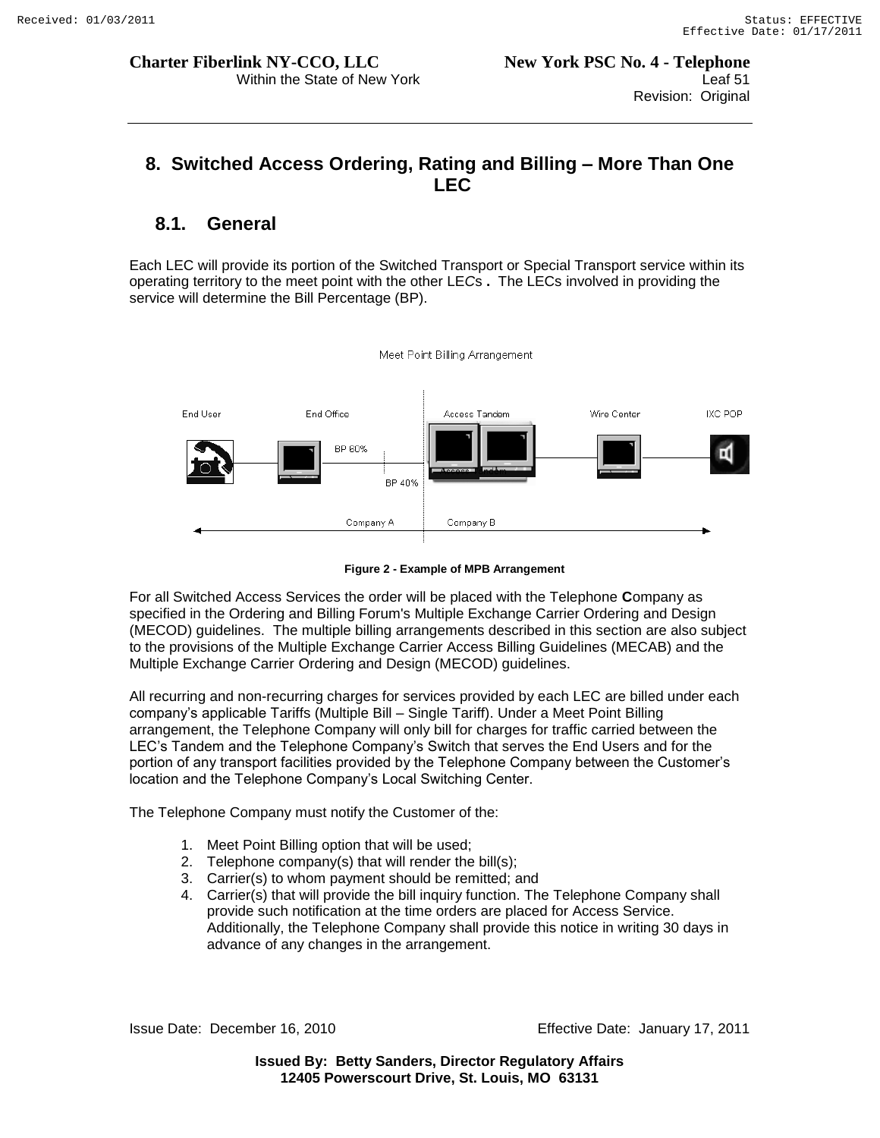# **8. Switched Access Ordering, Rating and Billing – More Than One LEC**

# **8.1. General**

Each LEC will provide its portion of the Switched Transport or Special Transport service within its operating territory to the meet point with the other LE*C*s **.** The LECs involved in providing the service will determine the Bill Percentage (BP).



**Figure 2 - Example of MPB Arrangement**

For all Switched Access Services the order will be placed with the Telephone **C**ompany as specified in the Ordering and Billing Forum's Multiple Exchange Carrier Ordering and Design (MECOD) guidelines. The multiple billing arrangements described in this section are also subject to the provisions of the Multiple Exchange Carrier Access Billing Guidelines (MECAB) and the Multiple Exchange Carrier Ordering and Design (MECOD) guidelines.

All recurring and non-recurring charges for services provided by each LEC are billed under each company"s applicable Tariffs (Multiple Bill – Single Tariff). Under a Meet Point Billing arrangement, the Telephone Company will only bill for charges for traffic carried between the LEC"s Tandem and the Telephone Company"s Switch that serves the End Users and for the portion of any transport facilities provided by the Telephone Company between the Customer"s location and the Telephone Company"s Local Switching Center.

The Telephone Company must notify the Customer of the:

- 1. Meet Point Billing option that will be used;
- 2. Telephone company(s) that will render the bill(s);
- 3. Carrier(s) to whom payment should be remitted; and
- 4. Carrier(s) that will provide the bill inquiry function. The Telephone Company shall provide such notification at the time orders are placed for Access Service. Additionally, the Telephone Company shall provide this notice in writing 30 days in advance of any changes in the arrangement.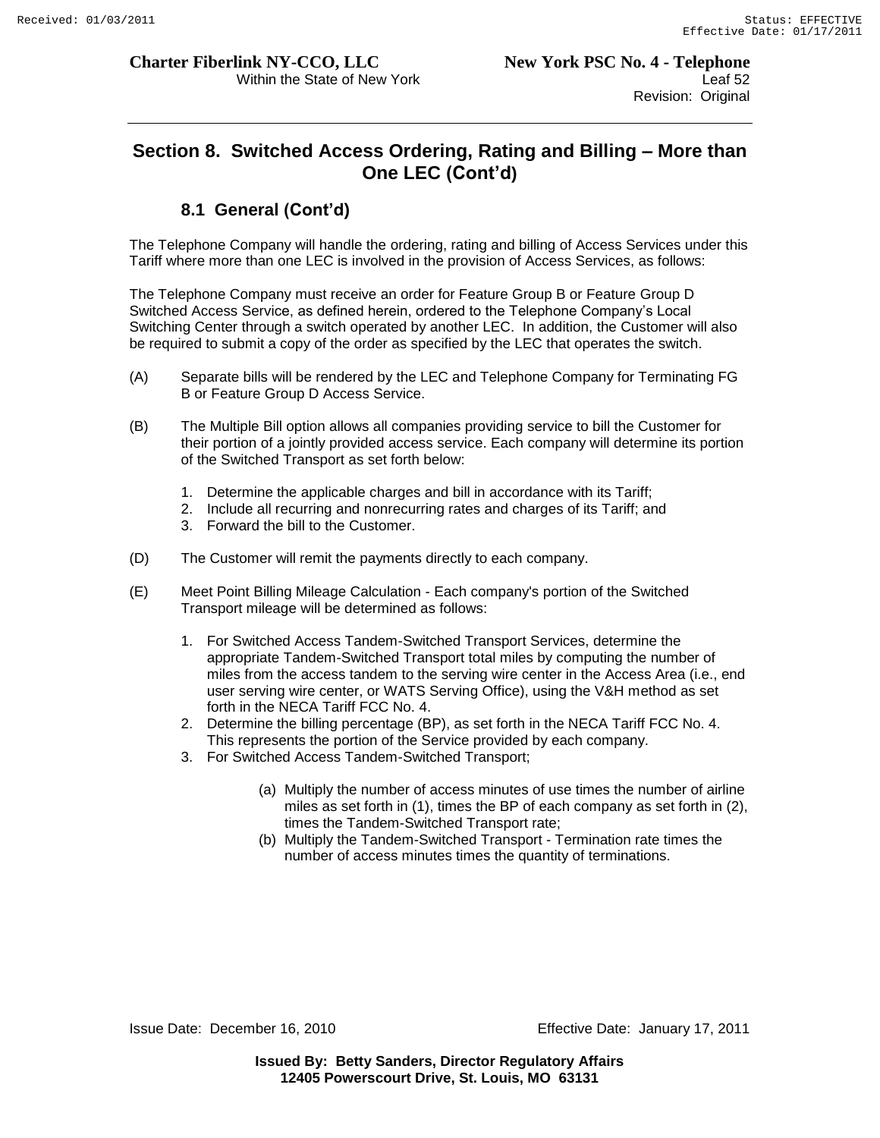# **Section 8. Switched Access Ordering, Rating and Billing – More than One LEC (Cont'd)**

# **8.1 General (Cont'd)**

The Telephone Company will handle the ordering, rating and billing of Access Services under this Tariff where more than one LEC is involved in the provision of Access Services, as follows:

The Telephone Company must receive an order for Feature Group B or Feature Group D Switched Access Service, as defined herein, ordered to the Telephone Company"s Local Switching Center through a switch operated by another LEC. In addition, the Customer will also be required to submit a copy of the order as specified by the LEC that operates the switch.

- (A) Separate bills will be rendered by the LEC and Telephone Company for Terminating FG B or Feature Group D Access Service.
- (B) The Multiple Bill option allows all companies providing service to bill the Customer for their portion of a jointly provided access service. Each company will determine its portion of the Switched Transport as set forth below:
	- 1. Determine the applicable charges and bill in accordance with its Tariff;
	- 2. Include all recurring and nonrecurring rates and charges of its Tariff; and
	- 3. Forward the bill to the Customer.
- (D) The Customer will remit the payments directly to each company.
- (E) Meet Point Billing Mileage Calculation Each company's portion of the Switched Transport mileage will be determined as follows:
	- 1. For Switched Access Tandem-Switched Transport Services, determine the appropriate Tandem-Switched Transport total miles by computing the number of miles from the access tandem to the serving wire center in the Access Area (i.e., end user serving wire center, or WATS Serving Office), using the V&H method as set forth in the NECA Tariff FCC No. 4.
	- 2. Determine the billing percentage (BP), as set forth in the NECA Tariff FCC No. 4. This represents the portion of the Service provided by each company.
	- 3. For Switched Access Tandem-Switched Transport;
		- (a) Multiply the number of access minutes of use times the number of airline miles as set forth in (1), times the BP of each company as set forth in (2), times the Tandem-Switched Transport rate;
		- (b) Multiply the Tandem-Switched Transport Termination rate times the number of access minutes times the quantity of terminations.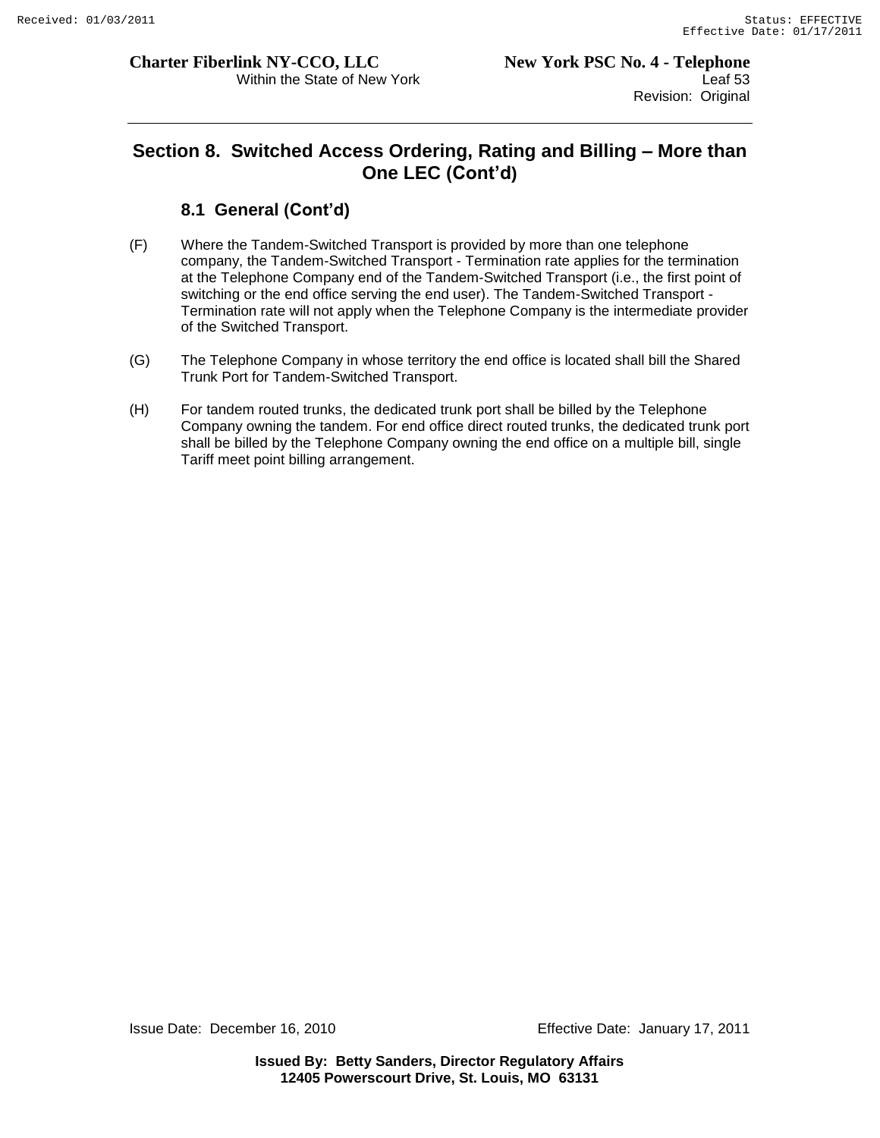# **Section 8. Switched Access Ordering, Rating and Billing – More than One LEC (Cont'd)**

# **8.1 General (Cont'd)**

- (F) Where the Tandem-Switched Transport is provided by more than one telephone company, the Tandem-Switched Transport - Termination rate applies for the termination at the Telephone Company end of the Tandem-Switched Transport (i.e., the first point of switching or the end office serving the end user). The Tandem-Switched Transport - Termination rate will not apply when the Telephone Company is the intermediate provider of the Switched Transport.
- (G) The Telephone Company in whose territory the end office is located shall bill the Shared Trunk Port for Tandem-Switched Transport.
- (H) For tandem routed trunks, the dedicated trunk port shall be billed by the Telephone Company owning the tandem. For end office direct routed trunks, the dedicated trunk port shall be billed by the Telephone Company owning the end office on a multiple bill, single Tariff meet point billing arrangement.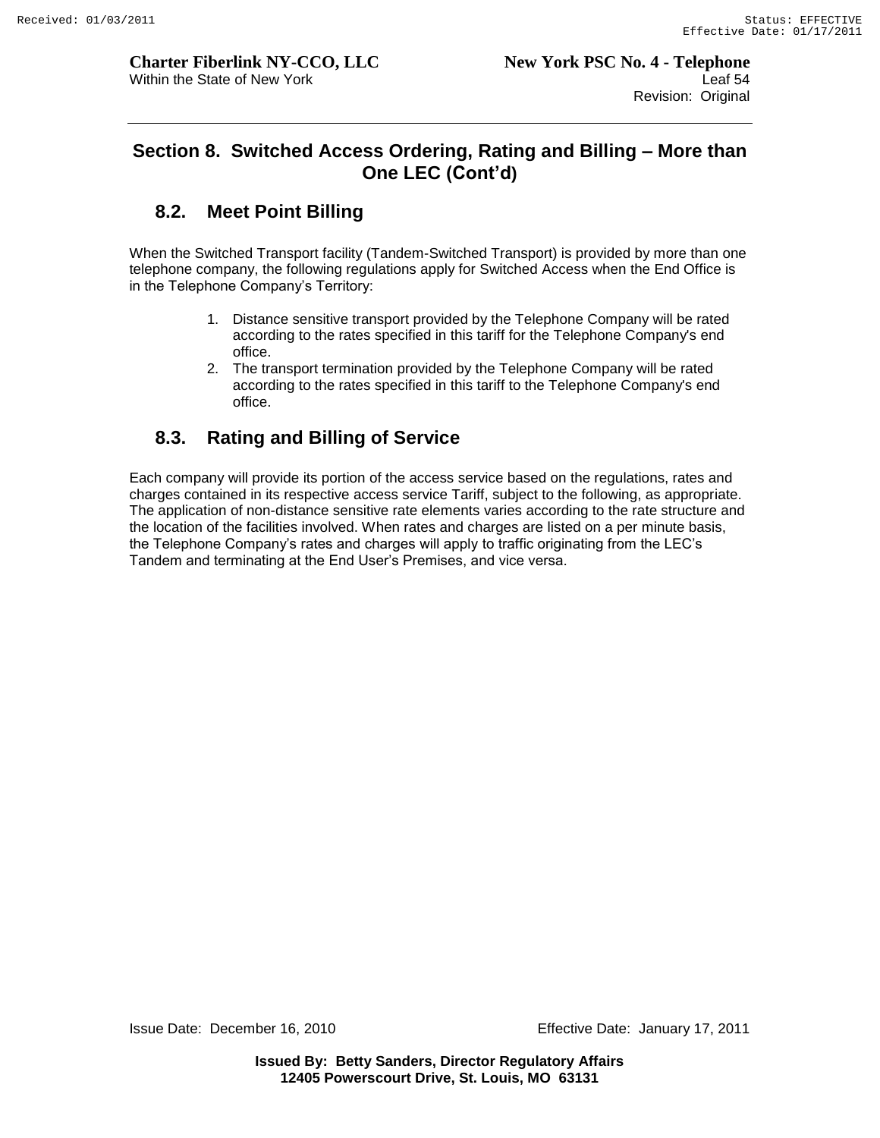# **Section 8. Switched Access Ordering, Rating and Billing – More than One LEC (Cont'd)**

# **8.2. Meet Point Billing**

When the Switched Transport facility (Tandem-Switched Transport) is provided by more than one telephone company, the following regulations apply for Switched Access when the End Office is in the Telephone Company's Territory:

- 1. Distance sensitive transport provided by the Telephone Company will be rated according to the rates specified in this tariff for the Telephone Company's end office.
- 2. The transport termination provided by the Telephone Company will be rated according to the rates specified in this tariff to the Telephone Company's end office.

# **8.3. Rating and Billing of Service**

Each company will provide its portion of the access service based on the regulations, rates and charges contained in its respective access service Tariff, subject to the following, as appropriate. The application of non-distance sensitive rate elements varies according to the rate structure and the location of the facilities involved. When rates and charges are listed on a per minute basis, the Telephone Company"s rates and charges will apply to traffic originating from the LEC"s Tandem and terminating at the End User"s Premises, and vice versa.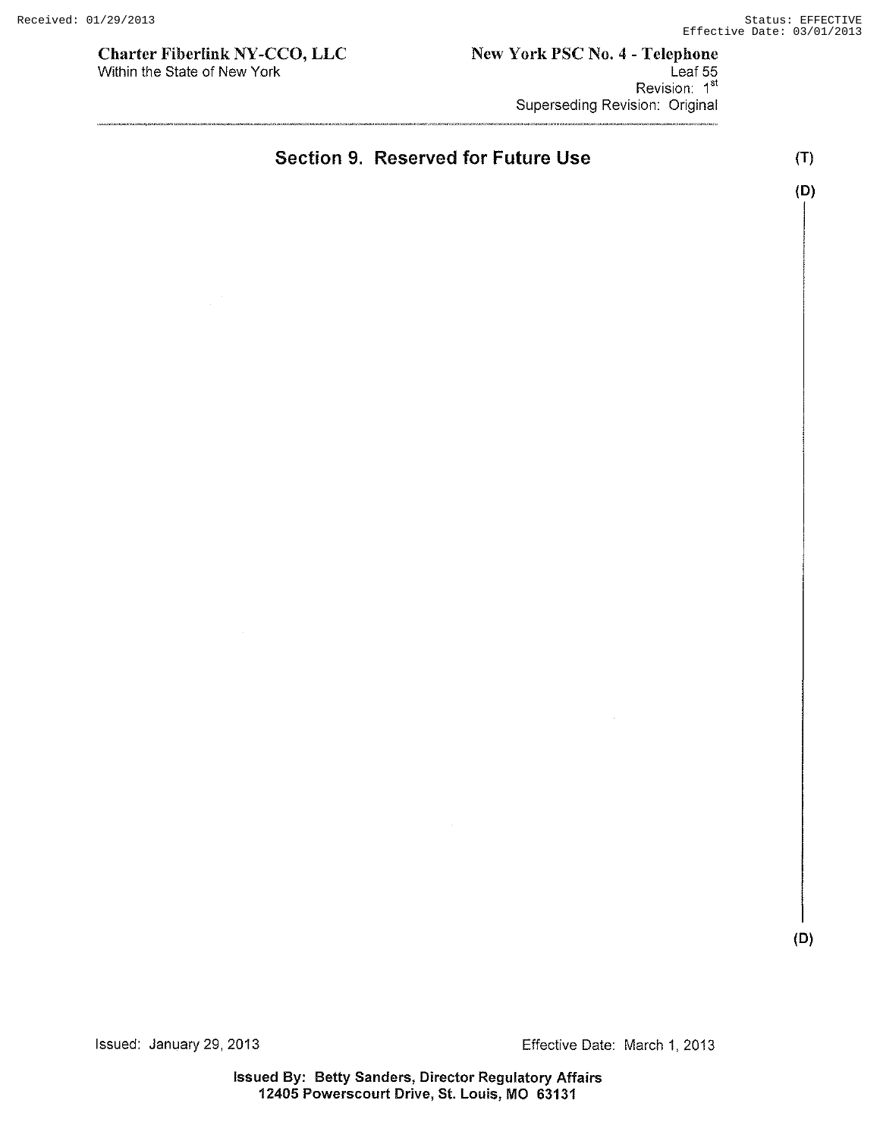Charter Fiberlink NY -CCO, LLC Within the State of New York

#### New York PSC No.4 - Telephone Leaf 55 Revision: 1<sup>st</sup> Superseding Revision: Original

Section 9. Reserved for Future Use

(T) (D)

(D)

Issued: January 29, 2013 Effective Date: March 1, 2013

Issued By: Betty Sanders, Director Regulatory Affairs 12405 Powerscourt Drive, St. Louis, MO 63131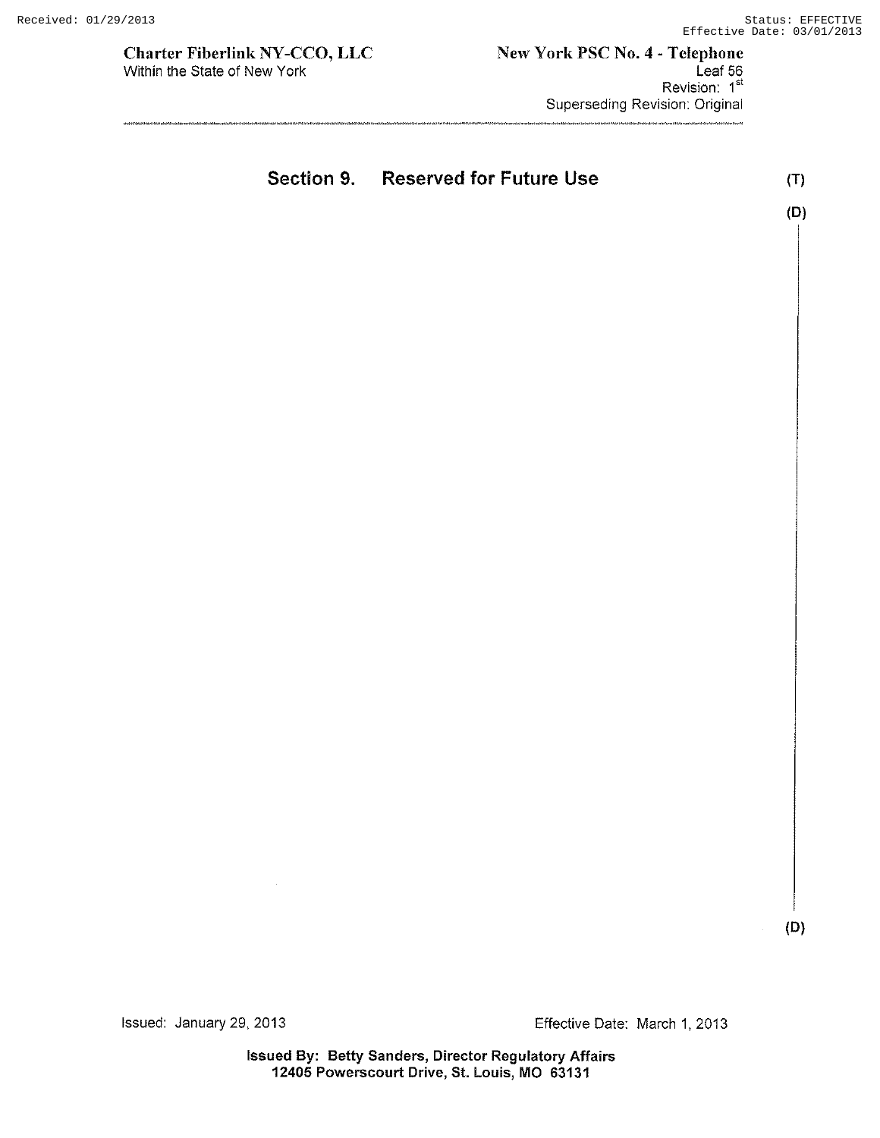Charter Fiberlink NY-CCO, LLC Within the State of New York

|  | Section 9. Reserved for Future Use | (T) |
|--|------------------------------------|-----|
|  |                                    | (D) |
|  |                                    |     |

(D)

Issued: January 29, 2013 Effective Date: March 1, 2013

Issued By: Betty Sanders, Director Regulatory Affairs 12405 Powerscourt Drive, St. Louis, MO 63131